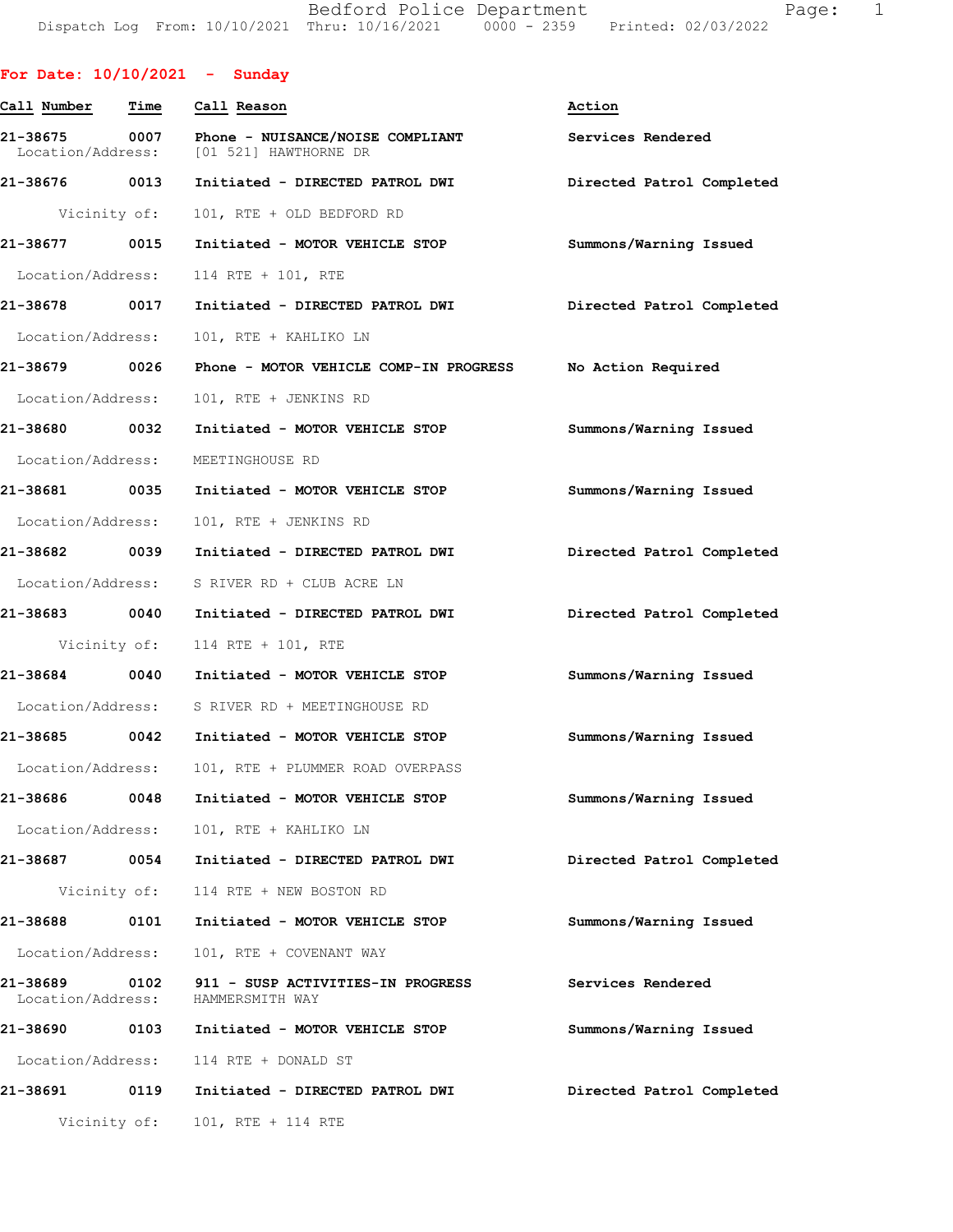Bedford Police Department Fage: 1 Dispatch Log From: 10/10/2021 Thru: 10/16/2021 0000 - 2359 Printed: 02/03/2022

| For Date: $10/10/2021$ - Sunday    |      |                                                                                           |                           |
|------------------------------------|------|-------------------------------------------------------------------------------------------|---------------------------|
| Call Number                        | Time | Call Reason                                                                               | Action                    |
|                                    |      | 21-38675 0007 Phone - NUISANCE/NOISE COMPLIANT<br>Location/Address: [01 521] HAWTHORNE DR | Services Rendered         |
|                                    |      |                                                                                           | Directed Patrol Completed |
|                                    |      | Vicinity of: 101, RTE + OLD BEDFORD RD                                                    |                           |
|                                    |      | 21-38677 0015 Initiated - MOTOR VEHICLE STOP                                              | Summons/Warning Issued    |
| Location/Address:                  |      | 114 RTE + 101, RTE                                                                        |                           |
| 21-38678 0017                      |      | Initiated - DIRECTED PATROL DWI                                                           | Directed Patrol Completed |
| Location/Address:                  |      | 101, RTE + KAHLIKO LN                                                                     |                           |
| 21-38679 0026                      |      | Phone - MOTOR VEHICLE COMP-IN PROGRESS No Action Required                                 |                           |
| Location/Address:                  |      | 101, RTE + JENKINS RD                                                                     |                           |
|                                    |      | 21-38680 0032 Initiated - MOTOR VEHICLE STOP                                              | Summons/Warning Issued    |
|                                    |      | Location/Address: MEETINGHOUSE RD                                                         |                           |
| 21-38681 0035                      |      | Initiated - MOTOR VEHICLE STOP                                                            | Summons/Warning Issued    |
| Location/Address:                  |      | 101, RTE + JENKINS RD                                                                     |                           |
| 21-38682 0039                      |      | Initiated - DIRECTED PATROL DWI                                                           | Directed Patrol Completed |
|                                    |      | Location/Address: S RIVER RD + CLUB ACRE LN                                               |                           |
|                                    |      |                                                                                           | Directed Patrol Completed |
|                                    |      | Vicinity of: 114 RTE + 101, RTE                                                           |                           |
|                                    |      | 21-38684 0040 Initiated - MOTOR VEHICLE STOP                                              | Summons/Warning Issued    |
|                                    |      | Location/Address: S RIVER RD + MEETINGHOUSE RD                                            |                           |
|                                    |      | 21-38685 0042 Initiated - MOTOR VEHICLE STOP                                              | Summons/Warning Issued    |
|                                    |      | Location/Address: 101, RTE + PLUMMER ROAD OVERPASS                                        |                           |
| 21-38686 0048                      |      | Initiated - MOTOR VEHICLE STOP                                                            | Summons/Warning Issued    |
| Location/Address:                  |      | 101, RTE + KAHLIKO LN                                                                     |                           |
|                                    |      | 21-38687 0054 Initiated - DIRECTED PATROL DWI                                             | Directed Patrol Completed |
|                                    |      | Vicinity of: 114 RTE + NEW BOSTON RD                                                      |                           |
| 21-38688                           | 0101 | Initiated - MOTOR VEHICLE STOP                                                            | Summons/Warning Issued    |
| Location/Address:                  |      | 101, RTE + COVENANT WAY                                                                   |                           |
| 21-38689 0102<br>Location/Address: |      | 911 - SUSP ACTIVITIES-IN PROGRESS<br>HAMMERSMITH WAY                                      | Services Rendered         |
|                                    |      | 21-38690 0103 Initiated - MOTOR VEHICLE STOP                                              | Summons/Warning Issued    |
| Location/Address:                  |      | 114 RTE + DONALD ST                                                                       |                           |
|                                    |      |                                                                                           | Directed Patrol Completed |
| Vicinity of:                       |      | 101, RTE + 114 RTE                                                                        |                           |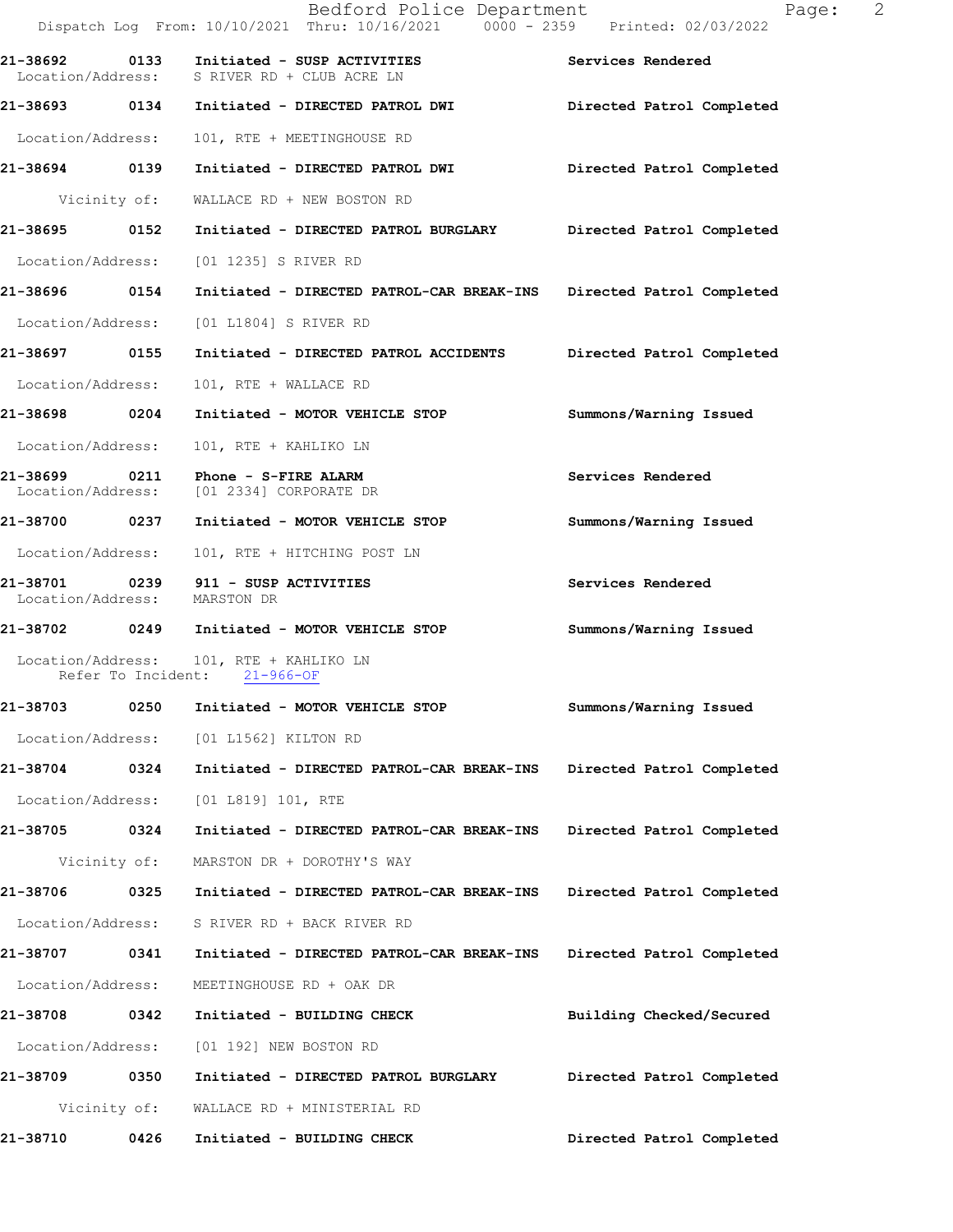|                              |      | Bedford Police Department<br>Dispatch Log From: 10/10/2021 Thru: 10/16/2021 0000 - 2359 Printed: 02/03/2022 | $\overline{\phantom{0}}^2$<br>Page: |
|------------------------------|------|-------------------------------------------------------------------------------------------------------------|-------------------------------------|
| 21-38692 0133                |      | Initiated - SUSP ACTIVITIES<br>Location/Address: S RIVER RD + CLUB ACRE LN                                  | Services Rendered                   |
|                              |      | 21-38693 0134 Initiated - DIRECTED PATROL DWI                                                               | Directed Patrol Completed           |
| Location/Address:            |      | 101, RTE + MEETINGHOUSE RD                                                                                  |                                     |
|                              |      | 21-38694 0139 Initiated - DIRECTED PATROL DWI                                                               | Directed Patrol Completed           |
|                              |      | Vicinity of: WALLACE RD + NEW BOSTON RD                                                                     |                                     |
| 21-38695                     | 0152 | Initiated - DIRECTED PATROL BURGLARY                                                                        | Directed Patrol Completed           |
|                              |      | Location/Address: [01 1235] S RIVER RD                                                                      |                                     |
| 21-38696 0154                |      | Initiated - DIRECTED PATROL-CAR BREAK-INS Directed Patrol Completed                                         |                                     |
| Location/Address:            |      | [01 L1804] S RIVER RD                                                                                       |                                     |
|                              |      |                                                                                                             | Directed Patrol Completed           |
| Location/Address:            |      | 101, RTE + WALLACE RD                                                                                       |                                     |
|                              |      | 21-38698 0204 Initiated - MOTOR VEHICLE STOP                                                                | Summons/Warning Issued              |
| Location/Address:            |      | 101, RTE + KAHLIKO LN                                                                                       |                                     |
|                              |      | 21-38699 0211 Phone - S-FIRE ALARM<br>Location/Address: [01 2334] CORPORATE DR                              | Services Rendered                   |
|                              |      | 21-38700 0237 Initiated - MOTOR VEHICLE STOP                                                                | Summons/Warning Issued              |
| Location/Address:            |      | 101, RTE + HITCHING POST LN                                                                                 |                                     |
| Location/Address: MARSTON DR |      | 21-38701 0239 911 - SUSP ACTIVITIES                                                                         | Services Rendered                   |
|                              |      | 21-38702 0249 Initiated - MOTOR VEHICLE STOP                                                                | Summons/Warning Issued              |
|                              |      | Location/Address: 101, RTE + KAHLIKO LN<br>Refer To Incident: 21-966-OF                                     |                                     |
| 21-38703                     | 0250 | Initiated - MOTOR VEHICLE STOP                                                                              | Summons/Warning Issued              |
| Location/Address:            |      | [01 L1562] KILTON RD                                                                                        |                                     |
| 21-38704 0324                |      | Initiated - DIRECTED PATROL-CAR BREAK-INS                                                                   | Directed Patrol Completed           |
| Location/Address:            |      | [01 L819] 101, RTE                                                                                          |                                     |
| 21-38705                     | 0324 | Initiated - DIRECTED PATROL-CAR BREAK-INS                                                                   | Directed Patrol Completed           |
| Vicinity of:                 |      | MARSTON DR + DOROTHY'S WAY                                                                                  |                                     |
| 21-38706                     | 0325 | Initiated - DIRECTED PATROL-CAR BREAK-INS                                                                   | Directed Patrol Completed           |
| Location/Address:            |      | S RIVER RD + BACK RIVER RD                                                                                  |                                     |
| 21-38707                     | 0341 | Initiated - DIRECTED PATROL-CAR BREAK-INS                                                                   | Directed Patrol Completed           |
| Location/Address:            |      | MEETINGHOUSE RD + OAK DR                                                                                    |                                     |
| 21-38708                     | 0342 | Initiated - BUILDING CHECK                                                                                  | Building Checked/Secured            |
| Location/Address:            |      | [01 192] NEW BOSTON RD                                                                                      |                                     |
| 21-38709                     | 0350 | Initiated - DIRECTED PATROL BURGLARY                                                                        | Directed Patrol Completed           |
| Vicinity of:                 |      | WALLACE RD + MINISTERIAL RD                                                                                 |                                     |
| 21-38710                     | 0426 | Initiated - BUILDING CHECK                                                                                  | Directed Patrol Completed           |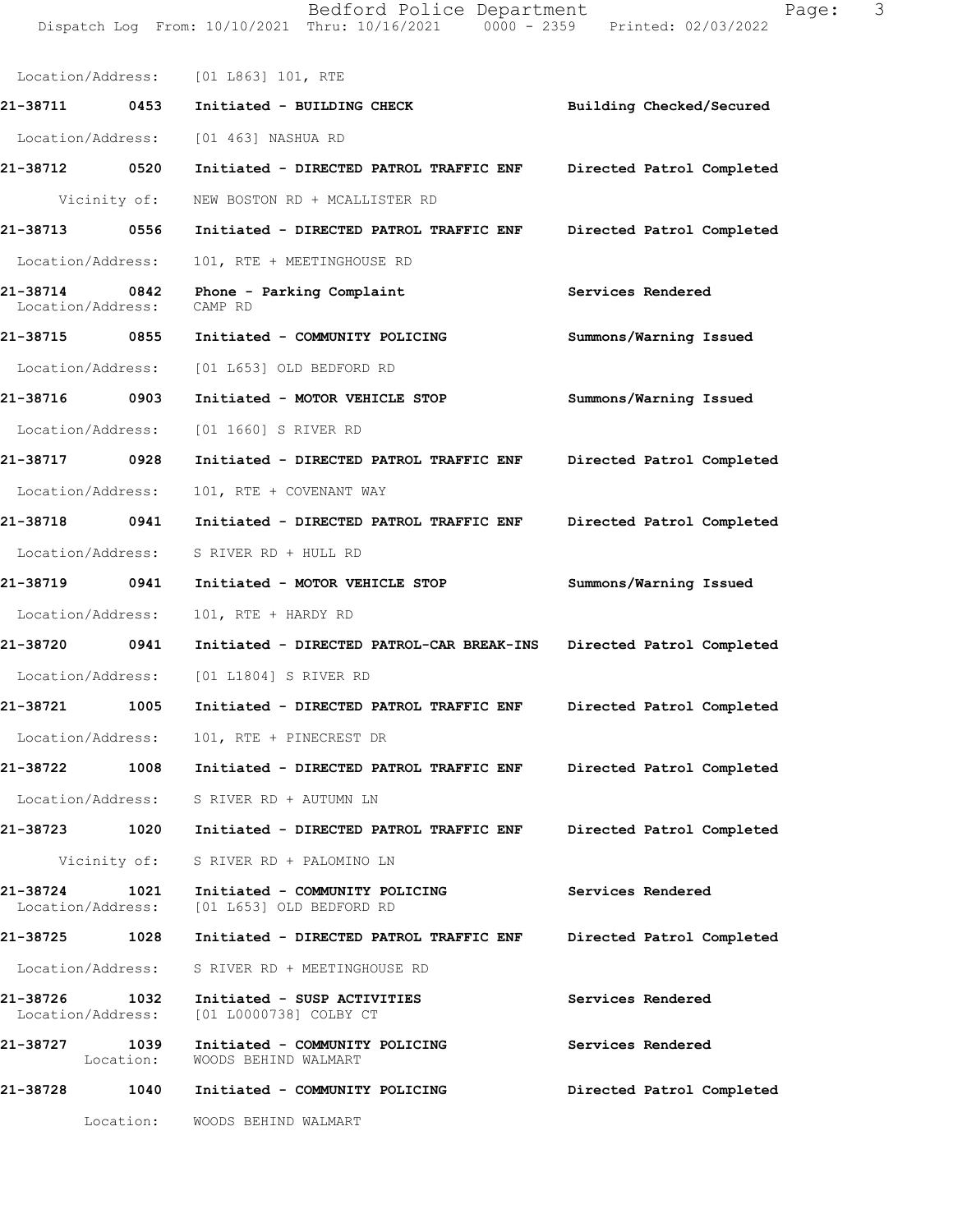Bedford Police Department Fage: 3 Dispatch Log From: 10/10/2021 Thru: 10/16/2021 0000 - 2359 Printed: 02/03/2022

| Location/Address: [01 L863] 101, RTE  |                                                                              |                           |
|---------------------------------------|------------------------------------------------------------------------------|---------------------------|
| 21-38711 0453                         | Initiated - BUILDING CHECK                                                   | Building Checked/Secured  |
| Location/Address:                     | [01 463] NASHUA RD                                                           |                           |
| 21-38712 0520                         | Initiated - DIRECTED PATROL TRAFFIC ENF                                      | Directed Patrol Completed |
| Vicinity of:                          | NEW BOSTON RD + MCALLISTER RD                                                |                           |
| 21-38713 0556                         | Initiated - DIRECTED PATROL TRAFFIC ENF                                      | Directed Patrol Completed |
| Location/Address:                     | 101, RTE + MEETINGHOUSE RD                                                   |                           |
| 21-38714<br>0842<br>Location/Address: | Phone - Parking Complaint<br>CAMP RD                                         | Services Rendered         |
| 21-38715 0855                         | Initiated - COMMUNITY POLICING                                               | Summons/Warning Issued    |
| Location/Address:                     | [01 L653] OLD BEDFORD RD                                                     |                           |
| 21-38716 0903                         | Initiated - MOTOR VEHICLE STOP                                               | Summons/Warning Issued    |
| Location/Address:                     | [01 1660] S RIVER RD                                                         |                           |
| 21-38717 0928                         | Initiated - DIRECTED PATROL TRAFFIC ENF                                      | Directed Patrol Completed |
| Location/Address:                     | 101, RTE + COVENANT WAY                                                      |                           |
| 21-38718 0941                         | Initiated - DIRECTED PATROL TRAFFIC ENF                                      | Directed Patrol Completed |
| Location/Address:                     | S RIVER RD + HULL RD                                                         |                           |
| 21-38719 0941                         | Initiated - MOTOR VEHICLE STOP                                               | Summons/Warning Issued    |
| Location/Address:                     | 101, RTE + HARDY RD                                                          |                           |
| 21-38720 0941                         | Initiated - DIRECTED PATROL-CAR BREAK-INS                                    | Directed Patrol Completed |
| Location/Address:                     | [01 L1804] S RIVER RD                                                        |                           |
| 21-38721<br>1005                      | Initiated - DIRECTED PATROL TRAFFIC ENF                                      | Directed Patrol Completed |
| Location/Address:                     | 101, RTE + PINECREST DR                                                      |                           |
| 21-38722<br>1008                      | Initiated - DIRECTED PATROL TRAFFIC ENF                                      | Directed Patrol Completed |
|                                       | Location/Address: S RIVER RD + AUTUMN LN                                     |                           |
| 21-38723 1020                         | Initiated - DIRECTED PATROL TRAFFIC ENF                                      | Directed Patrol Completed |
| Vicinity of:                          | S RIVER RD + PALOMINO LN                                                     |                           |
| 21-38724 1021                         | Initiated - COMMUNITY POLICING<br>Location/Address: [01 L653] OLD BEDFORD RD | Services Rendered         |
| 21-38725 1028                         | Initiated - DIRECTED PATROL TRAFFIC ENF                                      | Directed Patrol Completed |
| Location/Address:                     | S RIVER RD + MEETINGHOUSE RD                                                 |                           |
| 21-38726 1032                         | Initiated - SUSP ACTIVITIES<br>Location/Address: [01 L0000738] COLBY CT      | Services Rendered         |
| 21-38727<br>1039<br>Location:         | Initiated - COMMUNITY POLICING<br>WOODS BEHIND WALMART                       | Services Rendered         |
| 21-38728                              | 1040 Initiated - COMMUNITY POLICING                                          | Directed Patrol Completed |
| Location:                             | WOODS BEHIND WALMART                                                         |                           |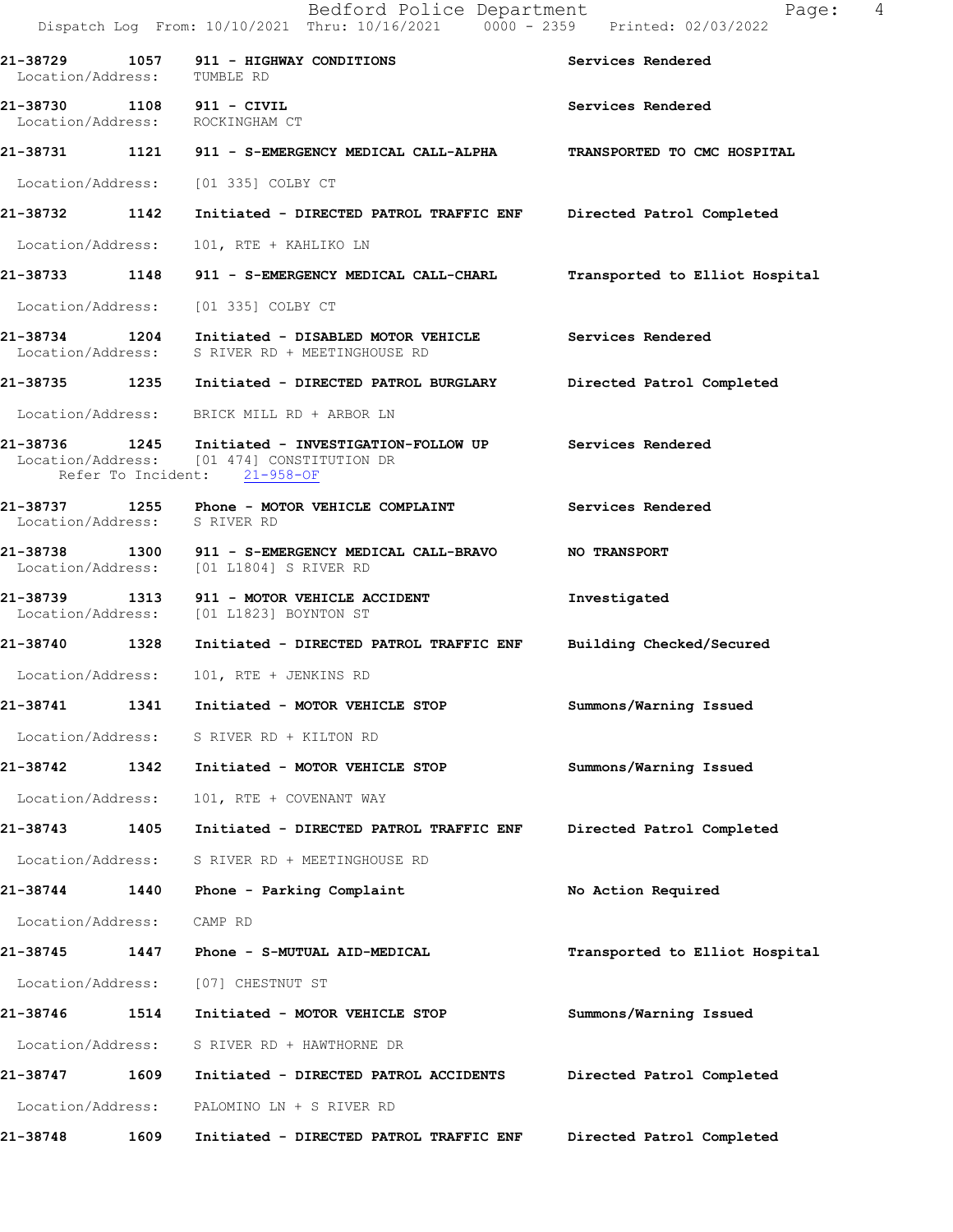Bedford Police Department Fage: 4 Dispatch Log From: 10/10/2021 Thru: 10/16/2021 0000 - 2359 Printed: 02/03/2022 **21-38729 1057 911 - HIGHWAY CONDITIONS Services Rendered**  Location/Address: TUMBLE RD **21-38730 1108 911 - CIVIL Services Rendered**  Location/Address: ROCKINGHAM CT **21-38731 1121 911 - S-EMERGENCY MEDICAL CALL-ALPHA TRANSPORTED TO CMC HOSPITAL**  Location/Address: [01 335] COLBY CT **21-38732 1142 Initiated - DIRECTED PATROL TRAFFIC ENF Directed Patrol Completed**  Location/Address: 101, RTE + KAHLIKO LN **21-38733 1148 911 - S-EMERGENCY MEDICAL CALL-CHARL Transported to Elliot Hospital** Location/Address: [01 335] COLBY CT **21-38734 1204 Initiated - DISABLED MOTOR VEHICLE Services Rendered**  Location/Address: S RIVER RD + MEETINGHOUSE RD **21-38735 1235 Initiated - DIRECTED PATROL BURGLARY Directed Patrol Completed**  Location/Address: BRICK MILL RD + ARBOR LN **21-38736 1245 Initiated - INVESTIGATION-FOLLOW UP Services Rendered**  [01 474] CONSTITUTION DR Refer To Incident: 21-958-OF **21-38737 1255 Phone - MOTOR VEHICLE COMPLAINT Services Rendered**  Location/Address: S RIVER RD **21-38738 1300 911 - S-EMERGENCY MEDICAL CALL-BRAVO NO TRANSPORT**  Location/Address: [01 L1804] S RIVER RD **21-38739 1313 911 - MOTOR VEHICLE ACCIDENT Investigated**  Location/Address: [01 L1823] BOYNTON ST **21-38740 1328 Initiated - DIRECTED PATROL TRAFFIC ENF Building Checked/Secured**  Location/Address: 101, RTE + JENKINS RD **21-38741 1341 Initiated - MOTOR VEHICLE STOP Summons/Warning Issued**  Location/Address: S RIVER RD + KILTON RD **21-38742 1342 Initiated - MOTOR VEHICLE STOP Summons/Warning Issued**  Location/Address: 101, RTE + COVENANT WAY **21-38743 1405 Initiated - DIRECTED PATROL TRAFFIC ENF Directed Patrol Completed**  Location/Address: S RIVER RD + MEETINGHOUSE RD **21-38744 1440 Phone - Parking Complaint No Action Required**  Location/Address: CAMP RD **21-38745 1447 Phone - S-MUTUAL AID-MEDICAL Transported to Elliot Hospital** Location/Address: [07] CHESTNUT ST **21-38746 1514 Initiated - MOTOR VEHICLE STOP Summons/Warning Issued**  Location/Address: S RIVER RD + HAWTHORNE DR **21-38747 1609 Initiated - DIRECTED PATROL ACCIDENTS Directed Patrol Completed**  Location/Address: PALOMINO LN + S RIVER RD **21-38748 1609 Initiated - DIRECTED PATROL TRAFFIC ENF Directed Patrol Completed**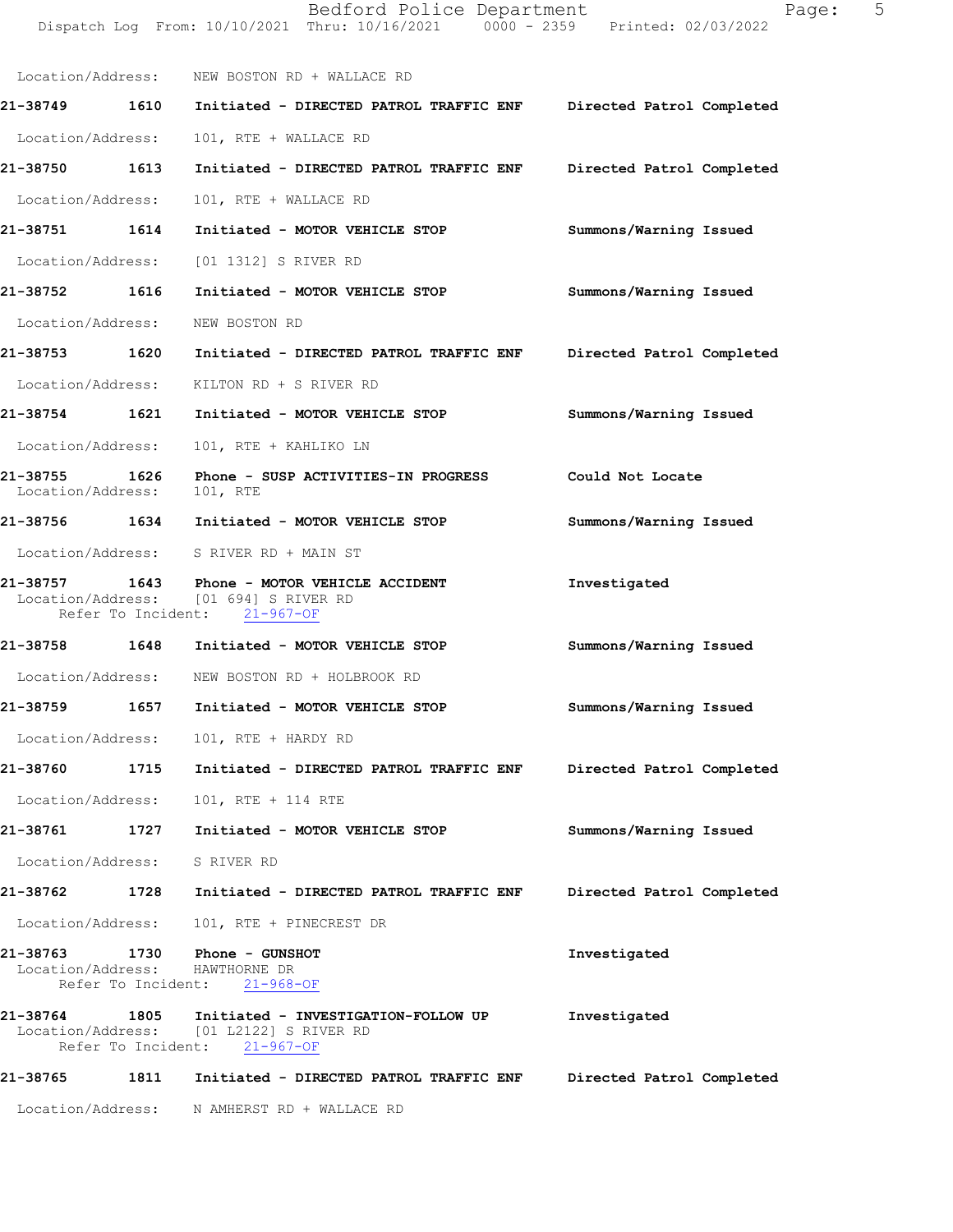|                                                                                       | Dispatch Log From: 10/10/2021 Thru: 10/16/2021 0000 - 2359 Printed: 02/03/2022                                        |                           |
|---------------------------------------------------------------------------------------|-----------------------------------------------------------------------------------------------------------------------|---------------------------|
|                                                                                       | Location/Address: NEW BOSTON RD + WALLACE RD                                                                          |                           |
| 21-38749 1610                                                                         | Initiated - DIRECTED PATROL TRAFFIC ENF Directed Patrol Completed                                                     |                           |
| Location/Address:                                                                     | 101, RTE + WALLACE RD                                                                                                 |                           |
| 21-38750 1613                                                                         | Initiated - DIRECTED PATROL TRAFFIC ENF Directed Patrol Completed                                                     |                           |
| Location/Address:                                                                     | 101, RTE + WALLACE RD                                                                                                 |                           |
| 21-38751 1614                                                                         | Initiated - MOTOR VEHICLE STOP                                                                                        | Summons/Warning Issued    |
|                                                                                       | Location/Address: [01 1312] S RIVER RD                                                                                |                           |
| 21-38752 1616                                                                         | Initiated - MOTOR VEHICLE STOP                                                                                        | Summons/Warning Issued    |
| Location/Address:                                                                     | NEW BOSTON RD                                                                                                         |                           |
| 21-38753 1620                                                                         | Initiated - DIRECTED PATROL TRAFFIC ENF                                                                               | Directed Patrol Completed |
|                                                                                       | Location/Address: KILTON RD + S RIVER RD                                                                              |                           |
| 21-38754 1621                                                                         | Initiated - MOTOR VEHICLE STOP                                                                                        | Summons/Warning Issued    |
| Location/Address:                                                                     | 101, RTE + KAHLIKO LN                                                                                                 |                           |
| 21-38755 1626<br>Location/Address:                                                    | Phone - SUSP ACTIVITIES-IN PROGRESS<br>101, RTE                                                                       | Could Not Locate          |
|                                                                                       | 21-38756 1634 Initiated - MOTOR VEHICLE STOP                                                                          | Summons/Warning Issued    |
|                                                                                       | Location/Address: S RIVER RD + MAIN ST                                                                                |                           |
|                                                                                       | 21-38757 1643 Phone - MOTOR VEHICLE ACCIDENT<br>Location/Address: [01 694] S RIVER RD<br>Refer To Incident: 21-967-OF | Investigated              |
|                                                                                       | 21-38758 1648 Initiated - MOTOR VEHICLE STOP                                                                          | Summons/Warning Issued    |
|                                                                                       | Location/Address: NEW BOSTON RD + HOLBROOK RD                                                                         |                           |
| 1657<br>21-38759                                                                      | Initiated - MOTOR VEHICLE STOP                                                                                        | Summons/Warning Issued    |
|                                                                                       | Location/Address: 101, RTE + HARDY RD                                                                                 |                           |
| 21-38760                                                                              | 1715 Initiated - DIRECTED PATROL TRAFFIC ENF                                                                          | Directed Patrol Completed |
| Location/Address:                                                                     | 101, RTE + 114 RTE                                                                                                    |                           |
| 21-38761<br>1727                                                                      | Initiated - MOTOR VEHICLE STOP                                                                                        | Summons/Warning Issued    |
| Location/Address: S RIVER RD                                                          |                                                                                                                       |                           |
| 21-38762                                                                              | 1728 Initiated - DIRECTED PATROL TRAFFIC ENF                                                                          | Directed Patrol Completed |
| Location/Address:                                                                     | 101, RTE + PINECREST DR                                                                                               |                           |
| 21-38763 1730 Phone - GUNSHOT<br>Location/Address: HAWTHORNE DR<br>Refer To Incident: | $21 - 968 - OF$                                                                                                       | Investigated              |
| 21-38764                                                                              | 1805 Initiated - INVESTIGATION-FOLLOW UP<br>Location/Address: [01 L2122] S RIVER RD<br>Refer To Incident: 21-967-OF   | Investigated              |
| 21-38765<br>1811                                                                      | Initiated - DIRECTED PATROL TRAFFIC ENF                                                                               | Directed Patrol Completed |

Location/Address: N AMHERST RD + WALLACE RD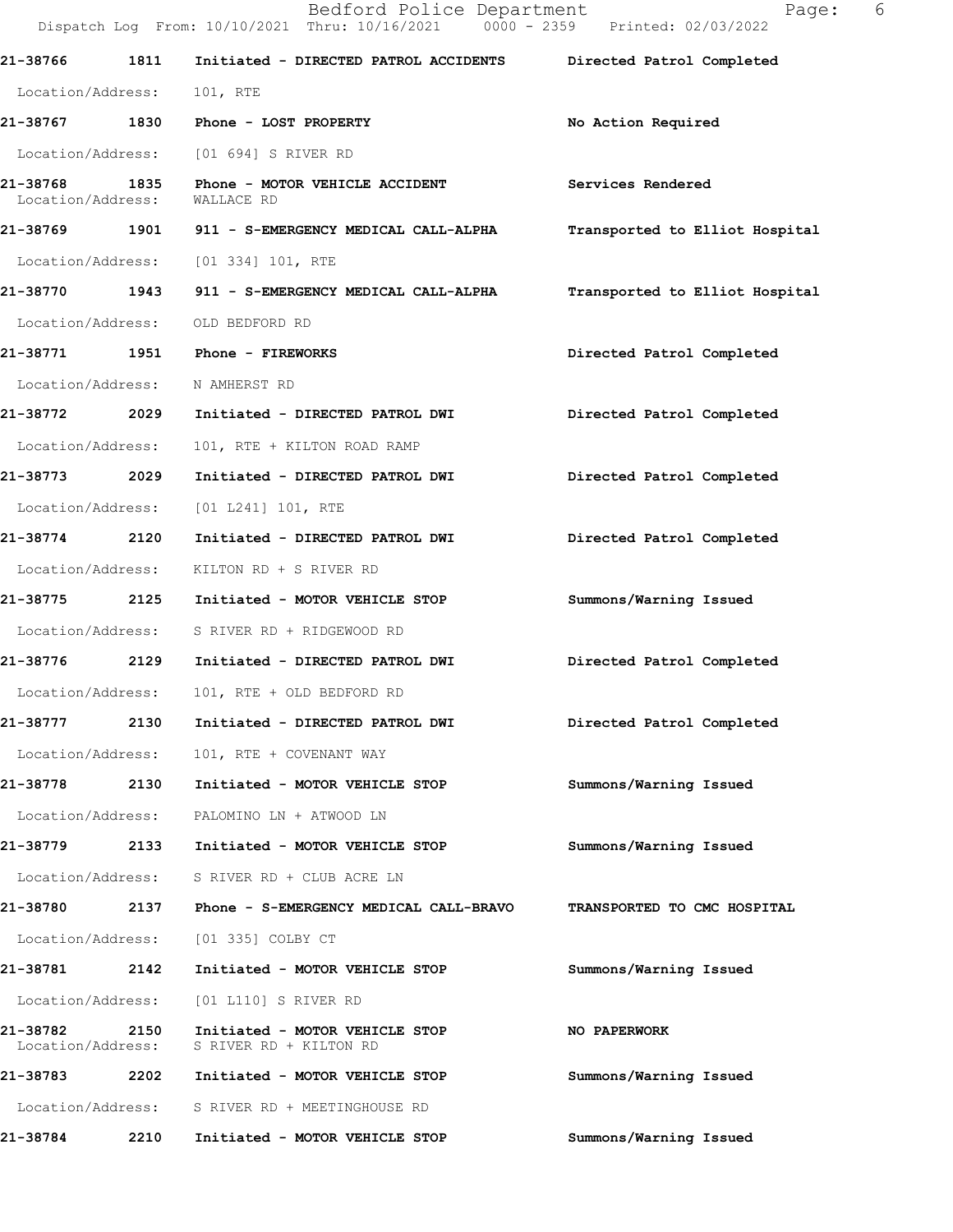|                               |      | Bedford Police Department<br>Dispatch Log From: 10/10/2021 Thru: 10/16/2021 0000 - 2359 Printed: 02/03/2022 | 6<br>Page:                     |  |
|-------------------------------|------|-------------------------------------------------------------------------------------------------------------|--------------------------------|--|
| 21-38766                      | 1811 | Initiated - DIRECTED PATROL ACCIDENTS                                                                       | Directed Patrol Completed      |  |
| Location/Address:             |      | 101, RTE                                                                                                    |                                |  |
|                               |      | 21-38767 1830 Phone - LOST PROPERTY                                                                         | No Action Required             |  |
|                               |      | Location/Address: [01 694] S RIVER RD                                                                       |                                |  |
| 21-38768<br>Location/Address: | 1835 | Phone - MOTOR VEHICLE ACCIDENT<br>WALLACE RD                                                                | Services Rendered              |  |
|                               |      | 21-38769 1901 911 - S-EMERGENCY MEDICAL CALL-ALPHA                                                          | Transported to Elliot Hospital |  |
|                               |      | Location/Address: [01 334] 101, RTE                                                                         |                                |  |
| 21-38770 1943                 |      | 911 - S-EMERGENCY MEDICAL CALL-ALPHA                                                                        | Transported to Elliot Hospital |  |
| Location/Address:             |      | OLD BEDFORD RD                                                                                              |                                |  |
| 21-38771 1951                 |      | <b>Phone - FIREWORKS</b>                                                                                    | Directed Patrol Completed      |  |
| Location/Address:             |      | N AMHERST RD                                                                                                |                                |  |
| 21-38772 2029                 |      | Initiated - DIRECTED PATROL DWI                                                                             | Directed Patrol Completed      |  |
| Location/Address:             |      | 101, RTE + KILTON ROAD RAMP                                                                                 |                                |  |
| 21-38773 2029                 |      | Initiated - DIRECTED PATROL DWI                                                                             | Directed Patrol Completed      |  |
| Location/Address:             |      | [01 L241] 101, RTE                                                                                          |                                |  |
| 21-38774 2120                 |      | Initiated - DIRECTED PATROL DWI                                                                             | Directed Patrol Completed      |  |
| Location/Address:             |      | KILTON RD + S RIVER RD                                                                                      |                                |  |
| 21-38775                      | 2125 | Initiated - MOTOR VEHICLE STOP                                                                              | Summons/Warning Issued         |  |
| Location/Address:             |      | S RIVER RD + RIDGEWOOD RD                                                                                   |                                |  |
|                               |      | 21-38776 2129 Initiated - DIRECTED PATROL DWI                                                               | Directed Patrol Completed      |  |
| Location/Address:             |      | 101, RTE + OLD BEDFORD RD                                                                                   |                                |  |
| 21-38777                      | 2130 | Initiated - DIRECTED PATROL DWI                                                                             | Directed Patrol Completed      |  |
| Location/Address:             |      | 101, RTE + COVENANT WAY                                                                                     |                                |  |
| 21-38778                      | 2130 | Initiated - MOTOR VEHICLE STOP                                                                              | Summons/Warning Issued         |  |
| Location/Address:             |      | PALOMINO LN + ATWOOD LN                                                                                     |                                |  |
| 21-38779                      | 2133 | Initiated - MOTOR VEHICLE STOP                                                                              | Summons/Warning Issued         |  |
| Location/Address:             |      | S RIVER RD + CLUB ACRE LN                                                                                   |                                |  |
| 21-38780                      | 2137 | Phone - S-EMERGENCY MEDICAL CALL-BRAVO                                                                      | TRANSPORTED TO CMC HOSPITAL    |  |
| Location/Address:             |      | [01 335] COLBY CT                                                                                           |                                |  |
| 21-38781 2142                 |      | Initiated - MOTOR VEHICLE STOP                                                                              | Summons/Warning Issued         |  |
| Location/Address:             |      | [01 L110] S RIVER RD                                                                                        |                                |  |
| 21-38782<br>Location/Address: | 2150 | Initiated - MOTOR VEHICLE STOP<br>S RIVER RD + KILTON RD                                                    | NO PAPERWORK                   |  |
| 21-38783                      | 2202 | Initiated - MOTOR VEHICLE STOP                                                                              | Summons/Warning Issued         |  |
| Location/Address:             |      | S RIVER RD + MEETINGHOUSE RD                                                                                |                                |  |
| 21-38784                      | 2210 | Initiated - MOTOR VEHICLE STOP                                                                              | Summons/Warning Issued         |  |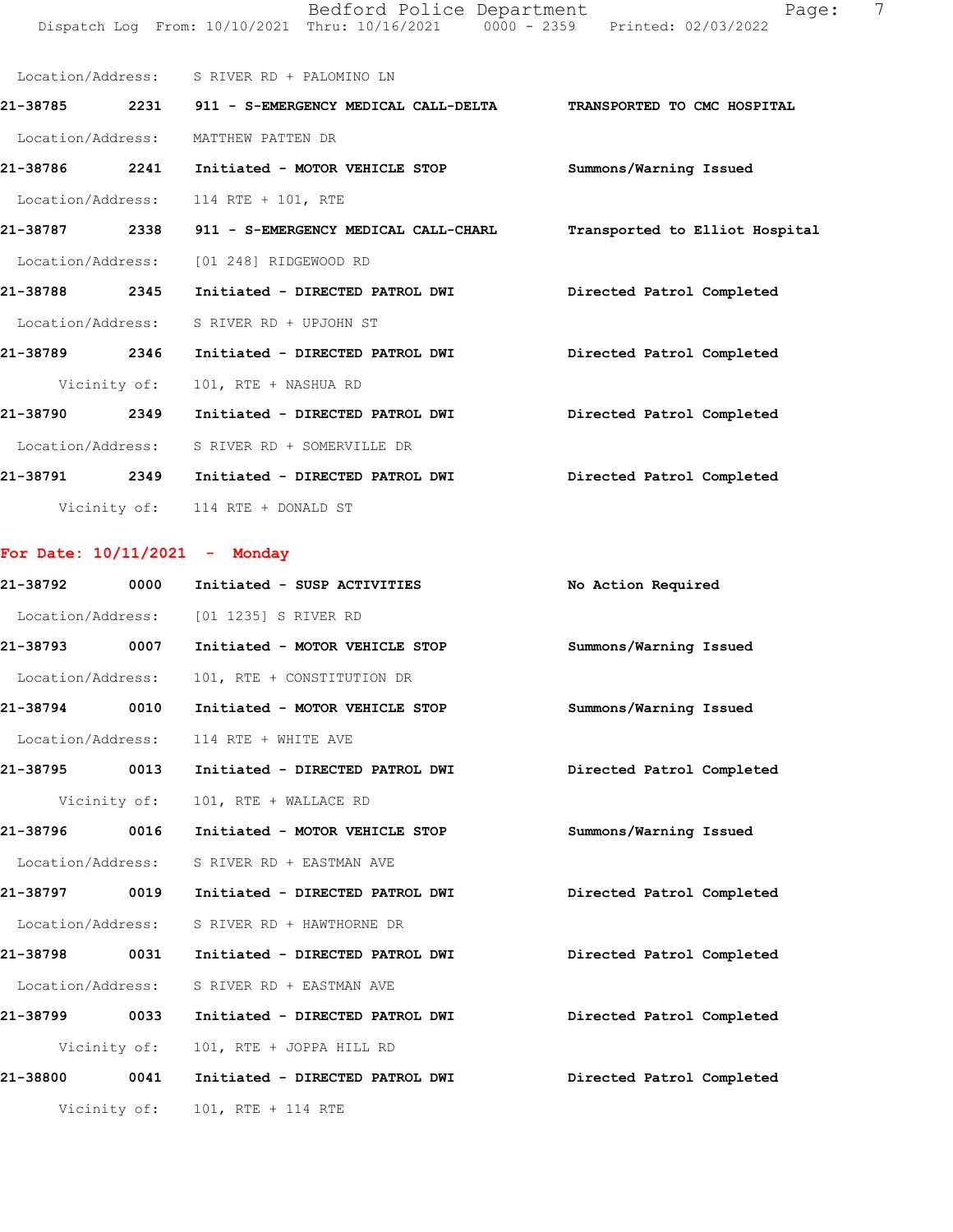| Location/Address: | S RIVER RD + PALOMINO LN                           |                                |
|-------------------|----------------------------------------------------|--------------------------------|
| 2231<br>21-38785  | 911 - S-EMERGENCY MEDICAL CALL-DELTA               | TRANSPORTED TO CMC HOSPITAL    |
| Location/Address: | MATTHEW PATTEN DR                                  |                                |
| 21-38786<br>2241  | Initiated - MOTOR VEHICLE STOP                     | Summons/Warning Issued         |
|                   | Location/Address: 114 RTE + 101, RTE               |                                |
|                   | 21-38787 2338 911 - S-EMERGENCY MEDICAL CALL-CHARL | Transported to Elliot Hospital |
| Location/Address: | [01 248] RIDGEWOOD RD                              |                                |
| 21-38788<br>2345  | Initiated - DIRECTED PATROL DWI                    | Directed Patrol Completed      |
|                   | Location/Address: S RIVER RD + UPJOHN ST           |                                |
| 21-38789<br>2346  | Initiated - DIRECTED PATROL DWI                    | Directed Patrol Completed      |
|                   | Vicinity of: 101, RTE + NASHUA RD                  |                                |
| 21-38790<br>2349  | Initiated - DIRECTED PATROL DWI                    | Directed Patrol Completed      |
| Location/Address: | S RIVER RD + SOMERVILLE DR                         |                                |
| 21-38791<br>2349  | Initiated - DIRECTED PATROL DWI                    | Directed Patrol Completed      |
|                   | Vicinity of: 114 RTE + DONALD ST                   |                                |

| For Date: 10/11/2021 |  |  |  |  | Monday |
|----------------------|--|--|--|--|--------|
|----------------------|--|--|--|--|--------|

| 21-38792          | 0000         | Initiated - SUSP ACTIVITIES            | No Action Required        |
|-------------------|--------------|----------------------------------------|---------------------------|
|                   |              | Location/Address: [01 1235] S RIVER RD |                           |
| 21-38793 0007     |              | Initiated - MOTOR VEHICLE STOP         | Summons/Warning Issued    |
| Location/Address: |              | 101, RTE + CONSTITUTION DR             |                           |
| 21-38794 0010     |              | Initiated - MOTOR VEHICLE STOP         | Summons/Warning Issued    |
| Location/Address: |              | 114 RTE + WHITE AVE                    |                           |
| 21-38795 0013     |              | Initiated - DIRECTED PATROL DWI        | Directed Patrol Completed |
|                   | Vicinity of: | 101, RTE + WALLACE RD                  |                           |
| 21-38796 0016     |              | Initiated - MOTOR VEHICLE STOP         | Summons/Warning Issued    |
| Location/Address: |              | S RIVER RD + EASTMAN AVE               |                           |
| 21-38797 0019     |              | Initiated - DIRECTED PATROL DWI        | Directed Patrol Completed |
| Location/Address: |              | S RIVER RD + HAWTHORNE DR              |                           |
| 21-38798          | 0031         | Initiated - DIRECTED PATROL DWI        | Directed Patrol Completed |
| Location/Address: |              | S RIVER RD + EASTMAN AVE               |                           |
| 21-38799 0033     |              | Initiated - DIRECTED PATROL DWI        | Directed Patrol Completed |
|                   | Vicinity of: | 101, RTE + JOPPA HILL RD               |                           |
| 21-38800 0041     |              | Initiated - DIRECTED PATROL DWI        | Directed Patrol Completed |
|                   |              | Vicinity of: 101, RTE + 114 RTE        |                           |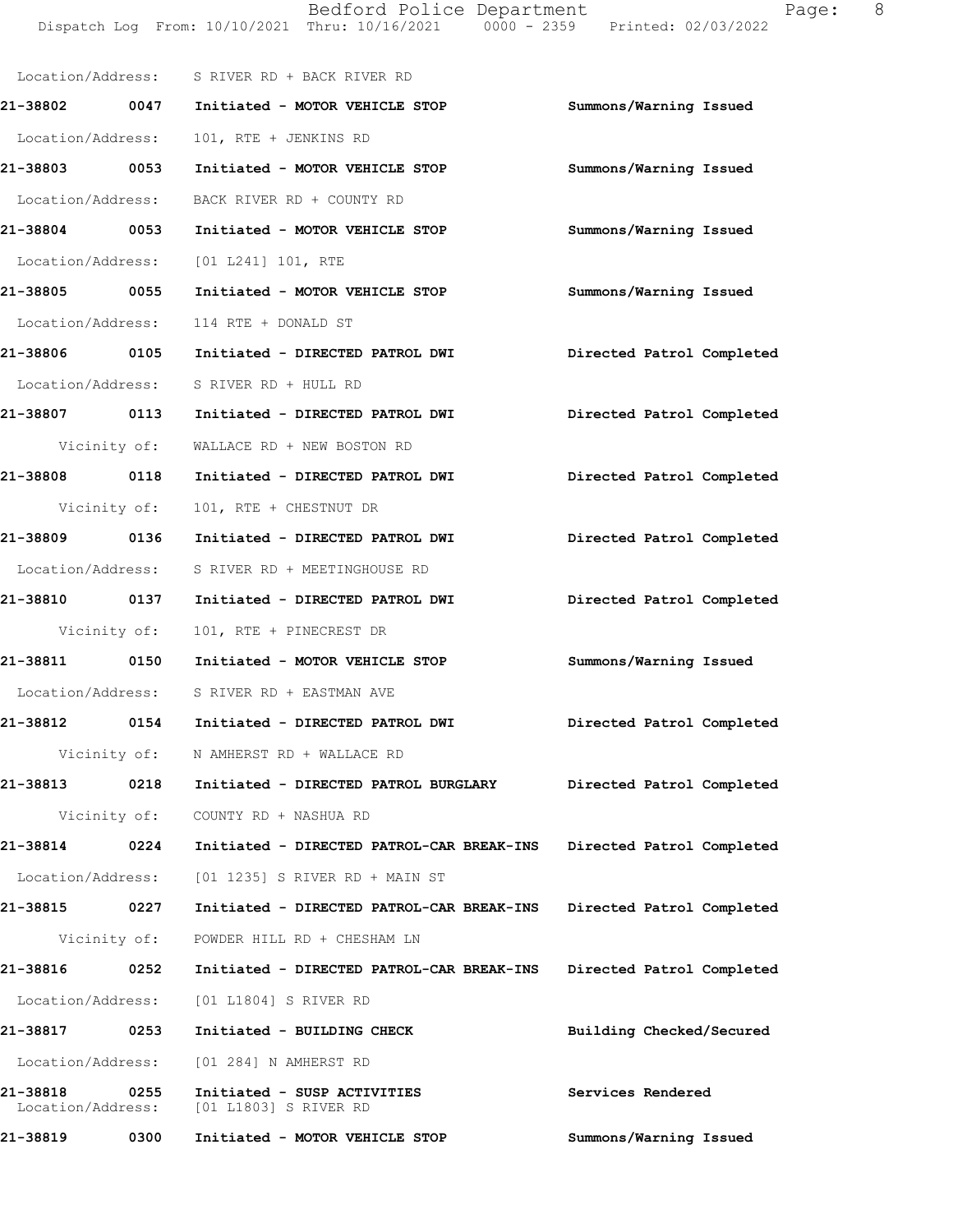Location/Address: S RIVER RD + BACK RIVER RD **21-38802 0047 Initiated - MOTOR VEHICLE STOP Summons/Warning Issued**  Location/Address: 101, RTE + JENKINS RD **21-38803 0053 Initiated - MOTOR VEHICLE STOP Summons/Warning Issued**  Location/Address: BACK RIVER RD + COUNTY RD **21-38804 0053 Initiated - MOTOR VEHICLE STOP Summons/Warning Issued**  Location/Address: [01 L241] 101, RTE **21-38805 0055 Initiated - MOTOR VEHICLE STOP Summons/Warning Issued**  Location/Address: 114 RTE + DONALD ST **21-38806 0105 Initiated - DIRECTED PATROL DWI Directed Patrol Completed**  Location/Address: S RIVER RD + HULL RD **21-38807 0113 Initiated - DIRECTED PATROL DWI Directed Patrol Completed**  Vicinity of: WALLACE RD + NEW BOSTON RD **21-38808 0118 Initiated - DIRECTED PATROL DWI Directed Patrol Completed**  Vicinity of: 101, RTE + CHESTNUT DR **21-38809 0136 Initiated - DIRECTED PATROL DWI Directed Patrol Completed**  Location/Address: S RIVER RD + MEETINGHOUSE RD **21-38810 0137 Initiated - DIRECTED PATROL DWI Directed Patrol Completed**  Vicinity of: 101, RTE + PINECREST DR **21-38811 0150 Initiated - MOTOR VEHICLE STOP Summons/Warning Issued**  Location/Address: S RIVER RD + EASTMAN AVE **21-38812 0154 Initiated - DIRECTED PATROL DWI Directed Patrol Completed**  Vicinity of: N AMHERST RD + WALLACE RD **21-38813 0218 Initiated - DIRECTED PATROL BURGLARY Directed Patrol Completed**  Vicinity of: COUNTY RD + NASHUA RD **21-38814 0224 Initiated - DIRECTED PATROL-CAR BREAK-INS Directed Patrol Completed**  Location/Address: [01 1235] S RIVER RD + MAIN ST **21-38815 0227 Initiated - DIRECTED PATROL-CAR BREAK-INS Directed Patrol Completed**  Vicinity of: POWDER HILL RD + CHESHAM LN **21-38816 0252 Initiated - DIRECTED PATROL-CAR BREAK-INS Directed Patrol Completed**  Location/Address: [01 L1804] S RIVER RD **21-38817 0253 Initiated - BUILDING CHECK Building Checked/Secured**  Location/Address: [01 284] N AMHERST RD **21-38818 0255 Initiated - SUSP ACTIVITIES Services Rendered**  Location/Address: [01 L1803] S RIVER RD **21-38819 0300 Initiated - MOTOR VEHICLE STOP Summons/Warning Issued** 

Dispatch Log From: 10/10/2021 Thru: 10/16/2021 0000 - 2359 Printed: 02/03/2022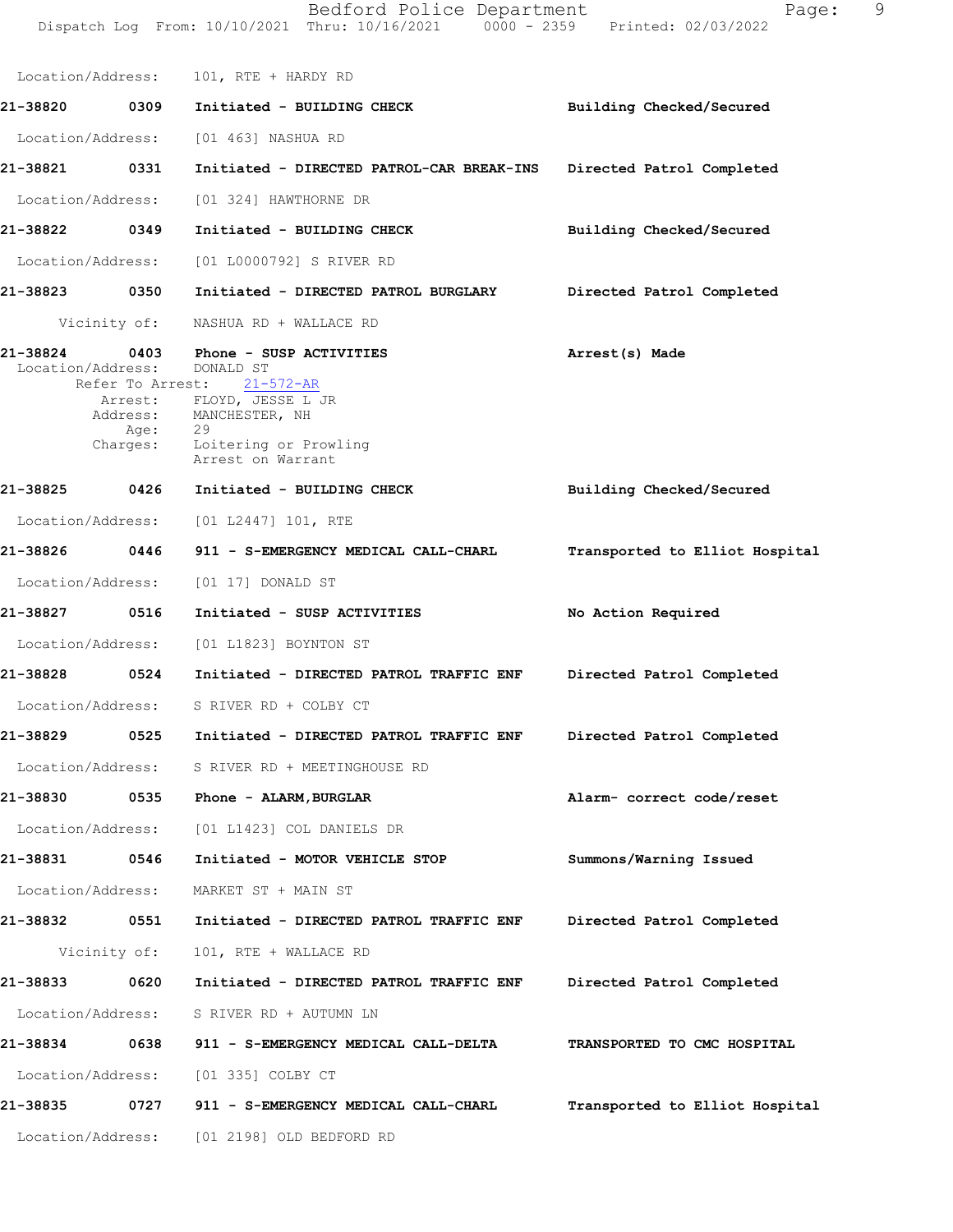Dispatch Log From: 10/10/2021 Thru: 10/16/2021 0000 - 2359 Printed: 02/03/2022 Location/Address: 101, RTE + HARDY RD **21-38820 0309 Initiated - BUILDING CHECK Building Checked/Secured** Location/Address: [01 463] NASHUA RD **21-38821 0331 Initiated - DIRECTED PATROL-CAR BREAK-INS Directed Patrol Completed** Location/Address: [01 324] HAWTHORNE DR **21-38822 0349 Initiated - BUILDING CHECK Building Checked/Secured** Location/Address: [01 L0000792] S RIVER RD **21-38823 0350 Initiated - DIRECTED PATROL BURGLARY Directed Patrol Completed** Vicinity of: NASHUA RD + WALLACE RD **21-38824 0403 Arrest(s) Made Phone - SUSP ACTIVITIES** Location/Address: DONALD ST<br>Refer To Arrest: 21-572-AR Refer To Arrest: **Building Checked/Secured Transported to Elliot Hospital No Action Required Directed Patrol Completed Directed Patrol Completed Alarm- correct code/reset Summons/Warning Issued Directed Patrol Completed Directed Patrol Completed TRANSPORTED TO CMC HOSPITAL Transported to Elliot Hospital** Arrest: FLOYD, JESSE L JR Address: MANCHESTER, NH Age: 29 Charges: Loitering or Prowling Arrest on Warrant **21-38825 0426 Initiated - BUILDING CHECK** Location/Address: [01 L2447] 101, RTE **21-38826 0446 911 - S-EMERGENCY MEDICAL CALL-CHARL** Location/Address: [01 17] DONALD ST **21-38827 0516 Initiated - SUSP ACTIVITIES** Location/Address: [01 L1823] BOYNTON ST **21-38828 0524 Initiated - DIRECTED PATROL TRAFFIC ENF** Location/Address: S RIVER RD + COLBY CT **21-38829 0525 Initiated - DIRECTED PATROL TRAFFIC ENF** Location/Address: S RIVER RD + MEETINGHOUSE RD **21-38830 0535 Phone - ALARM,BURGLAR** Location/Address: [01 L1423] COL DANIELS DR **21-38831 0546 Initiated - MOTOR VEHICLE STOP** Location/Address: MARKET ST + MAIN ST **21-38832 0551 Initiated - DIRECTED PATROL TRAFFIC ENF** Vicinity of: 101, RTE + WALLACE RD **21-38833 0620 Initiated - DIRECTED PATROL TRAFFIC ENF** Location/Address: S RIVER RD + AUTUMN LN **21-38834 0638 911 - S-EMERGENCY MEDICAL CALL-DELTA** Location/Address: [01 335] COLBY CT **21-38835 0727 911 - S-EMERGENCY MEDICAL CALL-CHARL** Location/Address: [01 2198] OLD BEDFORD RD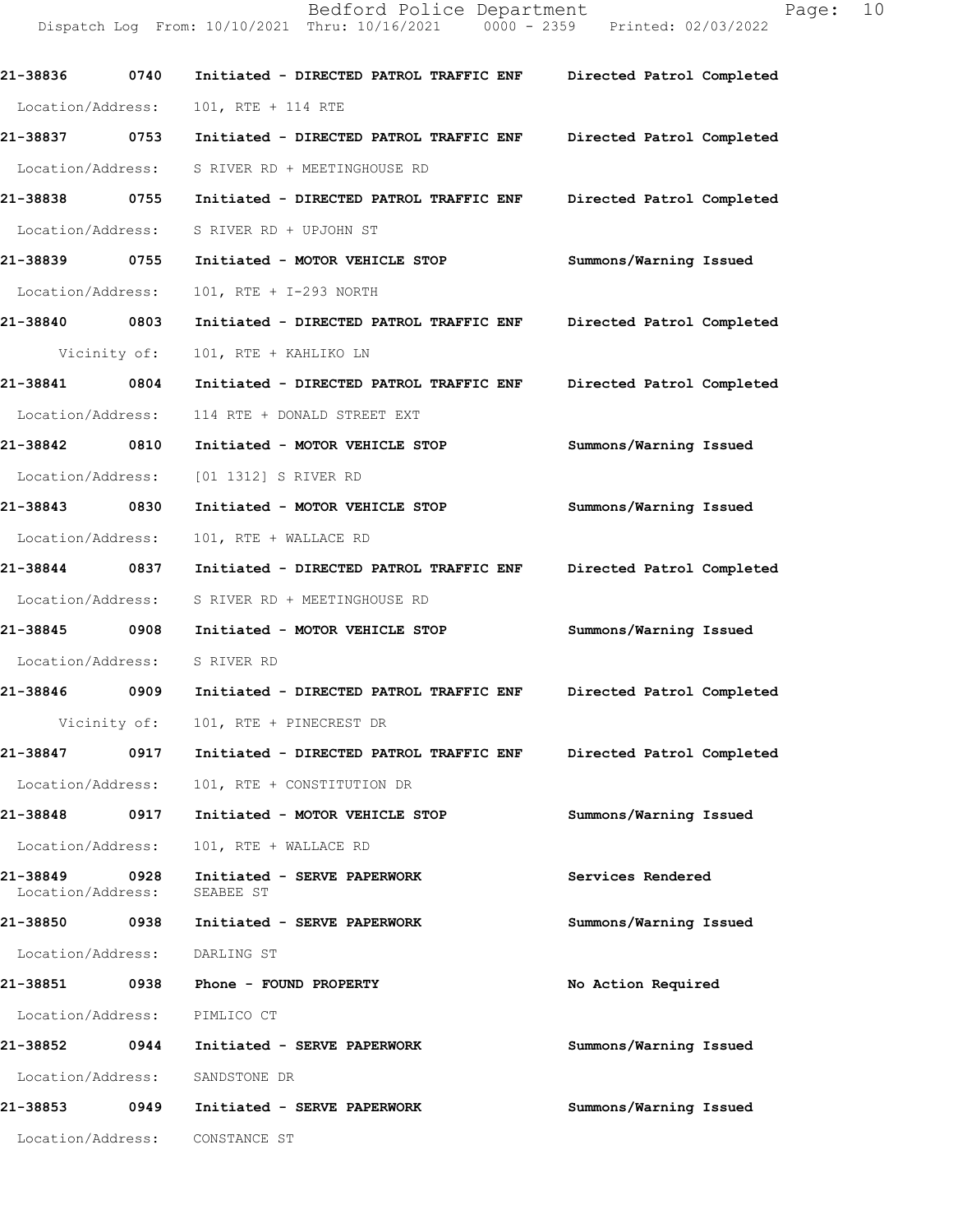Dispatch Log From: 10/10/2021 Thru: 10/16/2021 0000 - 2359 Printed: 02/03/2022 **21-38836 0740 Initiated - DIRECTED PATROL TRAFFIC ENF Directed Patrol Completed**  Location/Address: 101, RTE + 114 RTE **21-38837 0753 Initiated - DIRECTED PATROL TRAFFIC ENF Directed Patrol Completed**  Location/Address: S RIVER RD + MEETINGHOUSE RD **21-38838 0755 Initiated - DIRECTED PATROL TRAFFIC ENF Directed Patrol Completed**  Location/Address: S RIVER RD + UPJOHN ST **21-38839 0755 Initiated - MOTOR VEHICLE STOP Summons/Warning Issued**  Location/Address: 101, RTE + I-293 NORTH **21-38840 0803 Initiated - DIRECTED PATROL TRAFFIC ENF Directed Patrol Completed**  Vicinity of: 101, RTE + KAHLIKO LN **21-38841 0804 Initiated - DIRECTED PATROL TRAFFIC ENF Directed Patrol Completed**  Location/Address: 114 RTE + DONALD STREET EXT **21-38842 0810 Initiated - MOTOR VEHICLE STOP Summons/Warning Issued**  Location/Address: [01 1312] S RIVER RD **21-38843 0830 Initiated - MOTOR VEHICLE STOP Summons/Warning Issued**  Location/Address: 101, RTE + WALLACE RD **21-38844 0837 Initiated - DIRECTED PATROL TRAFFIC ENF Directed Patrol Completed**  Location/Address: S RIVER RD + MEETINGHOUSE RD **21-38845 0908 Initiated - MOTOR VEHICLE STOP Summons/Warning Issued**  Location/Address: S RIVER RD **21-38846 0909 Initiated - DIRECTED PATROL TRAFFIC ENF Directed Patrol Completed**  Vicinity of: 101, RTE + PINECREST DR **21-38847 0917 Initiated - DIRECTED PATROL TRAFFIC ENF Directed Patrol Completed**  Location/Address: 101, RTE + CONSTITUTION DR **21-38848 0917 Initiated - MOTOR VEHICLE STOP Summons/Warning Issued**  Location/Address: 101, RTE + WALLACE RD **21-38849 0928 Initiated - SERVE PAPERWORK Services Rendered**  Location/Address: **21-38850 0938 Initiated - SERVE PAPERWORK Summons/Warning Issued**  Location/Address: DARLING ST **21-38851 0938 Phone - FOUND PROPERTY No Action Required**  Location/Address: PIMLICO CT **21-38852 0944 Initiated - SERVE PAPERWORK Summons/Warning Issued**  Location/Address: SANDSTONE DR **21-38853 0949 Initiated - SERVE PAPERWORK Summons/Warning Issued**  Location/Address: CONSTANCE ST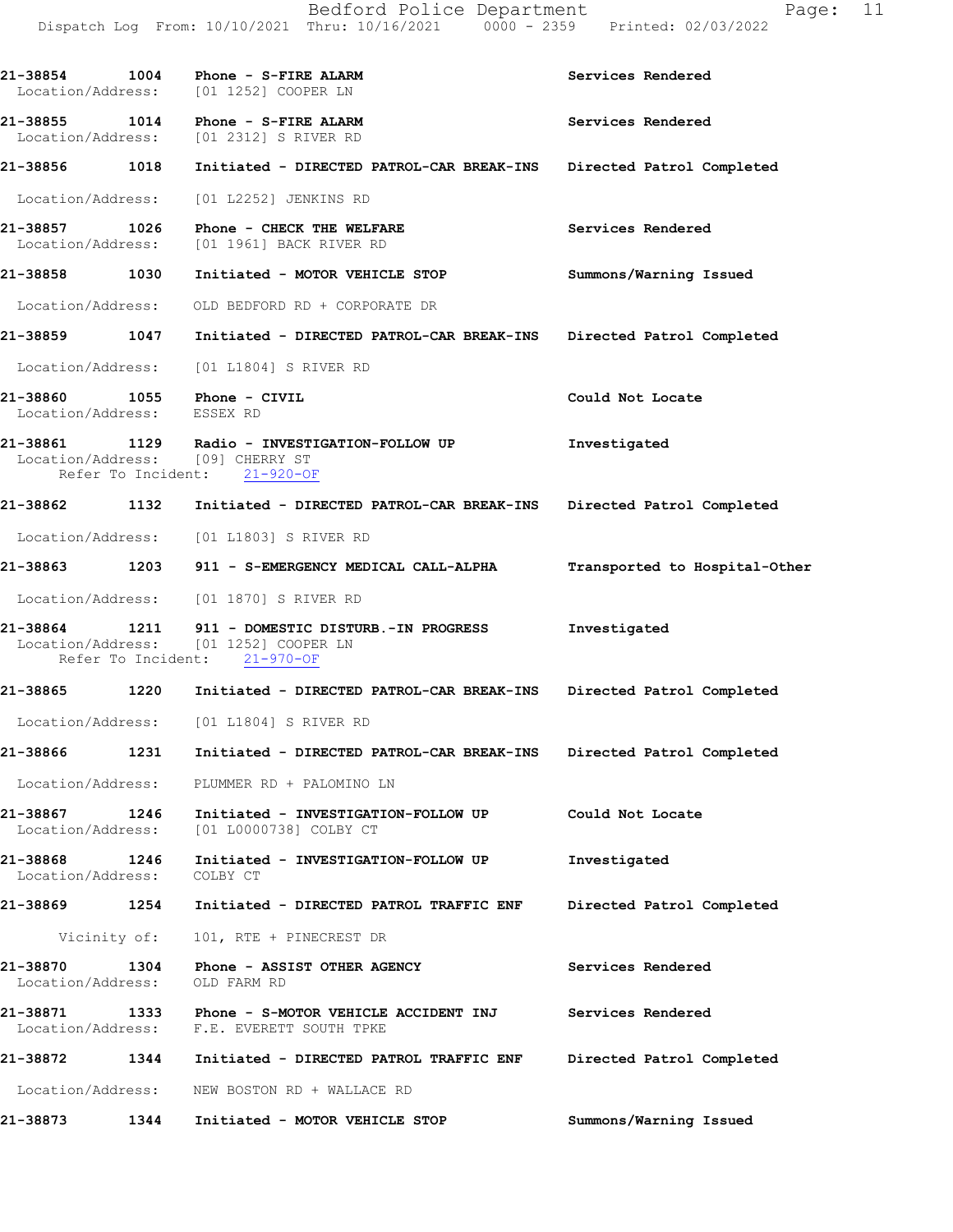|                                    | 21-38854 1004 Phone - S-FIRE ALARM<br>Location/Address: [01 1252] COOPER LN                                                              | Services Rendered         |
|------------------------------------|------------------------------------------------------------------------------------------------------------------------------------------|---------------------------|
| 21-38855 1014                      | Phone - S-FIRE ALARM<br>Location/Address: [01 2312] S RIVER RD                                                                           | Services Rendered         |
| 21-38856 1018                      | Initiated - DIRECTED PATROL-CAR BREAK-INS Directed Patrol Completed                                                                      |                           |
|                                    | Location/Address: [01 L2252] JENKINS RD                                                                                                  |                           |
| 21-38857 1026                      | Phone - CHECK THE WELFARE<br>Location/Address: [01 1961] BACK RIVER RD                                                                   | Services Rendered         |
| 21-38858 1030                      | Initiated - MOTOR VEHICLE STOP                                                                                                           | Summons/Warning Issued    |
|                                    | Location/Address: OLD BEDFORD RD + CORPORATE DR                                                                                          |                           |
| 21-38859 1047                      | Initiated - DIRECTED PATROL-CAR BREAK-INS Directed Patrol Completed                                                                      |                           |
| Location/Address:                  | [01 L1804] S RIVER RD                                                                                                                    |                           |
| Location/Address: ESSEX RD         | 21-38860 1055 Phone - CIVIL                                                                                                              | Could Not Locate          |
|                                    | 21-38861 1129 Radio - INVESTIGATION-FOLLOW UP<br>Location/Address: [09] CHERRY ST<br>Refer To Incident: 21-920-OF                        | Investigated              |
| 21-38862 1132                      | Initiated - DIRECTED PATROL-CAR BREAK-INS Directed Patrol Completed                                                                      |                           |
|                                    | Location/Address: [01 L1803] S RIVER RD                                                                                                  |                           |
|                                    | 21-38863 1203 911 - S-EMERGENCY MEDICAL CALL-ALPHA Transported to Hospital-Other                                                         |                           |
|                                    | Location/Address: [01 1870] S RIVER RD                                                                                                   |                           |
|                                    | 21-38864 1211 911 - DOMESTIC DISTURB.-IN PROGRESS<br>Location/Address: [01 1252] COOPER LN<br>Refer To Incident: 21-970-OF               | Investigated              |
|                                    | 21-38865 1220 Initiated - DIRECTED PATROL-CAR BREAK-INS Directed Patrol Completed                                                        |                           |
|                                    | Location/Address: [01 L1804] S RIVER RD                                                                                                  |                           |
|                                    | 21-38866 1231 Initiated - DIRECTED PATROL-CAR BREAK-INS Directed Patrol Completed                                                        |                           |
|                                    | Location/Address: PLUMMER RD + PALOMINO LN                                                                                               |                           |
|                                    | 21-38867 1246 Initiated - INVESTIGAT<br>Location/Address: [01 L0000738] COLBY CT<br>Initiated - INVESTIGATION-FOLLOW UP Could Not Locate |                           |
| 21-38868 1246<br>Location/Address: | Initiated - INVESTIGATION-FOLLOW UP<br>COLBY CT                                                                                          | Investigated              |
|                                    | 21-38869 1254 Initiated - DIRECTED PATROL TRAFFIC ENF                                                                                    | Directed Patrol Completed |
|                                    | Vicinity of: 101, RTE + PINECREST DR                                                                                                     |                           |
| Location/Address: OLD FARM RD      | 21-38870 1304 Phone - ASSIST OTHER AGENCY                                                                                                | Services Rendered         |
|                                    | 21-38871 1333 Phone - S-MOTOR VEHICLE ACCIDENT INJ Services Rendered<br>Location/Address: F.E. EVERETT SOUTH TPKE                        |                           |
|                                    |                                                                                                                                          | Directed Patrol Completed |
|                                    | Location/Address: NEW BOSTON RD + WALLACE RD                                                                                             |                           |
| 21-38873 1344                      | Initiated - MOTOR VEHICLE STOP                                                                                                           | Summons/Warning Issued    |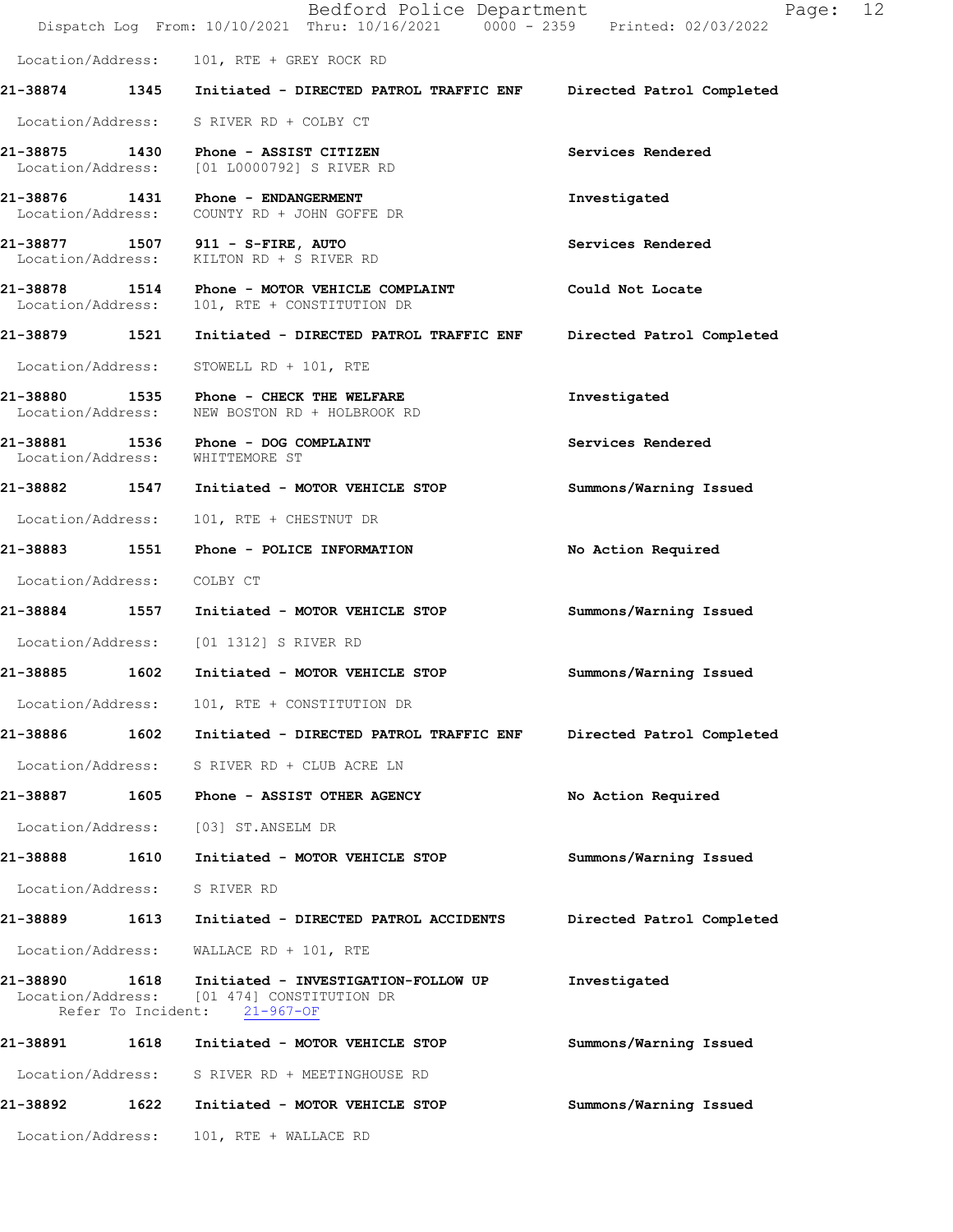|                                 |      | Bedford Police Department<br>Dispatch Log From: 10/10/2021 Thru: 10/16/2021 0000 - 2359 Printed: 02/03/2022       | 12<br>Page:               |
|---------------------------------|------|-------------------------------------------------------------------------------------------------------------------|---------------------------|
|                                 |      | Location/Address: 101, RTE + GREY ROCK RD                                                                         |                           |
|                                 |      | 21-38874 1345 Initiated - DIRECTED PATROL TRAFFIC ENF Directed Patrol Completed                                   |                           |
|                                 |      | Location/Address: S RIVER RD + COLBY CT                                                                           |                           |
|                                 |      | 21-38875 1430 Phone - ASSIST CITIZEN<br>Location/Address: [01 L0000792] S RIVER RD                                | Services Rendered         |
| 21-38876 1431                   |      | <b>Phone - ENDANGERMENT</b><br>Location/Address: COUNTY RD + JOHN GOFFE DR                                        | Investigated              |
|                                 |      | 21-38877 1507 911 - S-FIRE, AUTO<br>Location/Address: KILTON RD + S RIVER RD                                      | Services Rendered         |
| Location/Address:               |      | 21-38878 1514 Phone - MOTOR VEHICLE COMPLAINT<br>101, RTE + CONSTITUTION DR                                       | Could Not Locate          |
| 21-38879 1521                   |      | Initiated - DIRECTED PATROL TRAFFIC ENF                                                                           | Directed Patrol Completed |
| Location/Address:               |      | STOWELL RD + 101, RTE                                                                                             |                           |
| Location/Address:               |      | 21-38880 1535 Phone - CHECK THE WELFARE<br>NEW BOSTON RD + HOLBROOK RD                                            | Investigated              |
| Location/Address: WHITTEMORE ST |      | 21-38881 1536 Phone - DOG COMPLAINT                                                                               | Services Rendered         |
|                                 |      | 21-38882 1547 Initiated - MOTOR VEHICLE STOP                                                                      | Summons/Warning Issued    |
|                                 |      | Location/Address: 101, RTE + CHESTNUT DR                                                                          |                           |
|                                 |      |                                                                                                                   | No Action Required        |
| Location/Address: COLBY CT      |      |                                                                                                                   |                           |
|                                 |      | 21-38884 1557 Initiated - MOTOR VEHICLE STOP                                                                      | Summons/Warning Issued    |
|                                 |      | Location/Address: [01 1312] S RIVER RD                                                                            |                           |
| 21-38885 1602                   |      | Initiated - MOTOR VEHICLE STOP                                                                                    | Summons/Warning Issued    |
| Location/Address:               |      | 101, RTE + CONSTITUTION DR                                                                                        |                           |
| 21-38886                        | 1602 | Initiated - DIRECTED PATROL TRAFFIC ENF                                                                           | Directed Patrol Completed |
| Location/Address:               |      | S RIVER RD + CLUB ACRE LN                                                                                         |                           |
| 21-38887                        | 1605 | Phone - ASSIST OTHER AGENCY                                                                                       | No Action Required        |
| Location/Address:               |      | [03] ST.ANSELM DR                                                                                                 |                           |
| 21-38888 1610                   |      | Initiated - MOTOR VEHICLE STOP                                                                                    | Summons/Warning Issued    |
| Location/Address:               |      | S RIVER RD                                                                                                        |                           |
| 21-38889                        | 1613 | Initiated - DIRECTED PATROL ACCIDENTS                                                                             | Directed Patrol Completed |
| Location/Address:               |      | WALLACE RD + $101$ , RTE                                                                                          |                           |
| 21-38890                        | 1618 | Initiated - INVESTIGATION-FOLLOW UP<br>Location/Address: [01 474] CONSTITUTION DR<br>Refer To Incident: 21-967-OF | Investigated              |
| 21-38891 1618                   |      | Initiated - MOTOR VEHICLE STOP                                                                                    | Summons/Warning Issued    |
| Location/Address:               |      | S RIVER RD + MEETINGHOUSE RD                                                                                      |                           |
| 21-38892                        | 1622 | Initiated - MOTOR VEHICLE STOP                                                                                    | Summons/Warning Issued    |
|                                 |      | Location/Address: 101, RTE + WALLACE RD                                                                           |                           |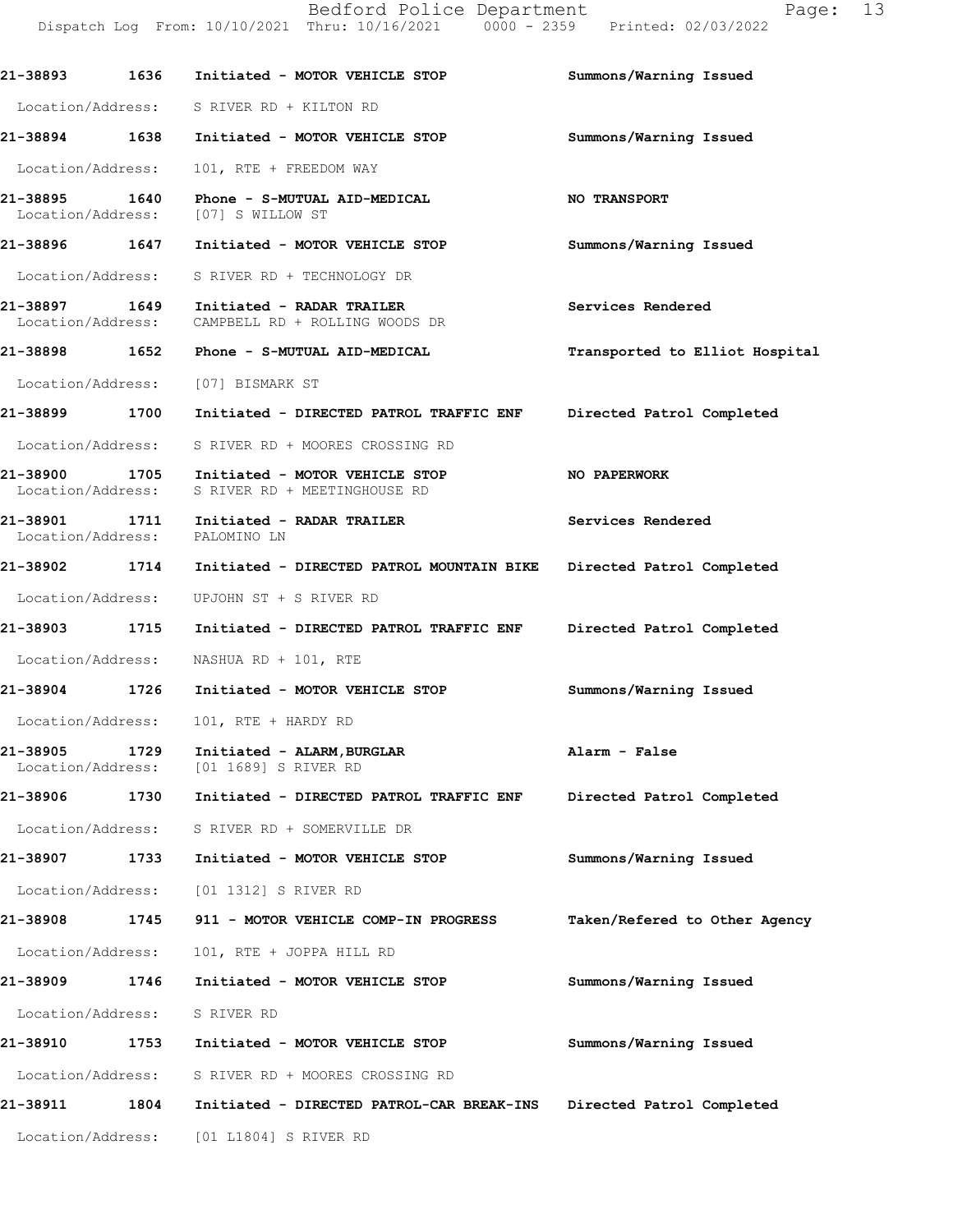|                                    |      | Bedford Police Department<br>Dispatch Log From: 10/10/2021 Thru: 10/16/2021 0000 - 2359 Printed: 02/03/2022 | 13<br>Page:                    |
|------------------------------------|------|-------------------------------------------------------------------------------------------------------------|--------------------------------|
|                                    |      |                                                                                                             | Summons/Warning Issued         |
|                                    |      | Location/Address: S RIVER RD + KILTON RD                                                                    |                                |
|                                    |      | 21-38894 1638 Initiated - MOTOR VEHICLE STOP                                                                | Summons/Warning Issued         |
| Location/Address:                  |      | 101, RTE + FREEDOM WAY                                                                                      |                                |
| 21-38895 1640<br>Location/Address: |      | Phone - S-MUTUAL AID-MEDICAL<br>[07] S WILLOW ST                                                            | <b>NO TRANSPORT</b>            |
| 21-38896 1647                      |      | Initiated - MOTOR VEHICLE STOP                                                                              | Summons/Warning Issued         |
| Location/Address:                  |      | S RIVER RD + TECHNOLOGY DR                                                                                  |                                |
| 21-38897 1649<br>Location/Address: |      | Initiated - RADAR TRAILER<br>CAMPBELL RD + ROLLING WOODS DR                                                 | Services Rendered              |
|                                    |      | 21-38898 1652 Phone - S-MUTUAL AID-MEDICAL                                                                  | Transported to Elliot Hospital |
|                                    |      | Location/Address: [07] BISMARK ST                                                                           |                                |
| 21-38899 1700                      |      | Initiated - DIRECTED PATROL TRAFFIC ENF                                                                     | Directed Patrol Completed      |
| Location/Address:                  |      | S RIVER RD + MOORES CROSSING RD                                                                             |                                |
| Location/Address:                  |      | 21-38900 1705 Initiated - MOTOR VEHICLE STOP<br>S RIVER RD + MEETINGHOUSE RD                                | NO PAPERWORK                   |
| 21-38901                           |      | 1711 Initiated - RADAR TRAILER<br>Location/Address: PALOMINO LN                                             | Services Rendered              |
|                                    |      | 21-38902 1714 Initiated - DIRECTED PATROL MOUNTAIN BIKE                                                     | Directed Patrol Completed      |
| Location/Address:                  |      | UPJOHN ST + S RIVER RD                                                                                      |                                |
| 21-38903 1715                      |      | Initiated - DIRECTED PATROL TRAFFIC ENF Directed Patrol Completed                                           |                                |
| Location/Address:                  |      | NASHUA RD + 101, RTE                                                                                        |                                |
| 21-38904                           | 1726 | Initiated - MOTOR VEHICLE STOP                                                                              | Summons/Warning Issued         |
| Location/Address:                  |      | 101, RTE + HARDY RD                                                                                         |                                |
| 21-38905<br>Location/Address:      | 1729 | Initiated - ALARM, BURGLAR<br>[01 1689] S RIVER RD                                                          | Alarm - False                  |
| 21-38906                           | 1730 | Initiated - DIRECTED PATROL TRAFFIC ENF                                                                     | Directed Patrol Completed      |
| Location/Address:                  |      | S RIVER RD + SOMERVILLE DR                                                                                  |                                |
| 21-38907                           | 1733 | Initiated - MOTOR VEHICLE STOP                                                                              | Summons/Warning Issued         |
| Location/Address:                  |      | [01 1312] S RIVER RD                                                                                        |                                |
| 21-38908                           | 1745 | 911 - MOTOR VEHICLE COMP-IN PROGRESS                                                                        | Taken/Refered to Other Agency  |
| Location/Address:                  |      | 101, RTE + JOPPA HILL RD                                                                                    |                                |
| 21-38909                           | 1746 | Initiated - MOTOR VEHICLE STOP                                                                              | Summons/Warning Issued         |
| Location/Address:                  |      | S RIVER RD                                                                                                  |                                |
| 21-38910                           | 1753 | Initiated - MOTOR VEHICLE STOP                                                                              | Summons/Warning Issued         |
| Location/Address:                  |      | S RIVER RD + MOORES CROSSING RD                                                                             |                                |
| 21-38911                           | 1804 | Initiated - DIRECTED PATROL-CAR BREAK-INS                                                                   | Directed Patrol Completed      |

Location/Address: [01 L1804] S RIVER RD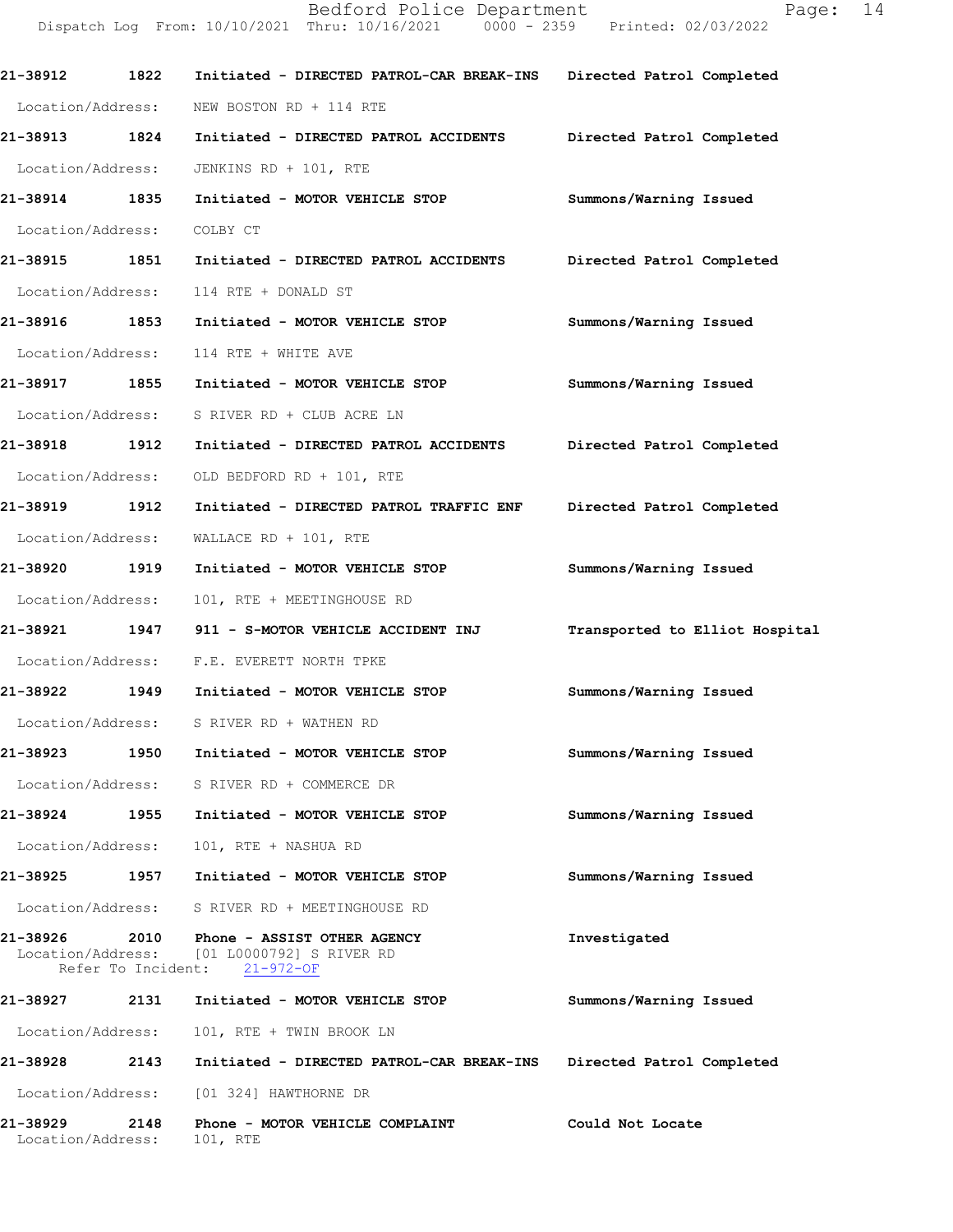**21-38912 1822 Initiated - DIRECTED PATROL-CAR BREAK-INS Directed Patrol Completed**  Location/Address: NEW BOSTON RD + 114 RTE **21-38913 1824 Initiated - DIRECTED PATROL ACCIDENTS Directed Patrol Completed**  Location/Address: JENKINS RD + 101, RTE **21-38914 1835 Initiated - MOTOR VEHICLE STOP Summons/Warning Issued**  Location/Address: COLBY CT **21-38915 1851 Initiated - DIRECTED PATROL ACCIDENTS Directed Patrol Completed**  Location/Address: 114 RTE + DONALD ST **21-38916 1853 Initiated - MOTOR VEHICLE STOP Summons/Warning Issued**  Location/Address: 114 RTE + WHITE AVE **21-38917 1855 Initiated - MOTOR VEHICLE STOP Summons/Warning Issued**  Location/Address: S RIVER RD + CLUB ACRE LN **21-38918 1912 Initiated - DIRECTED PATROL ACCIDENTS Directed Patrol Completed**  Location/Address: OLD BEDFORD RD + 101, RTE **21-38919 1912 Initiated - DIRECTED PATROL TRAFFIC ENF Directed Patrol Completed**  Location/Address: WALLACE RD + 101, RTE **21-38920 1919 Initiated - MOTOR VEHICLE STOP Summons/Warning Issued**  Location/Address: 101, RTE + MEETINGHOUSE RD **21-38921 1947 911 - S-MOTOR VEHICLE ACCIDENT INJ Transported to Elliot Hospital** Location/Address: F.E. EVERETT NORTH TPKE **21-38922 1949 Initiated - MOTOR VEHICLE STOP Summons/Warning Issued**  Location/Address: S RIVER RD + WATHEN RD **21-38923 1950 Initiated - MOTOR VEHICLE STOP Summons/Warning Issued**  Location/Address: S RIVER RD + COMMERCE DR **21-38924 1955 Initiated - MOTOR VEHICLE STOP Summons/Warning Issued**  Location/Address: 101, RTE + NASHUA RD **21-38925 1957 Initiated - MOTOR VEHICLE STOP Summons/Warning Issued**  Location/Address: S RIVER RD + MEETINGHOUSE RD **21-38926 2010 Phone - ASSIST OTHER AGENCY Investigated**  Location/Address: [01 L0000792] S RIVER RD Refer To Incident: 21-972-OF **21-38927 2131 Initiated - MOTOR VEHICLE STOP Summons/Warning Issued**  Location/Address: 101, RTE + TWIN BROOK LN **21-38928 2143 Initiated - DIRECTED PATROL-CAR BREAK-INS Directed Patrol Completed**  Location/Address: [01 324] HAWTHORNE DR

Dispatch Log From: 10/10/2021 Thru: 10/16/2021 0000 - 2359 Printed: 02/03/2022

**21-38929 2148 Phone - MOTOR VEHICLE COMPLAINT Could Not Locate**  Location/Address: 101, RTE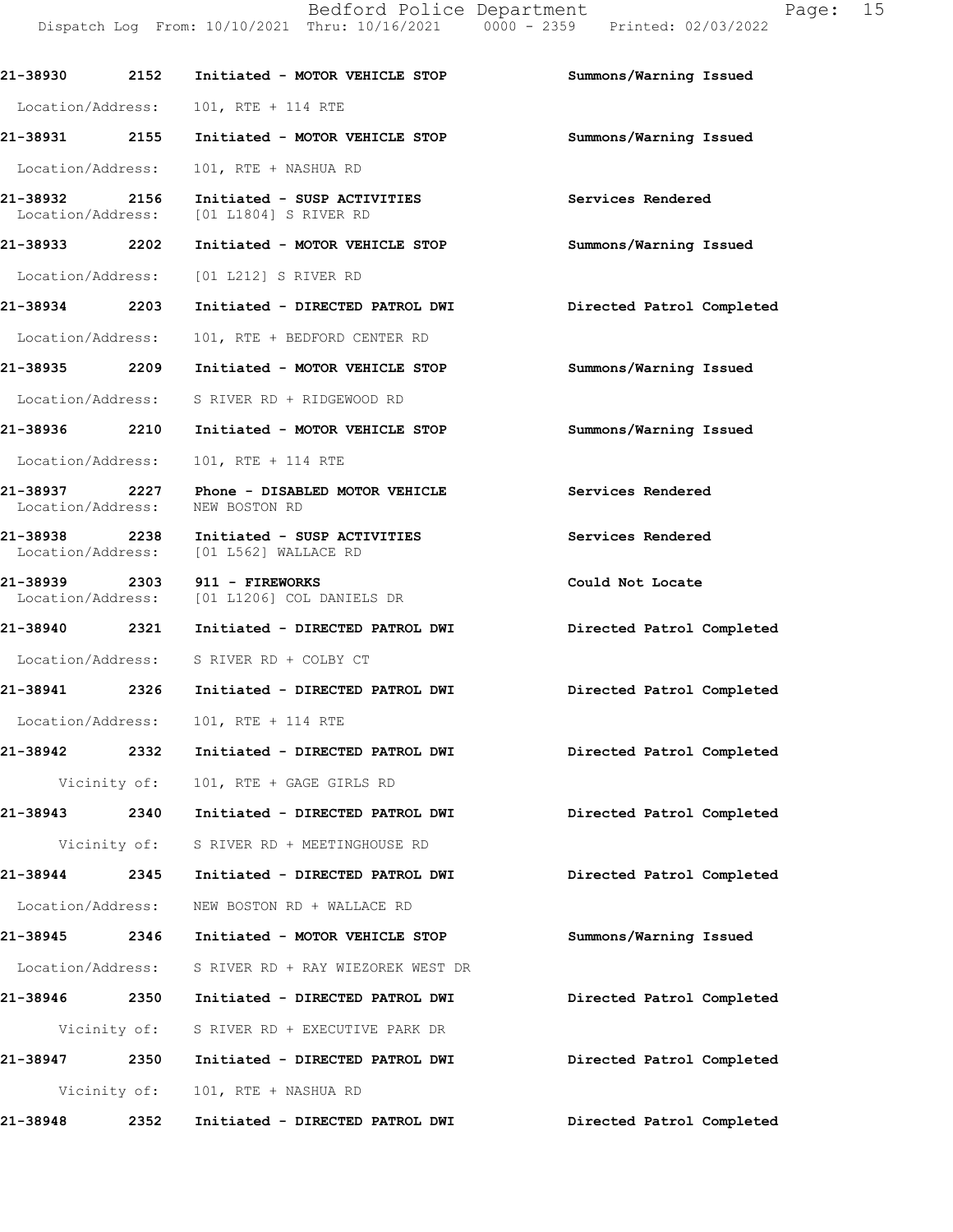| 21-38930 2152     |              | Initiated - MOTOR VEHICLE STOP                                                      | Summons/Warning Issued    |
|-------------------|--------------|-------------------------------------------------------------------------------------|---------------------------|
|                   |              | Location/Address: 101, RTE + 114 RTE                                                |                           |
|                   |              | 21-38931 2155 Initiated - MOTOR VEHICLE STOP                                        | Summons/Warning Issued    |
| Location/Address: |              | 101, RTE + NASHUA RD                                                                |                           |
| 21-38932 2156     |              | Initiated - SUSP ACTIVITIES<br>Location/Address: [01 L1804] S RIVER RD              | Services Rendered         |
|                   |              | 21-38933 2202 Initiated - MOTOR VEHICLE STOP                                        | Summons/Warning Issued    |
|                   |              | Location/Address: [01 L212] S RIVER RD                                              |                           |
| 21-38934 2203     |              | Initiated - DIRECTED PATROL DWI                                                     | Directed Patrol Completed |
| Location/Address: |              | 101, RTE + BEDFORD CENTER RD                                                        |                           |
|                   |              | 21-38935  2209 Initiated - MOTOR VEHICLE STOP                                       | Summons/Warning Issued    |
|                   |              | Location/Address: S RIVER RD + RIDGEWOOD RD                                         |                           |
|                   |              | 21-38936 2210 Initiated - MOTOR VEHICLE STOP                                        | Summons/Warning Issued    |
| Location/Address: |              | 101, RTE + 114 RTE                                                                  |                           |
| Location/Address: |              | 21-38937 2227 Phone - DISABLED MOTOR VEHICLE<br>NEW BOSTON RD                       | Services Rendered         |
|                   |              | 21-38938 2238 Initiated - SUSP ACTIVITIES<br>Location/Address: [01 L562] WALLACE RD | Services Rendered         |
|                   |              | 21-38939 2303 911 - FIREWORKS<br>Location/Address: [01 L1206] COL DANIELS DR        | Could Not Locate          |
| 21-38940 2321     |              | Initiated - DIRECTED PATROL DWI                                                     | Directed Patrol Completed |
|                   |              | Location/Address: S RIVER RD + COLBY CT                                             |                           |
| 21-38941 2326     |              | Initiated - DIRECTED PATROL DWI                                                     | Directed Patrol Completed |
| Location/Address: |              | 101, RTE + 114 RTE                                                                  |                           |
|                   |              | 21-38942 2332 Initiated - DIRECTED PATROL DWI                                       | Directed Patrol Completed |
|                   |              | Vicinity of: 101, RTE + GAGE GIRLS RD                                               |                           |
|                   |              | 21-38943 2340 Initiated - DIRECTED PATROL DWI                                       | Directed Patrol Completed |
|                   |              | Vicinity of: S RIVER RD + MEETINGHOUSE RD                                           |                           |
|                   |              | 21-38944 2345 Initiated - DIRECTED PATROL DWI                                       | Directed Patrol Completed |
| Location/Address: |              | NEW BOSTON RD + WALLACE RD                                                          |                           |
| 21-38945 2346     |              | Initiated - MOTOR VEHICLE STOP                                                      | Summons/Warning Issued    |
| Location/Address: |              | S RIVER RD + RAY WIEZOREK WEST DR                                                   |                           |
| 21-38946 2350     |              | Initiated - DIRECTED PATROL DWI                                                     | Directed Patrol Completed |
|                   |              | Vicinity of: S RIVER RD + EXECUTIVE PARK DR                                         |                           |
| 21-38947 2350     |              | Initiated - DIRECTED PATROL DWI                                                     | Directed Patrol Completed |
|                   | Vicinity of: | 101, RTE + NASHUA RD                                                                |                           |
| 21-38948          | 2352         | Initiated - DIRECTED PATROL DWI                                                     | Directed Patrol Completed |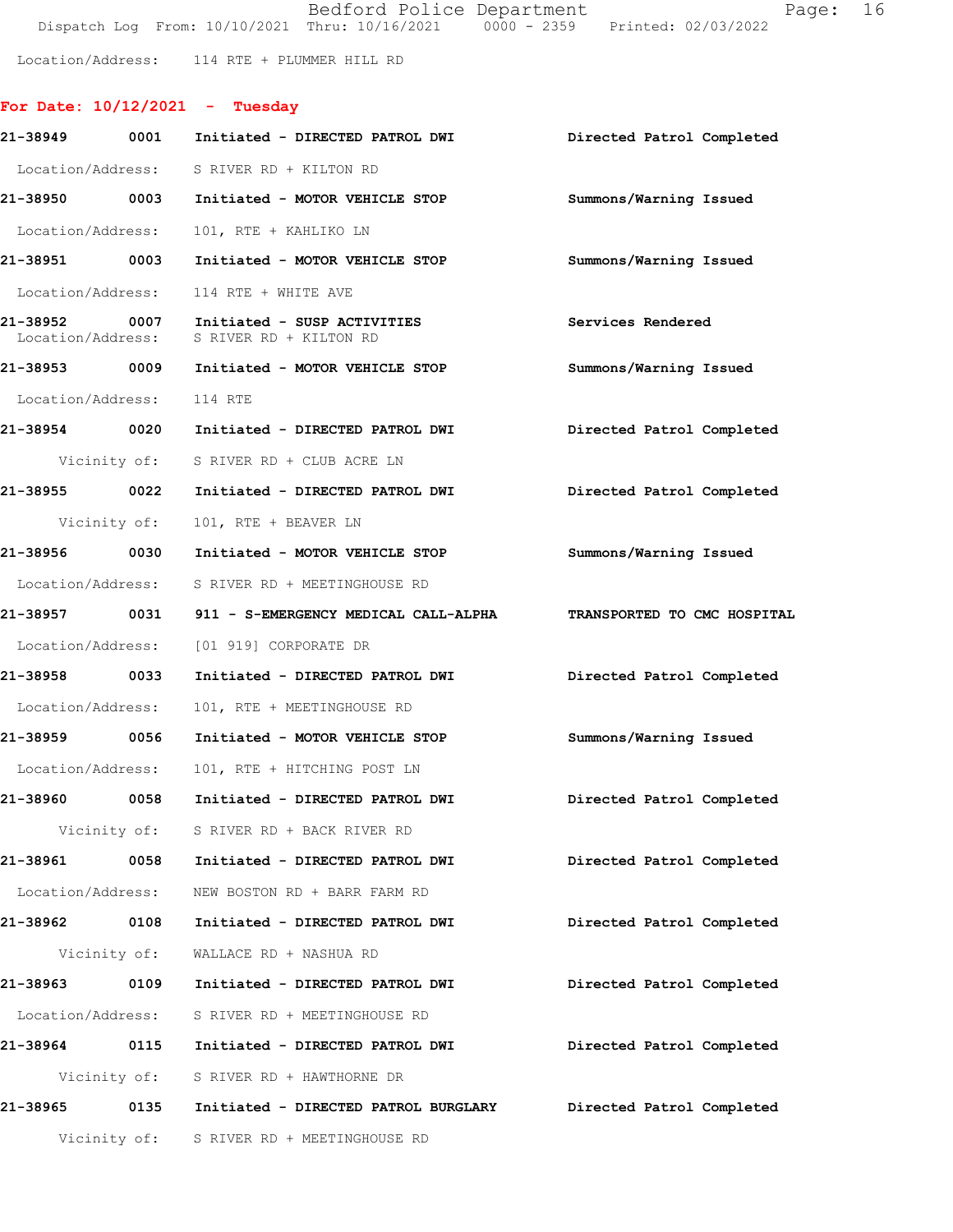| Bedford Police Department                                                      | Page: 16 |
|--------------------------------------------------------------------------------|----------|
| Dispatch Log From: 10/10/2021 Thru: 10/16/2021 0000 - 2359 Printed: 02/03/2022 |          |

Location/Address: 114 RTE + PLUMMER HILL RD

## **For Date: 10/12/2021 - Tuesday**

| 21-38949                  | 0001         | Initiated - DIRECTED PATROL DWI                                                       | Directed Patrol Completed |
|---------------------------|--------------|---------------------------------------------------------------------------------------|---------------------------|
|                           |              | Location/Address: S RIVER RD + KILTON RD                                              |                           |
|                           |              | 21-38950 0003 Initiated - MOTOR VEHICLE STOP Summons/Warning Issued                   |                           |
| Location/Address:         |              | 101, RTE + KAHLIKO LN                                                                 |                           |
| 21-38951 0003             |              | Initiated - MOTOR VEHICLE STOP                                                        | Summons/Warning Issued    |
|                           |              | Location/Address: 114 RTE + WHITE AVE                                                 |                           |
|                           |              | 21-38952 0007 Initiated - SUSP ACTIVITIES<br>Location/Address: S RIVER RD + KILTON RD | Services Rendered         |
|                           |              |                                                                                       | Summons/Warning Issued    |
| Location/Address: 114 RTE |              |                                                                                       |                           |
| 21-38954 0020             |              | Initiated - DIRECTED PATROL DWI                                                       | Directed Patrol Completed |
|                           |              | Vicinity of: S RIVER RD + CLUB ACRE LN                                                |                           |
| 21-38955 0022             |              | Initiated - DIRECTED PATROL DWI                                                       | Directed Patrol Completed |
|                           | Vicinity of: | 101, RTE + BEAVER LN                                                                  |                           |
| 21-38956 0030             |              | Initiated - MOTOR VEHICLE STOP                                                        | Summons/Warning Issued    |
|                           |              | Location/Address: S RIVER RD + MEETINGHOUSE RD                                        |                           |
|                           |              | 21-38957 0031 911 - S-EMERGENCY MEDICAL CALL-ALPHA TRANSPORTED TO CMC HOSPITAL        |                           |
|                           |              | Location/Address: [01 919] CORPORATE DR                                               |                           |
| 21-38958 0033             |              | Initiated - DIRECTED PATROL DWI                                                       | Directed Patrol Completed |
| Location/Address:         |              | 101, RTE + MEETINGHOUSE RD                                                            |                           |
| 21-38959 0056             |              | Initiated - MOTOR VEHICLE STOP                                                        | Summons/Warning Issued    |
| Location/Address:         |              | 101, RTE + HITCHING POST LN                                                           |                           |
| 21-38960 0058             |              | Initiated - DIRECTED PATROL DWI                                                       | Directed Patrol Completed |
|                           |              | Vicinity of: S RIVER RD + BACK RIVER RD                                               |                           |
| 21-38961 0058             |              | Initiated - DIRECTED PATROL DWI                                                       | Directed Patrol Completed |
| Location/Address:         |              | NEW BOSTON RD + BARR FARM RD                                                          |                           |
| 21-38962 0108             |              | Initiated - DIRECTED PATROL DWI                                                       | Directed Patrol Completed |
|                           |              | Vicinity of: WALLACE RD + NASHUA RD                                                   |                           |
| 21-38963 0109             |              | Initiated - DIRECTED PATROL DWI                                                       | Directed Patrol Completed |
| Location/Address:         |              | S RIVER RD + MEETINGHOUSE RD                                                          |                           |
| 21-38964 0115             |              | Initiated - DIRECTED PATROL DWI                                                       | Directed Patrol Completed |
|                           | Vicinity of: | S RIVER RD + HAWTHORNE DR                                                             |                           |
| 21-38965                  | 0135         | Initiated - DIRECTED PATROL BURGLARY                                                  | Directed Patrol Completed |
|                           |              | Vicinity of: S RIVER RD + MEETINGHOUSE RD                                             |                           |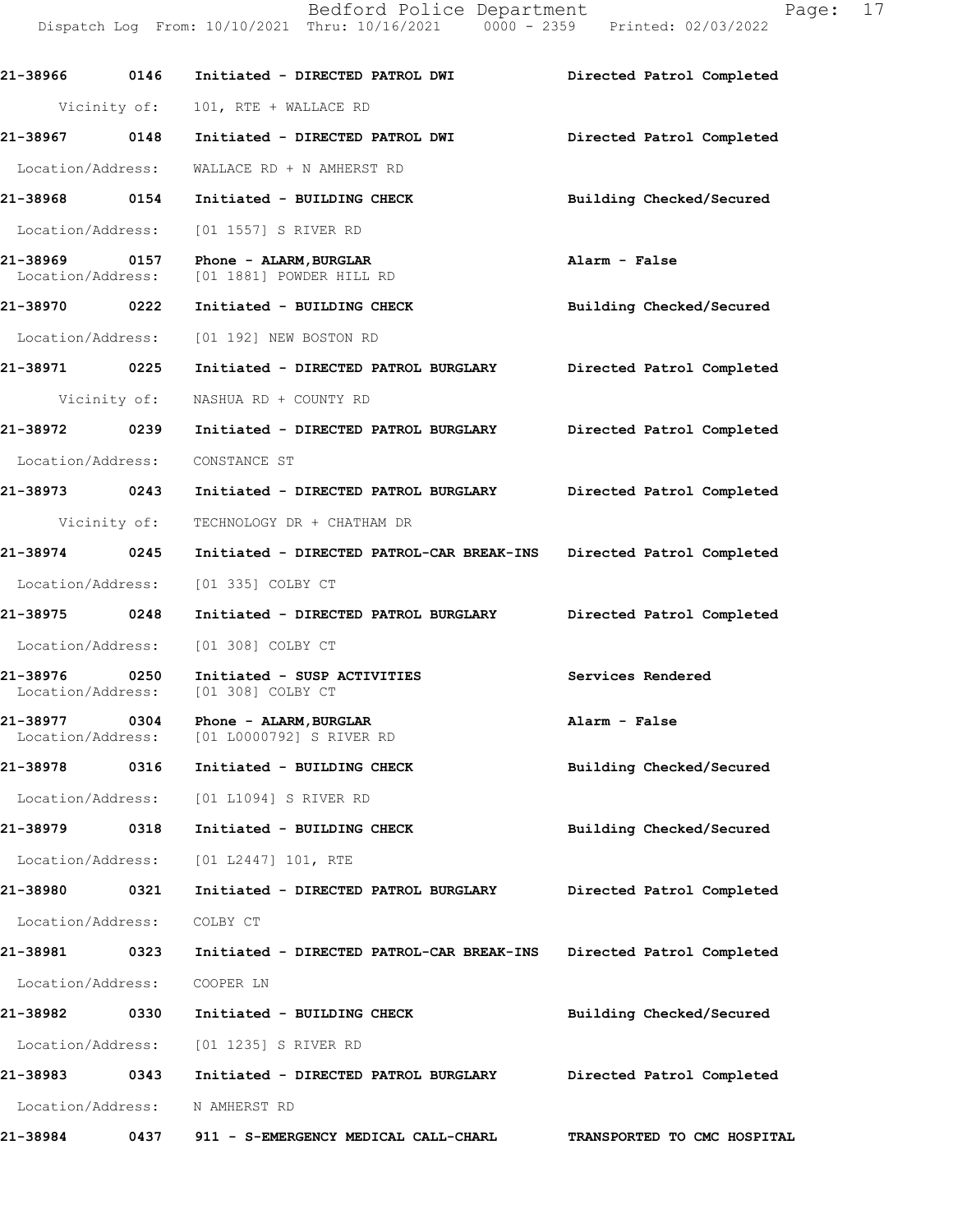Dispatch Log From: 10/10/2021 Thru: 10/16/2021 0000 - 2359 Printed: 02/03/2022 **21-38966 0146 Initiated - DIRECTED PATROL DWI Directed Patrol Completed**  Vicinity of: 101, RTE + WALLACE RD **21-38967 0148 Initiated - DIRECTED PATROL DWI Directed Patrol Completed**  Location/Address: WALLACE RD + N AMHERST RD **21-38968 0154 Initiated - BUILDING CHECK Building Checked/Secured**  Location/Address: [01 1557] S RIVER RD **21-38969 0157 Phone - ALARM,BURGLAR Alarm - False**  [01 1881] POWDER HILL RD **21-38970 0222 Initiated - BUILDING CHECK Building Checked/Secured**  Location/Address: [01 192] NEW BOSTON RD **21-38971 0225 Initiated - DIRECTED PATROL BURGLARY Directed Patrol Completed**  Vicinity of: NASHUA RD + COUNTY RD **21-38972 0239 Initiated - DIRECTED PATROL BURGLARY Directed Patrol Completed**  Location/Address: CONSTANCE ST **21-38973 0243 Initiated - DIRECTED PATROL BURGLARY Directed Patrol Completed**  Vicinity of: TECHNOLOGY DR + CHATHAM DR **21-38974 0245 Initiated - DIRECTED PATROL-CAR BREAK-INS Directed Patrol Completed**  Location/Address: [01 335] COLBY CT **21-38975 0248 Initiated - DIRECTED PATROL BURGLARY Directed Patrol Completed**  Location/Address: [01 308] COLBY CT **21-38976 0250 Initiated - SUSP ACTIVITIES Services Rendered**  Location/Address: **21-38977 0304 Phone - ALARM,BURGLAR Alarm - False**  Location/Address: [01 L0000792] S RIVER RD **21-38978 0316 Initiated - BUILDING CHECK Building Checked/Secured**  Location/Address: [01 L1094] S RIVER RD **21-38979 0318 Initiated - BUILDING CHECK Building Checked/Secured**  Location/Address: [01 L2447] 101, RTE **21-38980 0321 Initiated - DIRECTED PATROL BURGLARY Directed Patrol Completed**  Location/Address: COLBY CT **21-38981 0323 Initiated - DIRECTED PATROL-CAR BREAK-INS Directed Patrol Completed**  Location/Address: COOPER LN **21-38982 0330 Initiated - BUILDING CHECK Building Checked/Secured**  Location/Address: [01 1235] S RIVER RD **21-38983 0343 Initiated - DIRECTED PATROL BURGLARY Directed Patrol Completed**  Location/Address: N AMHERST RD **21-38984 0437 911 - S-EMERGENCY MEDICAL CALL-CHARL TRANSPORTED TO CMC HOSPITAL**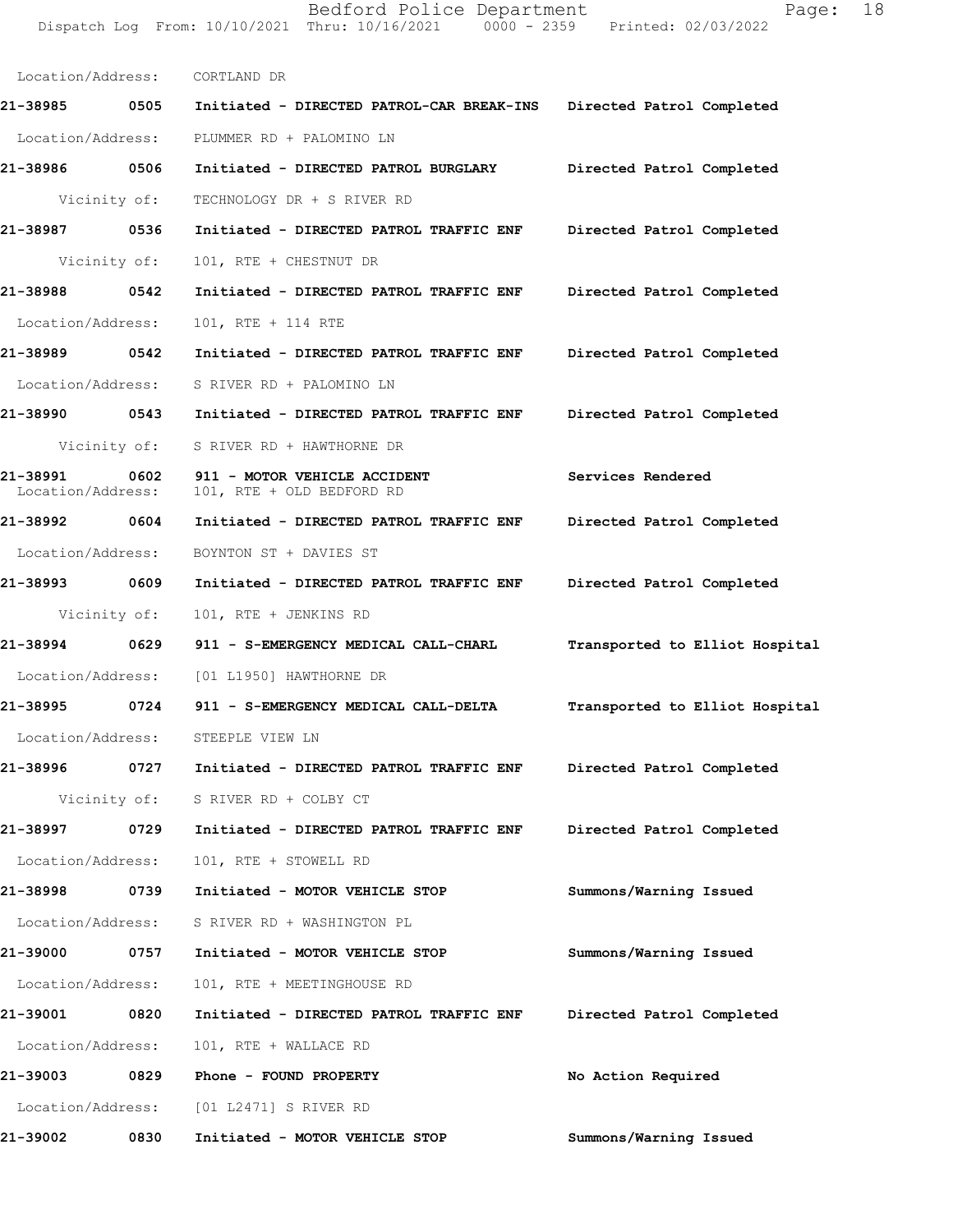Location/Address: CORTLAND DR **21-38985 0505 Initiated - DIRECTED PATROL-CAR BREAK-INS Directed Patrol Completed**  Location/Address: PLUMMER RD + PALOMINO LN **21-38986 0506 Initiated - DIRECTED PATROL BURGLARY Directed Patrol Completed**  Vicinity of: TECHNOLOGY DR + S RIVER RD **21-38987 0536 Initiated - DIRECTED PATROL TRAFFIC ENF Directed Patrol Completed**  Vicinity of: 101, RTE + CHESTNUT DR **21-38988 0542 Initiated - DIRECTED PATROL TRAFFIC ENF Directed Patrol Completed**  Location/Address: 101, RTE + 114 RTE **21-38989 0542 Initiated - DIRECTED PATROL TRAFFIC ENF Directed Patrol Completed**  Location/Address: S RIVER RD + PALOMINO LN **21-38990 0543 Initiated - DIRECTED PATROL TRAFFIC ENF Directed Patrol Completed**  Vicinity of: S RIVER RD + HAWTHORNE DR **21-38991 0602 911 - MOTOR VEHICLE ACCIDENT Services Rendered**  Location/Address: 101, RTE + OLD BEDFORD RD **21-38992 0604 Initiated - DIRECTED PATROL TRAFFIC ENF Directed Patrol Completed**  Location/Address: BOYNTON ST + DAVIES ST **21-38993 0609 Initiated - DIRECTED PATROL TRAFFIC ENF Directed Patrol Completed**  Vicinity of: 101, RTE + JENKINS RD **21-38994 0629 911 - S-EMERGENCY MEDICAL CALL-CHARL Transported to Elliot Hospital** Location/Address: [01 L1950] HAWTHORNE DR **21-38995 0724 911 - S-EMERGENCY MEDICAL CALL-DELTA Transported to Elliot Hospital** Location/Address: STEEPLE VIEW LN **21-38996 0727 Initiated - DIRECTED PATROL TRAFFIC ENF Directed Patrol Completed**  Vicinity of: S RIVER RD + COLBY CT **21-38997 0729 Initiated - DIRECTED PATROL TRAFFIC ENF Directed Patrol Completed**  Location/Address: 101, RTE + STOWELL RD **21-38998 0739 Initiated - MOTOR VEHICLE STOP Summons/Warning Issued**  Location/Address: S RIVER RD + WASHINGTON PL **21-39000 0757 Initiated - MOTOR VEHICLE STOP Summons/Warning Issued**  Location/Address: 101, RTE + MEETINGHOUSE RD **21-39001 0820 Initiated - DIRECTED PATROL TRAFFIC ENF Directed Patrol Completed** 

Dispatch Log From: 10/10/2021 Thru: 10/16/2021 0000 - 2359 Printed: 02/03/2022

Bedford Police Department Fage: 18

Location/Address: 101, RTE + WALLACE RD

**21-39003 0829 Phone - FOUND PROPERTY No Action Required**  Location/Address: [01 L2471] S RIVER RD **21-39002 0830 Initiated - MOTOR VEHICLE STOP Summons/Warning Issued**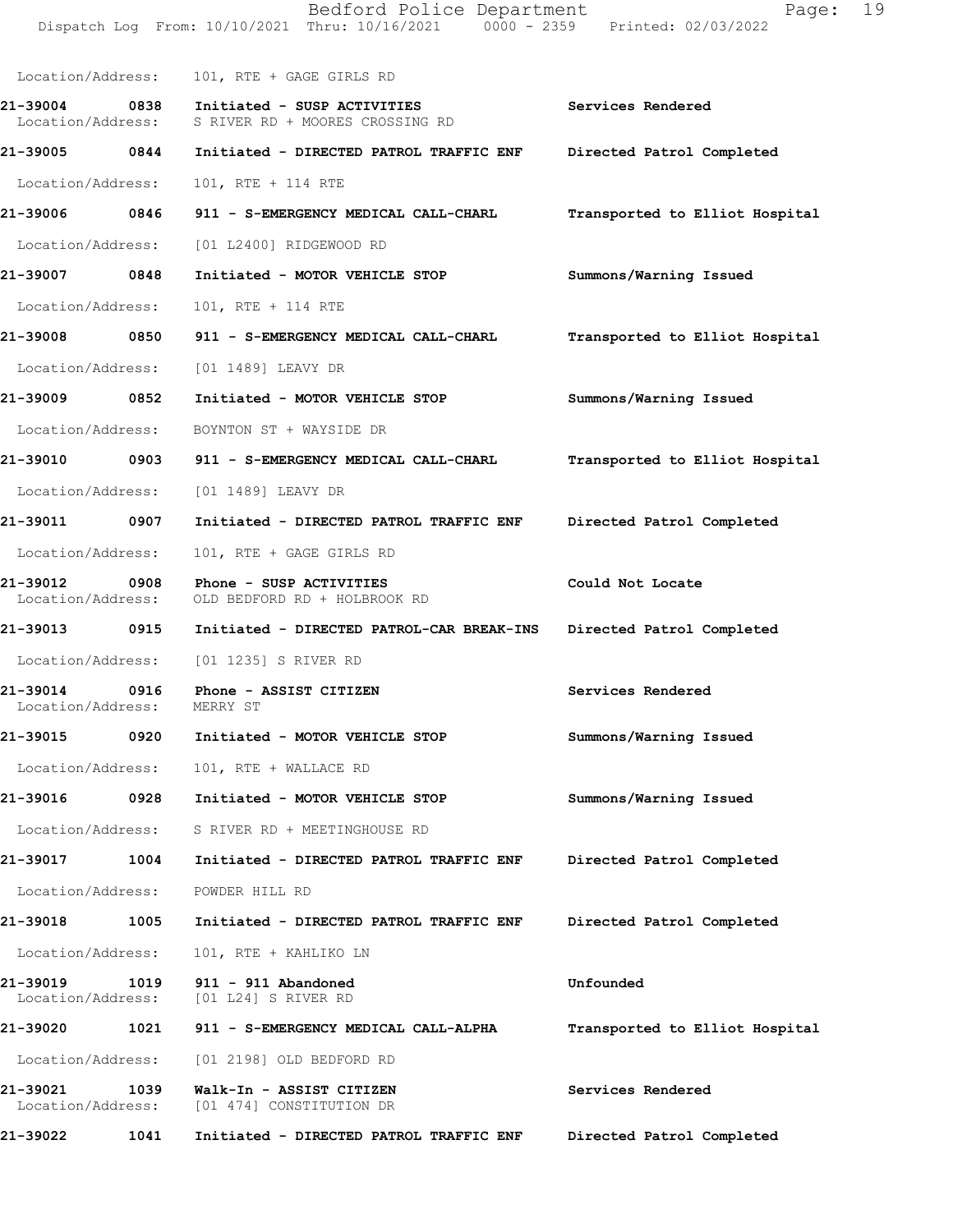|                                    |      | Bedford Police Department<br>Dispatch Log From: 10/10/2021 Thru: 10/16/2021 0000 - 2359 Printed: 02/03/2022 | 19<br>Page:                    |
|------------------------------------|------|-------------------------------------------------------------------------------------------------------------|--------------------------------|
| Location/Address:                  |      | 101, RTE + GAGE GIRLS RD                                                                                    |                                |
| 21-39004 0838<br>Location/Address: |      | Initiated - SUSP ACTIVITIES<br>S RIVER RD + MOORES CROSSING RD                                              | Services Rendered              |
| 21-39005 0844                      |      | Initiated - DIRECTED PATROL TRAFFIC ENF Directed Patrol Completed                                           |                                |
| Location/Address:                  |      | 101, RTE + 114 RTE                                                                                          |                                |
|                                    |      | 21-39006 0846 911 - S-EMERGENCY MEDICAL CALL-CHARL                                                          | Transported to Elliot Hospital |
| Location/Address:                  |      | [01 L2400] RIDGEWOOD RD                                                                                     |                                |
| 21-39007 0848                      |      | Initiated - MOTOR VEHICLE STOP                                                                              | Summons/Warning Issued         |
| Location/Address:                  |      | 101, RTE + 114 RTE                                                                                          |                                |
| 21-39008                           | 0850 | 911 - S-EMERGENCY MEDICAL CALL-CHARL                                                                        | Transported to Elliot Hospital |
| Location/Address:                  |      | [01 1489] LEAVY DR                                                                                          |                                |
| 21-39009 0852                      |      | Initiated - MOTOR VEHICLE STOP                                                                              | Summons/Warning Issued         |
| Location/Address:                  |      | BOYNTON ST + WAYSIDE DR                                                                                     |                                |
| 21-39010 0903                      |      | 911 - S-EMERGENCY MEDICAL CALL-CHARL                                                                        | Transported to Elliot Hospital |
| Location/Address:                  |      | [01 1489] LEAVY DR                                                                                          |                                |
| 21-39011 0907                      |      | Initiated - DIRECTED PATROL TRAFFIC ENF                                                                     | Directed Patrol Completed      |
| Location/Address:                  |      | 101, RTE + GAGE GIRLS RD                                                                                    |                                |
| 21-39012 0908<br>Location/Address: |      | Phone - SUSP ACTIVITIES<br>OLD BEDFORD RD + HOLBROOK RD                                                     | Could Not Locate               |
| 21-39013 0915                      |      | Initiated - DIRECTED PATROL-CAR BREAK-INS                                                                   | Directed Patrol Completed      |
| Location/Address:                  |      | [01 1235] S RIVER RD                                                                                        |                                |
| 21-39014<br>Location/Address:      | 0916 | Phone - ASSIST CITIZEN<br>MERRY ST                                                                          | Services Rendered              |
| 21-39015                           | 0920 | Initiated - MOTOR VEHICLE STOP                                                                              | Summons/Warning Issued         |
| Location/Address:                  |      | 101, RTE + WALLACE RD                                                                                       |                                |
| 21-39016                           | 0928 | Initiated - MOTOR VEHICLE STOP                                                                              | Summons/Warning Issued         |
| Location/Address:                  |      | S RIVER RD + MEETINGHOUSE RD                                                                                |                                |
| 21-39017                           | 1004 | Initiated - DIRECTED PATROL TRAFFIC ENF                                                                     | Directed Patrol Completed      |
| Location/Address:                  |      | POWDER HILL RD                                                                                              |                                |
| 21-39018                           | 1005 | Initiated - DIRECTED PATROL TRAFFIC ENF                                                                     | Directed Patrol Completed      |
| Location/Address:                  |      | 101, RTE + KAHLIKO LN                                                                                       |                                |
| 21-39019<br>Location/Address:      | 1019 | 911 - 911 Abandoned<br>[01 L24] S RIVER RD                                                                  | Unfounded                      |
| 21-39020                           | 1021 | 911 - S-EMERGENCY MEDICAL CALL-ALPHA                                                                        | Transported to Elliot Hospital |
| Location/Address:                  |      | [01 2198] OLD BEDFORD RD                                                                                    |                                |
| 21-39021<br>Location/Address:      | 1039 | Walk-In - ASSIST CITIZEN<br>[01 474] CONSTITUTION DR                                                        | Services Rendered              |
| 21-39022                           | 1041 | Initiated - DIRECTED PATROL TRAFFIC ENF                                                                     | Directed Patrol Completed      |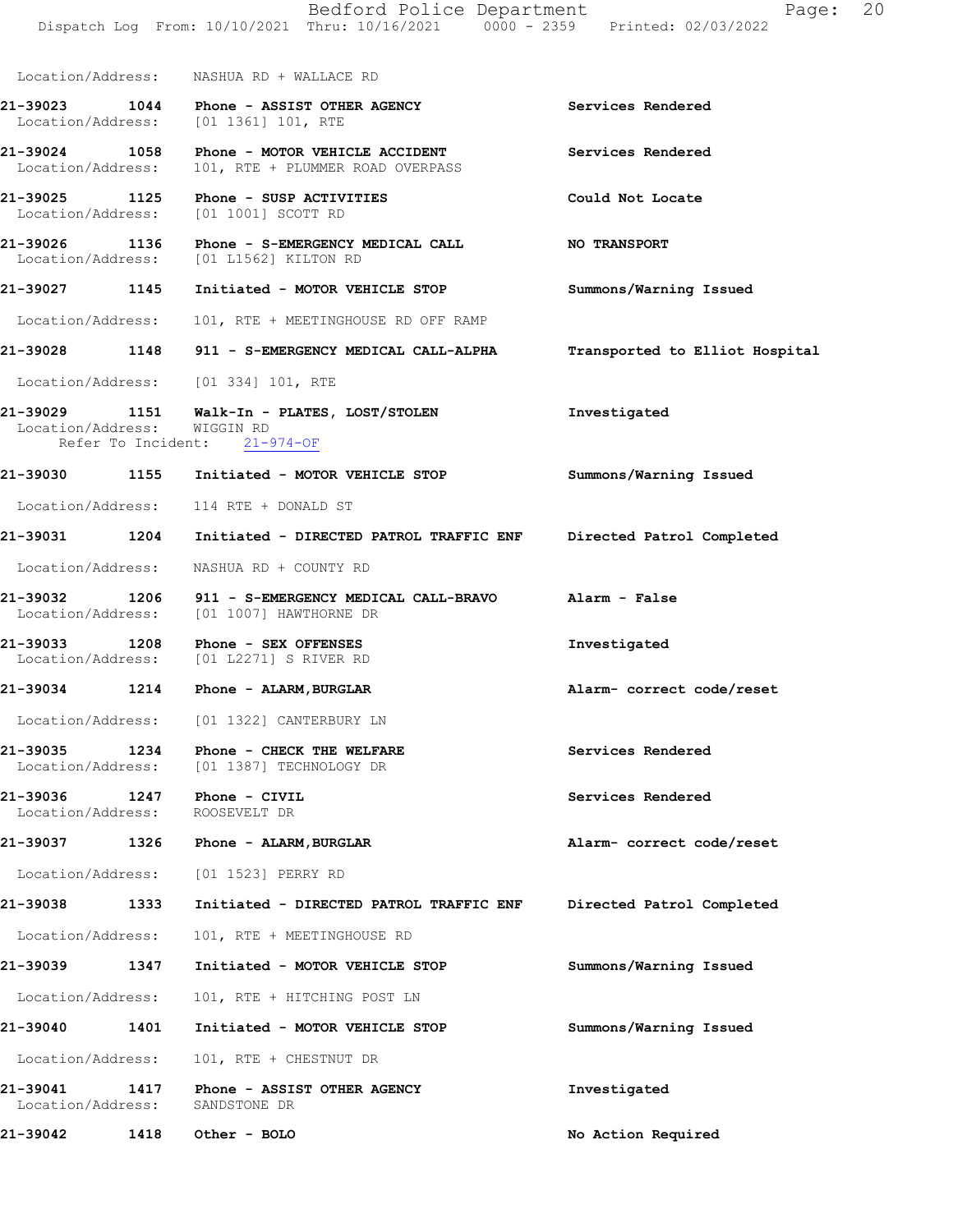|                                                        |      | Bedford Police Department<br>Dispatch Log From: 10/10/2021 Thru: 10/16/2021 0000 - 2359 Printed: 02/03/2022 | 20<br>Page:                    |
|--------------------------------------------------------|------|-------------------------------------------------------------------------------------------------------------|--------------------------------|
|                                                        |      | Location/Address: NASHUA RD + WALLACE RD                                                                    |                                |
|                                                        |      | 21-39023 1044 Phone - ASSIST OTHER AGENCY<br>Location/Address: [01 1361] 101, RTE                           | Services Rendered              |
| Location/Address:                                      |      | 21-39024 1058 Phone - MOTOR VEHICLE ACCIDENT<br>101, RTE + PLUMMER ROAD OVERPASS                            | Services Rendered              |
|                                                        |      | 21-39025 1125 Phone - SUSP ACTIVITIES<br>Location/Address: [01 1001] SCOTT RD                               | Could Not Locate               |
|                                                        |      | 21-39026 1136 Phone - S-EMERGENCY MEDICAL CALL<br>Location/Address: [01 L1562] KILTON RD                    | <b>NO TRANSPORT</b>            |
|                                                        |      | 21-39027 1145 Initiated - MOTOR VEHICLE STOP                                                                | Summons/Warning Issued         |
| Location/Address:                                      |      | 101, RTE + MEETINGHOUSE RD OFF RAMP                                                                         |                                |
|                                                        |      | 21-39028 1148 911 - S-EMERGENCY MEDICAL CALL-ALPHA                                                          | Transported to Elliot Hospital |
|                                                        |      | Location/Address: [01 334] 101, RTE                                                                         |                                |
| Location/Address: WIGGIN RD                            |      | 21-39029 1151 Walk-In - PLATES, LOST/STOLEN<br>Refer To Incident: 21-974-OF                                 | Investigated                   |
|                                                        |      | 21-39030 1155 Initiated - MOTOR VEHICLE STOP                                                                | Summons/Warning Issued         |
|                                                        |      | Location/Address: 114 RTE + DONALD ST                                                                       |                                |
|                                                        |      | 21-39031  1204    Initiated - DIRECTED PATROL TRAFFIC ENF                                                   | Directed Patrol Completed      |
|                                                        |      | Location/Address: NASHUA RD + COUNTY RD                                                                     |                                |
|                                                        |      | 21-39032 1206 911 - S-EMERGENCY MEDICAL CALL-BRAVO<br>Location/Address: [01 1007] HAWTHORNE DR              | Alarm - False                  |
|                                                        |      | 21-39033 1208 Phone - SEX OFFENSES<br>Location/Address: [01 L2271] S RIVER RD                               | Investigated                   |
| 21-39034 1214                                          |      | Phone - ALARM, BURGLAR                                                                                      | Alarm- correct code/reset      |
|                                                        |      | Location/Address: [01 1322] CANTERBURY LN                                                                   |                                |
| 21-39035 1234<br>Location/Address:                     |      | Phone - CHECK THE WELFARE<br>[01 1387] TECHNOLOGY DR                                                        | Services Rendered              |
| 21-39036    1247    Phone - CIVIL<br>Location/Address: |      | ROOSEVELT DR                                                                                                | Services Rendered              |
|                                                        |      | 21-39037 1326 Phone - ALARM, BURGLAR                                                                        | Alarm- correct code/reset      |
| Location/Address:                                      |      | [01 1523] PERRY RD                                                                                          |                                |
| 21-39038                                               | 1333 | Initiated - DIRECTED PATROL TRAFFIC ENF                                                                     | Directed Patrol Completed      |
| Location/Address:                                      |      | 101, RTE + MEETINGHOUSE RD                                                                                  |                                |
| 21-39039                                               | 1347 | Initiated - MOTOR VEHICLE STOP                                                                              | Summons/Warning Issued         |
| Location/Address:                                      |      | 101, RTE + HITCHING POST LN                                                                                 |                                |
| 21-39040 1401                                          |      | Initiated - MOTOR VEHICLE STOP                                                                              | Summons/Warning Issued         |
| Location/Address:                                      |      | 101, RTE + CHESTNUT DR                                                                                      |                                |
| 21-39041<br>Location/Address:                          | 1417 | Phone - ASSIST OTHER AGENCY<br>SANDSTONE DR                                                                 | Investigated                   |
| 21-39042                                               | 1418 | Other - BOLO                                                                                                | No Action Required             |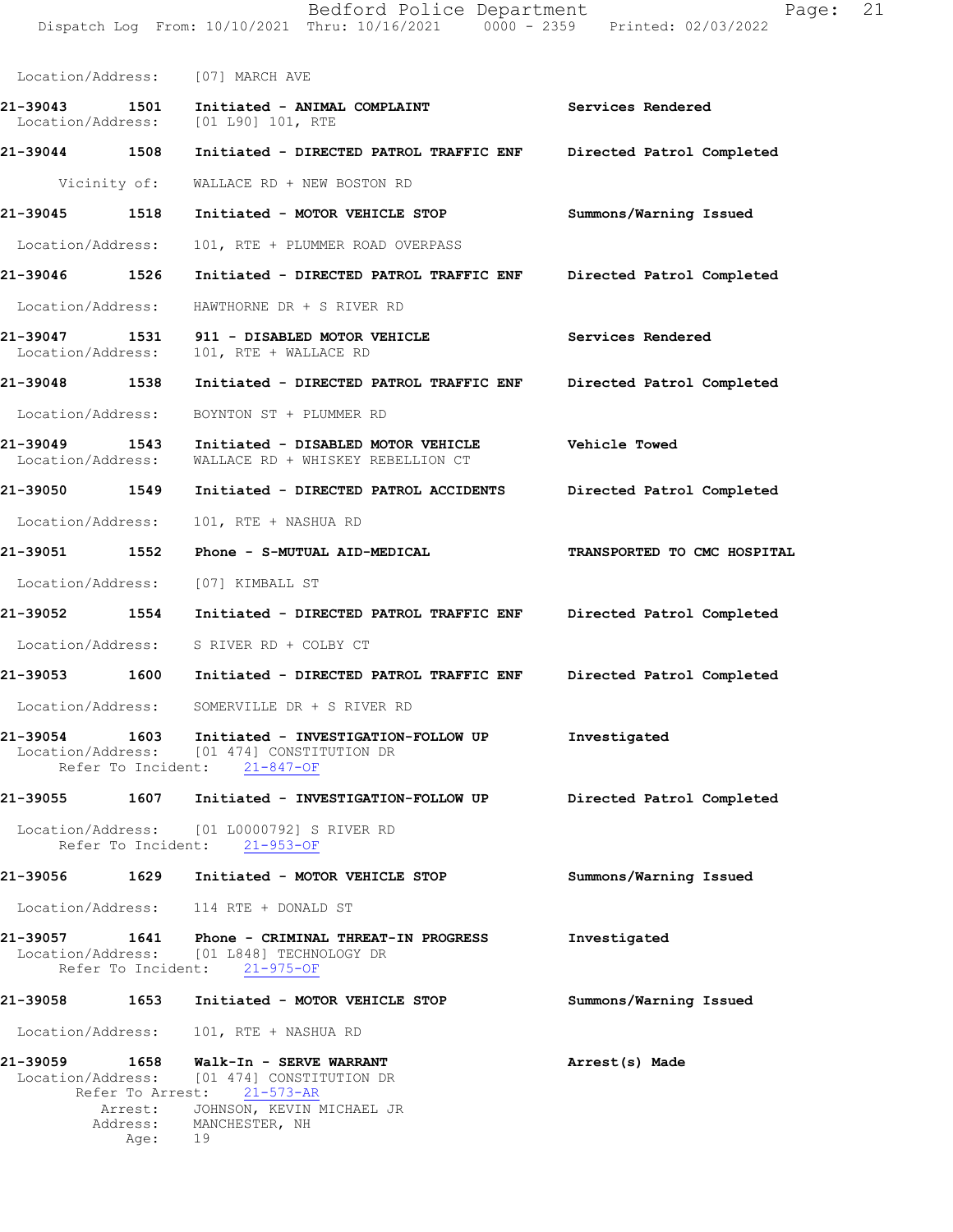| Location/Address:                  |              | [07] MARCH AVE                                                                                                                           |                             |
|------------------------------------|--------------|------------------------------------------------------------------------------------------------------------------------------------------|-----------------------------|
| 21-39043                           | 1501         | Initiated - ANIMAL COMPLAINT<br>Location/Address: [01 L90] 101, RTE                                                                      | Services Rendered           |
| 21-39044 1508                      |              | Initiated - DIRECTED PATROL TRAFFIC ENF                                                                                                  | Directed Patrol Completed   |
|                                    | Vicinity of: | WALLACE RD + NEW BOSTON RD                                                                                                               |                             |
| 21-39045 1518                      |              | Initiated - MOTOR VEHICLE STOP                                                                                                           | Summons/Warning Issued      |
| Location/Address:                  |              | 101, RTE + PLUMMER ROAD OVERPASS                                                                                                         |                             |
| 21-39046 1526                      |              | Initiated - DIRECTED PATROL TRAFFIC ENF                                                                                                  | Directed Patrol Completed   |
| Location/Address:                  |              | HAWTHORNE DR + S RIVER RD                                                                                                                |                             |
| 21-39047 1531<br>Location/Address: |              | 911 - DISABLED MOTOR VEHICLE<br>101, RTE + WALLACE RD                                                                                    | Services Rendered           |
| 21-39048 1538                      |              | Initiated - DIRECTED PATROL TRAFFIC ENF                                                                                                  | Directed Patrol Completed   |
|                                    |              | Location/Address: BOYNTON ST + PLUMMER RD                                                                                                |                             |
| 21-39049 1543<br>Location/Address: |              | Initiated - DISABLED MOTOR VEHICLE<br>WALLACE RD + WHISKEY REBELLION CT                                                                  | <b>Vehicle Towed</b>        |
| 21-39050 1549                      |              | Initiated - DIRECTED PATROL ACCIDENTS                                                                                                    | Directed Patrol Completed   |
| Location/Address:                  |              | 101, RTE + NASHUA RD                                                                                                                     |                             |
| 21-39051 1552                      |              | Phone - S-MUTUAL AID-MEDICAL                                                                                                             | TRANSPORTED TO CMC HOSPITAL |
| Location/Address:                  |              | [07] KIMBALL ST                                                                                                                          |                             |
| 21-39052 1554                      |              | Initiated - DIRECTED PATROL TRAFFIC ENF Directed Patrol Completed                                                                        |                             |
| Location/Address:                  |              | S RIVER RD + COLBY CT                                                                                                                    |                             |
| 21-39053 1600                      |              | Initiated - DIRECTED PATROL TRAFFIC ENF                                                                                                  | Directed Patrol Completed   |
|                                    |              | Location/Address: SOMERVILLE DR + S RIVER RD                                                                                             |                             |
| 21-39054<br>Location/Address:      | 1603         | Initiated - INVESTIGATION-FOLLOW UP<br>[01 474] CONSTITUTION DR<br>Refer To Incident: 21-847-OF                                          | Investigated                |
| 21-39055                           | 1607         | Initiated - INVESTIGATION-FOLLOW UP                                                                                                      | Directed Patrol Completed   |
|                                    |              | Location/Address: [01 L0000792] S RIVER RD<br>Refer To Incident: 21-953-OF                                                               |                             |
|                                    |              | 21-39056 1629 Initiated - MOTOR VEHICLE STOP                                                                                             | Summons/Warning Issued      |
|                                    |              | Location/Address: 114 RTE + DONALD ST                                                                                                    |                             |
|                                    |              | 21-39057 1641 Phone - CRIMINAL THREAT-IN PROGRESS<br>Location/Address: [01 L848] TECHNOLOGY DR<br>Refer To Incident: 21-975-OF           | Investigated                |
| 21-39058                           | 1653         | Initiated - MOTOR VEHICLE STOP                                                                                                           | Summons/Warning Issued      |
| Location/Address:                  |              | 101, RTE + NASHUA RD                                                                                                                     |                             |
| 21-39059                           | 1658         | Walk-In - SERVE WARRANT<br>Location/Address: [01 474] CONSTITUTION DR<br>Refer To Arrest: 21-573-AR<br>Arrest: JOHNSON, KEVIN MICHAEL JR | Arrest(s) Made              |
|                                    | Age: 19      | Address: MANCHESTER, NH                                                                                                                  |                             |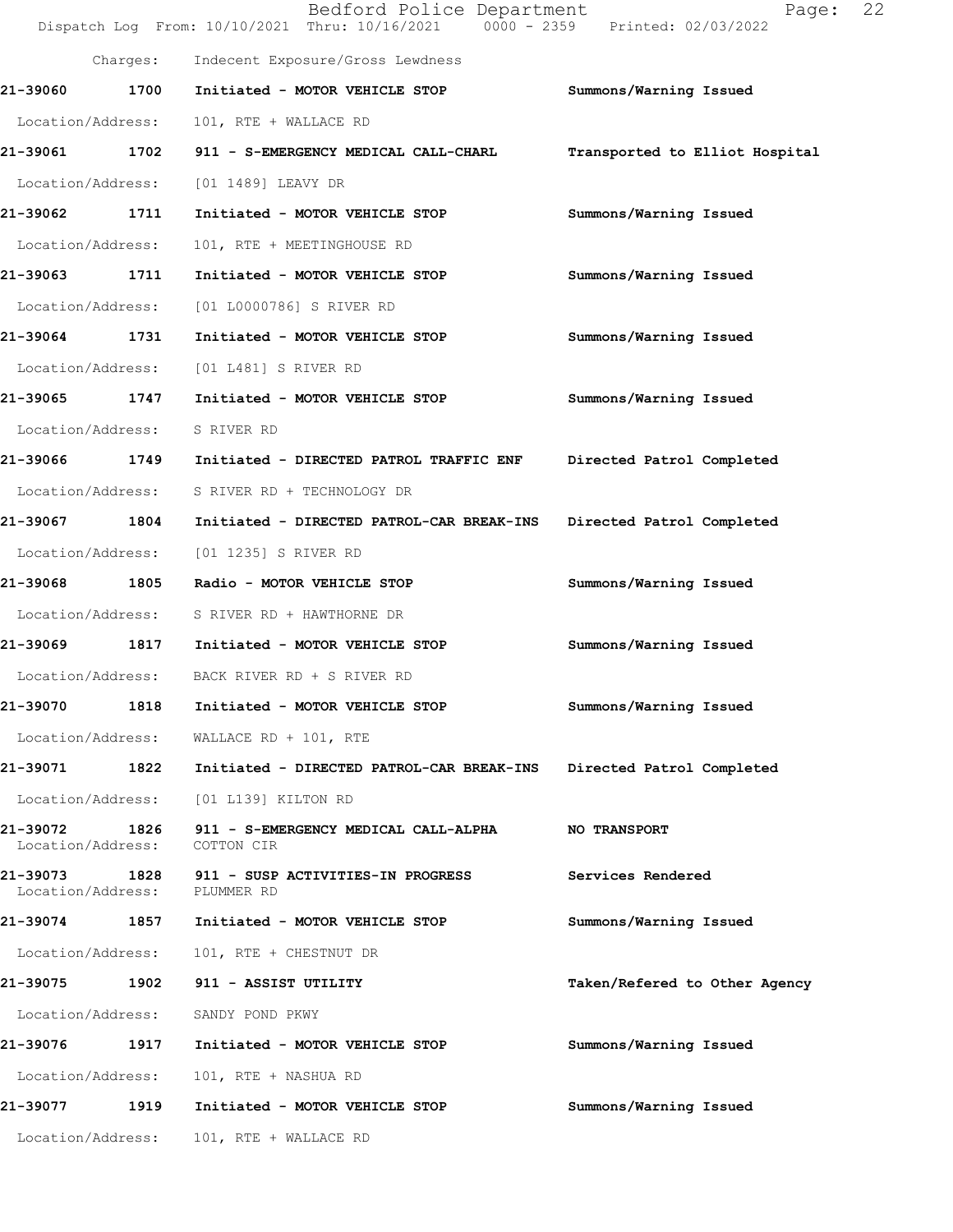|                                    |          | Bedford Police Department<br>Dispatch Log From: 10/10/2021 Thru: 10/16/2021 0000 - 2359 Printed: 02/03/2022 | Page:                          | 22 |
|------------------------------------|----------|-------------------------------------------------------------------------------------------------------------|--------------------------------|----|
|                                    | Charges: | Indecent Exposure/Gross Lewdness                                                                            |                                |    |
| 21-39060                           | 1700     | Initiated - MOTOR VEHICLE STOP                                                                              | Summons/Warning Issued         |    |
| Location/Address:                  |          | 101, RTE + WALLACE RD                                                                                       |                                |    |
| 21-39061                           | 1702     | 911 - S-EMERGENCY MEDICAL CALL-CHARL                                                                        | Transported to Elliot Hospital |    |
| Location/Address:                  |          | [01 1489] LEAVY DR                                                                                          |                                |    |
| 21-39062 1711                      |          | Initiated - MOTOR VEHICLE STOP                                                                              | Summons/Warning Issued         |    |
| Location/Address:                  |          | 101, RTE + MEETINGHOUSE RD                                                                                  |                                |    |
| 21-39063                           | 1711     | Initiated - MOTOR VEHICLE STOP                                                                              | Summons/Warning Issued         |    |
| Location/Address:                  |          | [01 L0000786] S RIVER RD                                                                                    |                                |    |
| 21-39064                           | 1731     | Initiated - MOTOR VEHICLE STOP                                                                              | Summons/Warning Issued         |    |
| Location/Address:                  |          | [01 L481] S RIVER RD                                                                                        |                                |    |
| 21-39065                           | 1747     | Initiated - MOTOR VEHICLE STOP                                                                              | Summons/Warning Issued         |    |
| Location/Address:                  |          | S RIVER RD                                                                                                  |                                |    |
| 21-39066 1749                      |          | Initiated - DIRECTED PATROL TRAFFIC ENF                                                                     | Directed Patrol Completed      |    |
| Location/Address:                  |          | S RIVER RD + TECHNOLOGY DR                                                                                  |                                |    |
| 21-39067                           | 1804     | Initiated - DIRECTED PATROL-CAR BREAK-INS                                                                   | Directed Patrol Completed      |    |
| Location/Address:                  |          | [01 1235] S RIVER RD                                                                                        |                                |    |
| 21-39068                           | 1805     | Radio - MOTOR VEHICLE STOP                                                                                  | Summons/Warning Issued         |    |
| Location/Address:                  |          | S RIVER RD + HAWTHORNE DR                                                                                   |                                |    |
| 21-39069 1817                      |          | Initiated - MOTOR VEHICLE STOP                                                                              | Summons/Warning Issued         |    |
|                                    |          | Location/Address: BACK RIVER RD + S RIVER RD                                                                |                                |    |
| 21-39070                           | 1818     | Initiated - MOTOR VEHICLE STOP                                                                              | Summons/Warning Issued         |    |
| Location/Address:                  |          | WALLACE RD + 101, RTE                                                                                       |                                |    |
| 21-39071 1822                      |          | Initiated - DIRECTED PATROL-CAR BREAK-INS                                                                   | Directed Patrol Completed      |    |
| Location/Address:                  |          | [01 L139] KILTON RD                                                                                         |                                |    |
| 21-39072<br>Location/Address:      | 1826     | 911 - S-EMERGENCY MEDICAL CALL-ALPHA<br>COTTON CIR                                                          | NO TRANSPORT                   |    |
| 21-39073 1828<br>Location/Address: |          | 911 - SUSP ACTIVITIES-IN PROGRESS<br>PLUMMER RD                                                             | Services Rendered              |    |
| 21-39074 1857                      |          | Initiated - MOTOR VEHICLE STOP                                                                              | Summons/Warning Issued         |    |
| Location/Address:                  |          | 101, RTE + CHESTNUT DR                                                                                      |                                |    |
| 21-39075                           | 1902     | 911 - ASSIST UTILITY                                                                                        | Taken/Refered to Other Agency  |    |
| Location/Address:                  |          | SANDY POND PKWY                                                                                             |                                |    |
| 21-39076                           | 1917     | Initiated - MOTOR VEHICLE STOP                                                                              | Summons/Warning Issued         |    |
| Location/Address:                  |          | 101, RTE + NASHUA RD                                                                                        |                                |    |
| 21-39077                           | 1919     | Initiated - MOTOR VEHICLE STOP                                                                              | Summons/Warning Issued         |    |
| Location/Address:                  |          | 101, RTE + WALLACE RD                                                                                       |                                |    |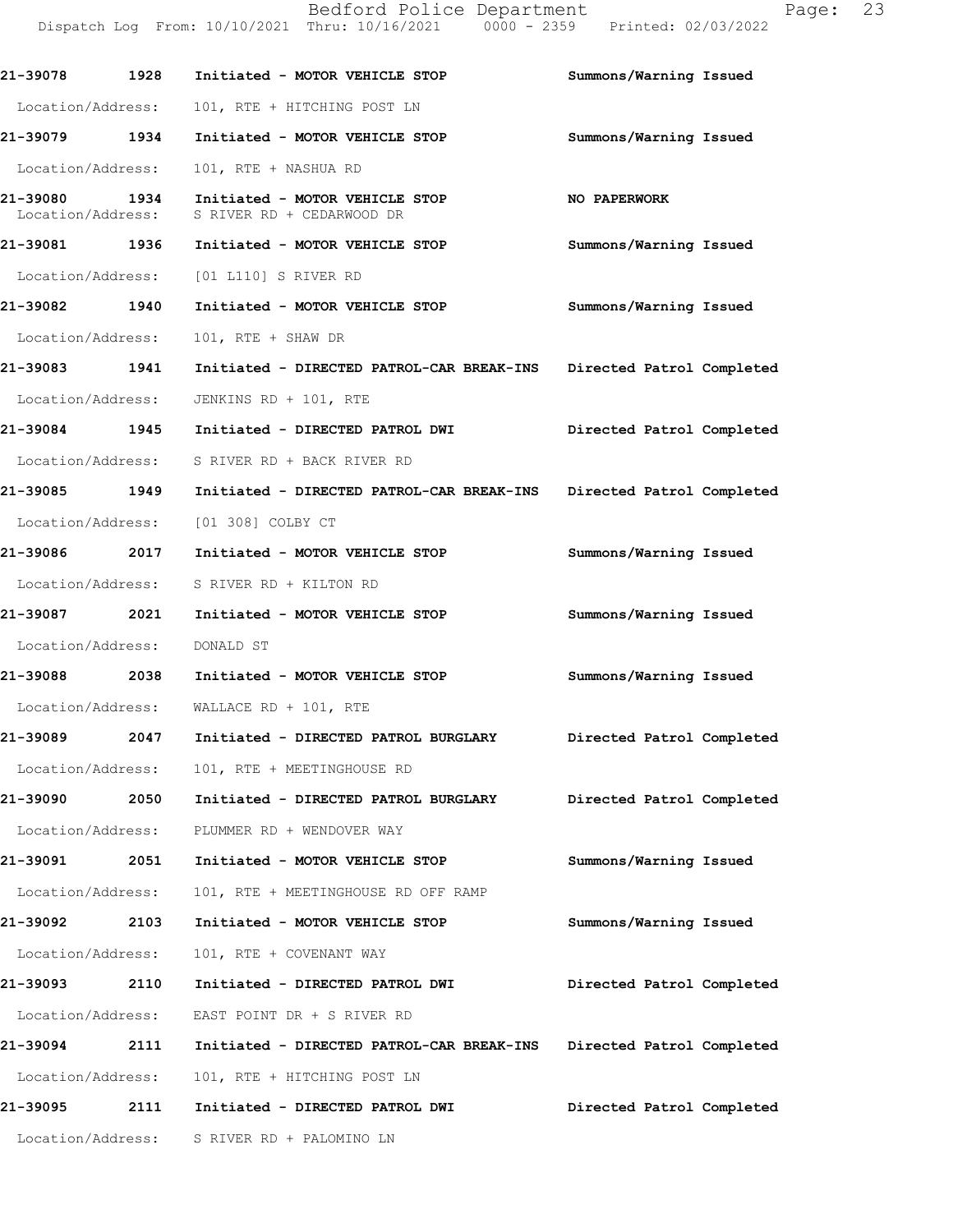Dispatch Log From: 10/10/2021 Thru: 10/16/2021 0000 - 2359 Printed: 02/03/2022 **21-39078 1928 Initiated - MOTOR VEHICLE STOP Summons/Warning Issued**  Location/Address: 101, RTE + HITCHING POST LN **21-39079 1934 Initiated - MOTOR VEHICLE STOP Summons/Warning Issued**  Location/Address: 101, RTE + NASHUA RD **21-39080 1934 Initiated - MOTOR VEHICLE STOP NO PAPERWORK**  Location/Address: S RIVER RD + CEDARWOOD DR **21-39081 1936 Initiated - MOTOR VEHICLE STOP Summons/Warning Issued**  Location/Address: [01 L110] S RIVER RD **21-39082 1940 Initiated - MOTOR VEHICLE STOP Summons/Warning Issued**  Location/Address: 101, RTE + SHAW DR **21-39083 1941 Initiated - DIRECTED PATROL-CAR BREAK-INS Directed Patrol Completed**  Location/Address: JENKINS RD + 101, RTE **21-39084 1945 Initiated - DIRECTED PATROL DWI Directed Patrol Completed**  Location/Address: S RIVER RD + BACK RIVER RD **21-39085 1949 Initiated - DIRECTED PATROL-CAR BREAK-INS Directed Patrol Completed**  Location/Address: [01 308] COLBY CT **21-39086 2017 Initiated - MOTOR VEHICLE STOP Summons/Warning Issued**  Location/Address: S RIVER RD + KILTON RD **21-39087 2021 Initiated - MOTOR VEHICLE STOP Summons/Warning Issued**  Location/Address: DONALD ST **21-39088 2038 Initiated - MOTOR VEHICLE STOP Summons/Warning Issued**  Location/Address: WALLACE RD + 101, RTE **21-39089 2047 Initiated - DIRECTED PATROL BURGLARY Directed Patrol Completed**  Location/Address: 101, RTE + MEETINGHOUSE RD **21-39090 2050 Initiated - DIRECTED PATROL BURGLARY Directed Patrol Completed**  Location/Address: PLUMMER RD + WENDOVER WAY **21-39091 2051 Initiated - MOTOR VEHICLE STOP Summons/Warning Issued**  Location/Address: 101, RTE + MEETINGHOUSE RD OFF RAMP **21-39092 2103 Initiated - MOTOR VEHICLE STOP Summons/Warning Issued**  Location/Address: 101, RTE + COVENANT WAY **21-39093 2110 Initiated - DIRECTED PATROL DWI Directed Patrol Completed**  Location/Address: EAST POINT DR + S RIVER RD **21-39094 2111 Initiated - DIRECTED PATROL-CAR BREAK-INS Directed Patrol Completed**  Location/Address: 101, RTE + HITCHING POST LN **21-39095 2111 Initiated - DIRECTED PATROL DWI Directed Patrol Completed**  Location/Address: S RIVER RD + PALOMINO LN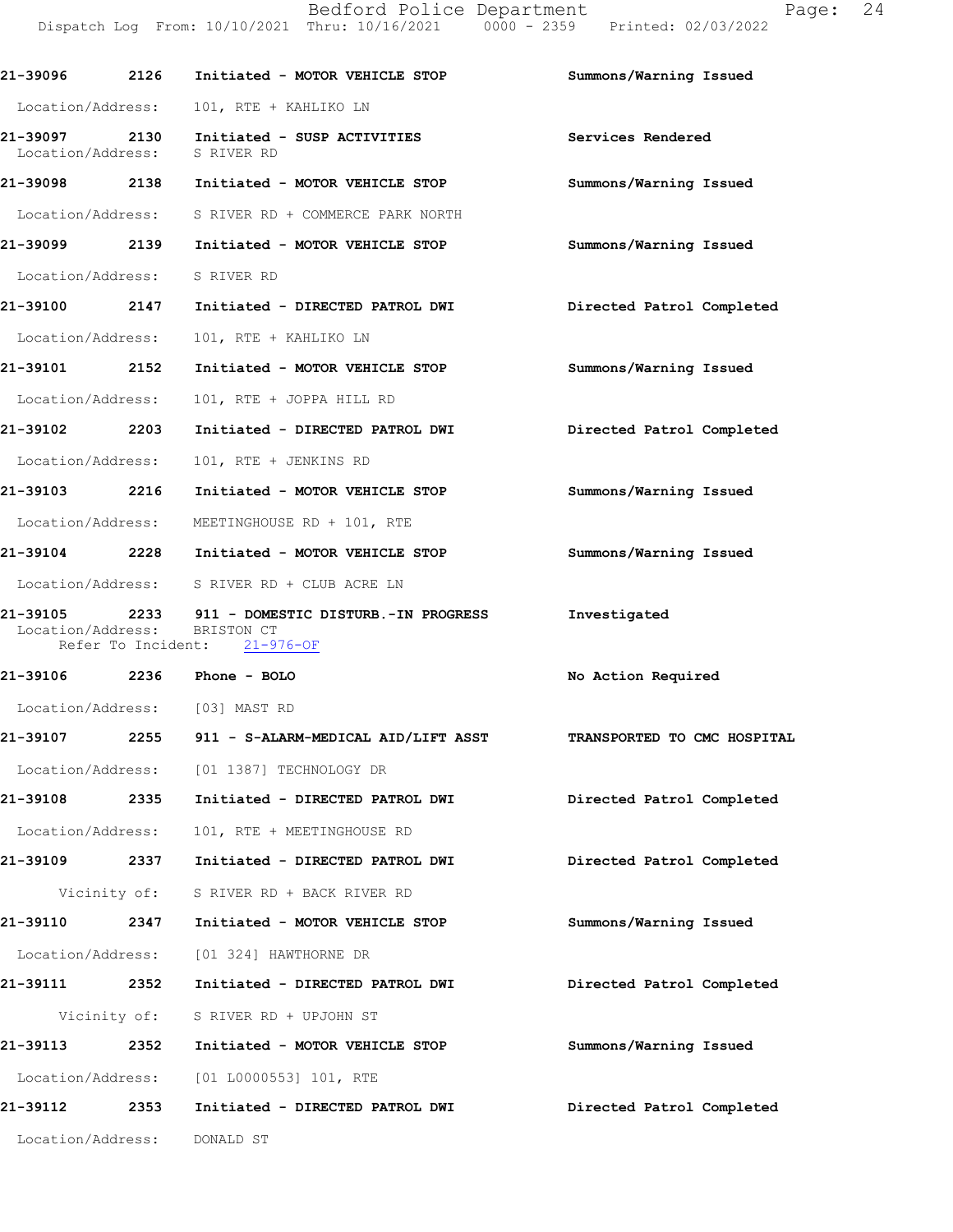Bedford Police Department Fage: 24 Dispatch Log From: 10/10/2021 Thru: 10/16/2021 0000 - 2359 Printed: 02/03/2022

| 21-39096 2126                  |      | Initiated - MOTOR VEHICLE STOP                                                                  | Summons/Warning Issued      |
|--------------------------------|------|-------------------------------------------------------------------------------------------------|-----------------------------|
| Location/Address:              |      | 101, RTE + KAHLIKO LN                                                                           |                             |
| Location/Address: S RIVER RD   |      | 21-39097 2130 Initiated - SUSP ACTIVITIES                                                       | Services Rendered           |
|                                |      | 21-39098 2138 Initiated - MOTOR VEHICLE STOP                                                    | Summons/Warning Issued      |
|                                |      | Location/Address: S RIVER RD + COMMERCE PARK NORTH                                              |                             |
| 21-39099 2139                  |      | Initiated - MOTOR VEHICLE STOP                                                                  | Summons/Warning Issued      |
| Location/Address: S RIVER RD   |      |                                                                                                 |                             |
| 21-39100 2147                  |      | Initiated - DIRECTED PATROL DWI                                                                 | Directed Patrol Completed   |
| Location/Address:              |      | 101, RTE + KAHLIKO LN                                                                           |                             |
| 21-39101 2152                  |      | Initiated - MOTOR VEHICLE STOP                                                                  | Summons/Warning Issued      |
| Location/Address:              |      | 101, RTE + JOPPA HILL RD                                                                        |                             |
| 21-39102 2203                  |      | Initiated - DIRECTED PATROL DWI                                                                 | Directed Patrol Completed   |
| Location/Address:              |      | 101, RTE + JENKINS RD                                                                           |                             |
| 21-39103 2216                  |      | Initiated - MOTOR VEHICLE STOP                                                                  | Summons/Warning Issued      |
| Location/Address:              |      | MEETINGHOUSE RD + 101, RTE                                                                      |                             |
|                                |      | 21-39104 2228 Initiated - MOTOR VEHICLE STOP                                                    | Summons/Warning Issued      |
|                                |      | Location/Address: S RIVER RD + CLUB ACRE LN                                                     |                             |
| Location/Address:              |      | 21-39105 2233 911 - DOMESTIC DISTURB.-IN PROGRESS<br>BRISTON CT<br>Refer To Incident: 21-976-OF | Investigated                |
| 21-39106 2236 Phone - BOLO     |      |                                                                                                 | No Action Required          |
| Location/Address: [03] MAST RD |      |                                                                                                 |                             |
|                                |      | 21-39107 2255 911 - S-ALARM-MEDICAL AID/LIFT ASST                                               | TRANSPORTED TO CMC HOSPITAL |
|                                |      | Location/Address: [01 1387] TECHNOLOGY DR                                                       |                             |
|                                |      | 21-39108 2335 Initiated - DIRECTED PATROL DWI                                                   | Directed Patrol Completed   |
| Location/Address:              |      | 101, RTE + MEETINGHOUSE RD                                                                      |                             |
| 21-39109 2337                  |      | Initiated - DIRECTED PATROL DWI                                                                 | Directed Patrol Completed   |
|                                |      | Vicinity of: S RIVER RD + BACK RIVER RD                                                         |                             |
| 21-39110 2347                  |      | Initiated - MOTOR VEHICLE STOP                                                                  | Summons/Warning Issued      |
|                                |      | Location/Address: [01 324] HAWTHORNE DR                                                         |                             |
| 21-39111 2352                  |      | Initiated - DIRECTED PATROL DWI                                                                 | Directed Patrol Completed   |
|                                |      | Vicinity of: S RIVER RD + UPJOHN ST                                                             |                             |
| 21-39113                       | 2352 | Initiated - MOTOR VEHICLE STOP                                                                  | Summons/Warning Issued      |
|                                |      | Location/Address: [01 L0000553] 101, RTE                                                        |                             |
|                                |      | 21-39112 2353 Initiated - DIRECTED PATROL DWI                                                   | Directed Patrol Completed   |
|                                |      |                                                                                                 |                             |
| Location/Address:              |      | DONALD ST                                                                                       |                             |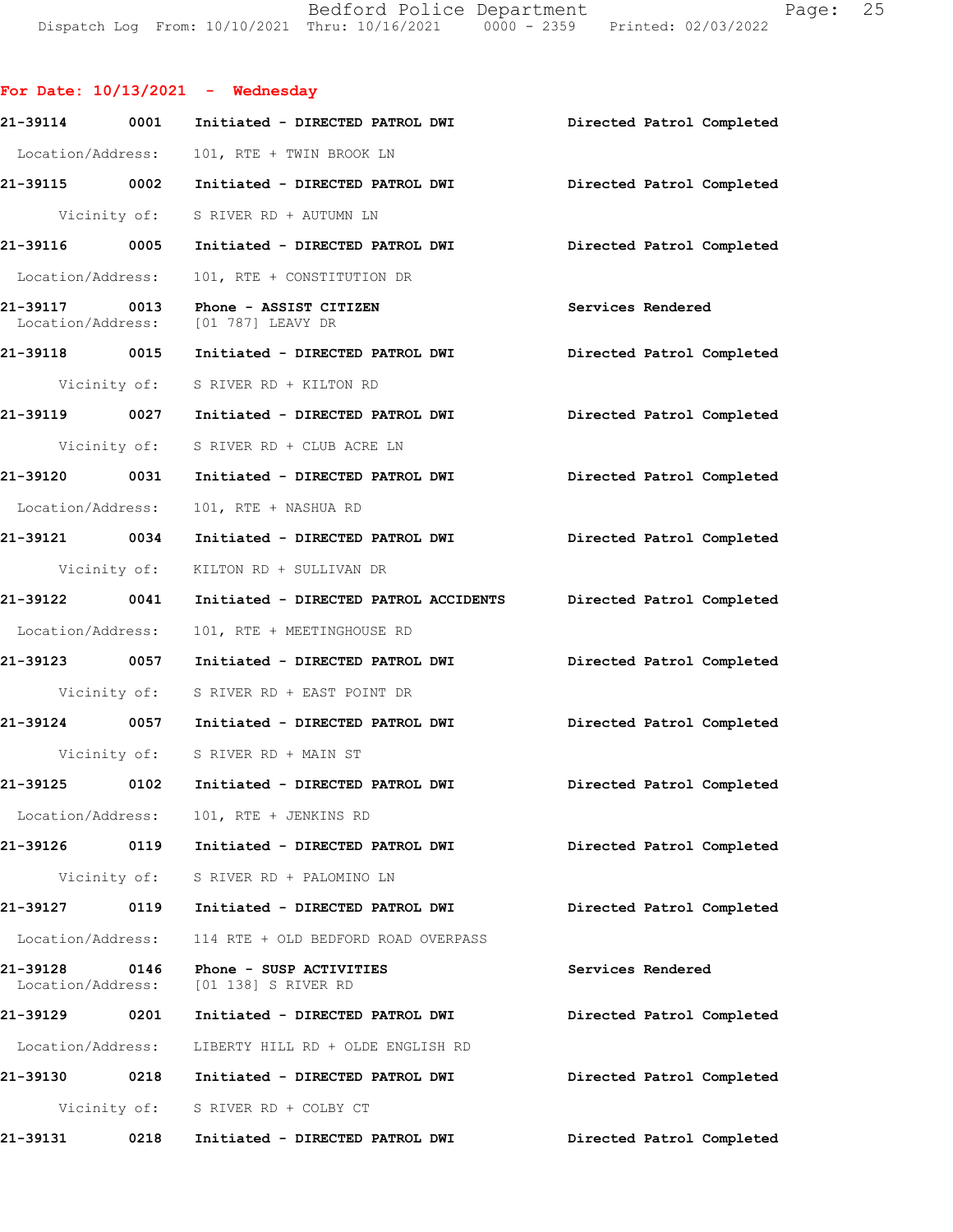Bedford Police Department Page: 25 Dispatch Log From: 10/10/2021 Thru: 10/16/2021 0000 - 2359 Printed: 02/03/2022

**For Date: 10/13/2021 - Wednesday 21-39114 0001 Initiated - DIRECTED PATROL DWI Directed Patrol Completed**  Location/Address: 101, RTE + TWIN BROOK LN **21-39115 0002 Initiated - DIRECTED PATROL DWI Directed Patrol Completed**  Vicinity of: S RIVER RD + AUTUMN LN **21-39116 0005 Initiated - DIRECTED PATROL DWI Directed Patrol Completed**  Location/Address: 101, RTE + CONSTITUTION DR **21-39117 0013 Phone - ASSIST CITIZEN Services Rendered**  Location/Address: [01 787] LEAVY DR **21-39118 0015 Initiated - DIRECTED PATROL DWI Directed Patrol Completed**  Vicinity of: S RIVER RD + KILTON RD **21-39119 0027 Initiated - DIRECTED PATROL DWI Directed Patrol Completed**  Vicinity of: S RIVER RD + CLUB ACRE LN **21-39120 0031 Initiated - DIRECTED PATROL DWI Directed Patrol Completed**  Location/Address: 101, RTE + NASHUA RD **21-39121 0034 Initiated - DIRECTED PATROL DWI Directed Patrol Completed**  Vicinity of: KILTON RD + SULLIVAN DR **21-39122 0041 Initiated - DIRECTED PATROL ACCIDENTS Directed Patrol Completed**  Location/Address: 101, RTE + MEETINGHOUSE RD **21-39123 0057 Initiated - DIRECTED PATROL DWI Directed Patrol Completed**  Vicinity of: S RIVER RD + EAST POINT DR **21-39124 0057 Initiated - DIRECTED PATROL DWI Directed Patrol Completed**  Vicinity of: S RIVER RD + MAIN ST **21-39125 0102 Initiated - DIRECTED PATROL DWI Directed Patrol Completed**  Location/Address: 101, RTE + JENKINS RD **21-39126 0119 Initiated - DIRECTED PATROL DWI Directed Patrol Completed**  Vicinity of: S RIVER RD + PALOMINO LN **21-39127 0119 Initiated - DIRECTED PATROL DWI Directed Patrol Completed**  Location/Address: 114 RTE + OLD BEDFORD ROAD OVERPASS **21-39128 0146 Phone - SUSP ACTIVITIES Services Rendered**  Location/Address: [01 138] S RIVER RD **21-39129 0201 Initiated - DIRECTED PATROL DWI Directed Patrol Completed**  Location/Address: LIBERTY HILL RD + OLDE ENGLISH RD **21-39130 0218 Initiated - DIRECTED PATROL DWI Directed Patrol Completed**  Vicinity of: S RIVER RD + COLBY CT

**21-39131 0218 Initiated - DIRECTED PATROL DWI Directed Patrol Completed**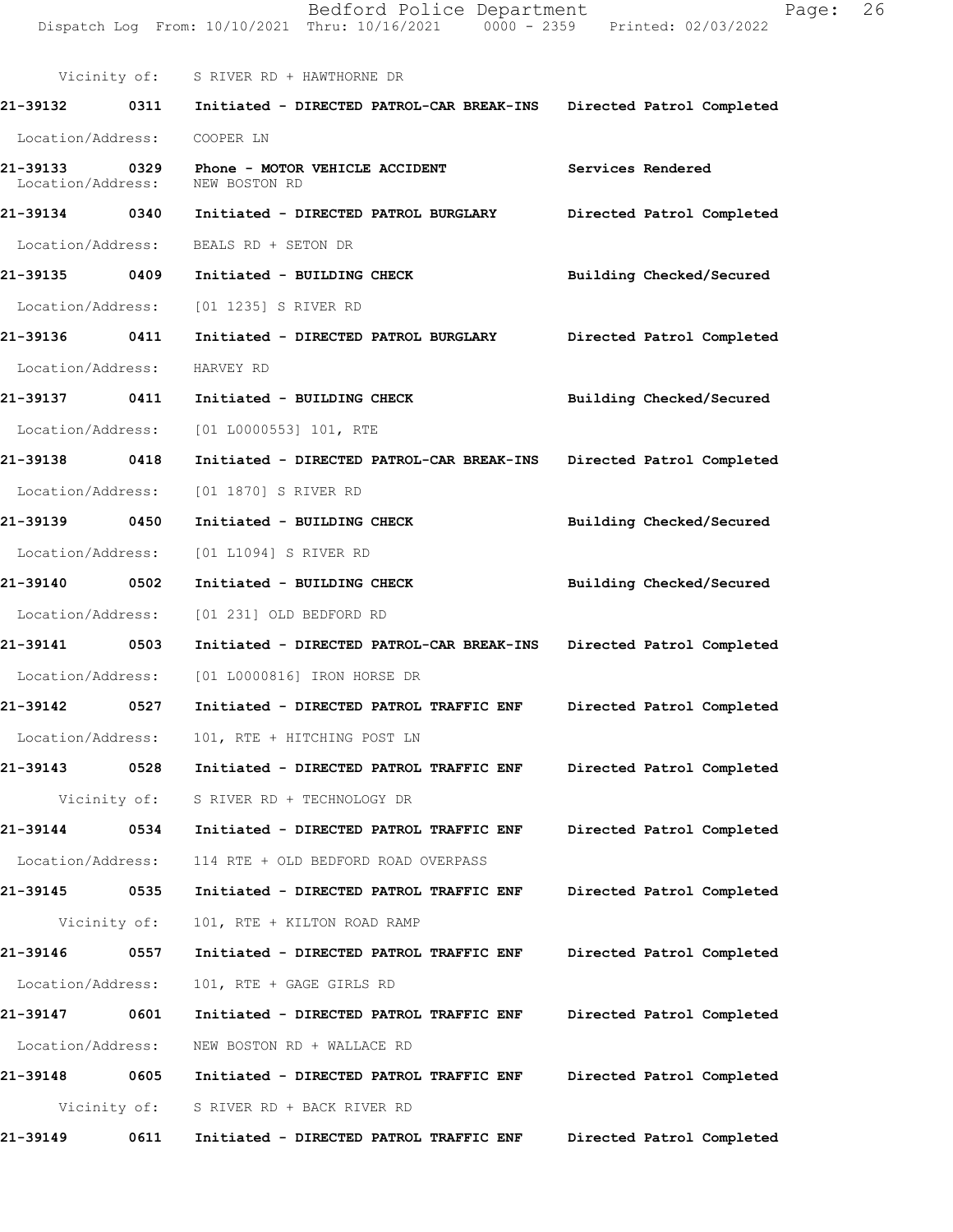Dispatch Log From: 10/10/2021 Thru: 10/16/2021 0000 - 2359 Printed: 02/03/2022 Vicinity of: S RIVER RD + HAWTHORNE DR **21-39132 0311 Initiated - DIRECTED PATROL-CAR BREAK-INS Directed Patrol Completed**  Location/Address: COOPER LN **21-39133 0329 Phone - MOTOR VEHICLE ACCIDENT Services Rendered**  Location/Address: NEW BOSTON RD **21-39134 0340 Initiated - DIRECTED PATROL BURGLARY Directed Patrol Completed**  Location/Address: BEALS RD + SETON DR **21-39135 0409 Initiated - BUILDING CHECK Building Checked/Secured**  Location/Address: [01 1235] S RIVER RD **21-39136 0411 Initiated - DIRECTED PATROL BURGLARY Directed Patrol Completed**  Location/Address: HARVEY RD **21-39137 0411 Initiated - BUILDING CHECK Building Checked/Secured**  Location/Address: [01 L0000553] 101, RTE **21-39138 0418 Initiated - DIRECTED PATROL-CAR BREAK-INS Directed Patrol Completed**  Location/Address: [01 1870] S RIVER RD **21-39139 0450 Initiated - BUILDING CHECK Building Checked/Secured**  Location/Address: [01 L1094] S RIVER RD **21-39140 0502 Initiated - BUILDING CHECK Building Checked/Secured**  Location/Address: [01 231] OLD BEDFORD RD **21-39141 0503 Initiated - DIRECTED PATROL-CAR BREAK-INS Directed Patrol Completed**  Location/Address: [01 L0000816] IRON HORSE DR **21-39142 0527 Initiated - DIRECTED PATROL TRAFFIC ENF Directed Patrol Completed**  Location/Address: 101, RTE + HITCHING POST LN **21-39143 0528 Initiated - DIRECTED PATROL TRAFFIC ENF Directed Patrol Completed**  Vicinity of: S RIVER RD + TECHNOLOGY DR **21-39144 0534 Initiated - DIRECTED PATROL TRAFFIC ENF Directed Patrol Completed**  Location/Address: 114 RTE + OLD BEDFORD ROAD OVERPASS **21-39145 0535 Initiated - DIRECTED PATROL TRAFFIC ENF Directed Patrol Completed**  Vicinity of: 101, RTE + KILTON ROAD RAMP **21-39146 0557 Initiated - DIRECTED PATROL TRAFFIC ENF Directed Patrol Completed**  Location/Address: 101, RTE + GAGE GIRLS RD **21-39147 0601 Initiated - DIRECTED PATROL TRAFFIC ENF Directed Patrol Completed**  Location/Address: NEW BOSTON RD + WALLACE RD **21-39148 0605 Initiated - DIRECTED PATROL TRAFFIC ENF Directed Patrol Completed**  Vicinity of: S RIVER RD + BACK RIVER RD **21-39149 0611 Initiated - DIRECTED PATROL TRAFFIC ENF Directed Patrol Completed**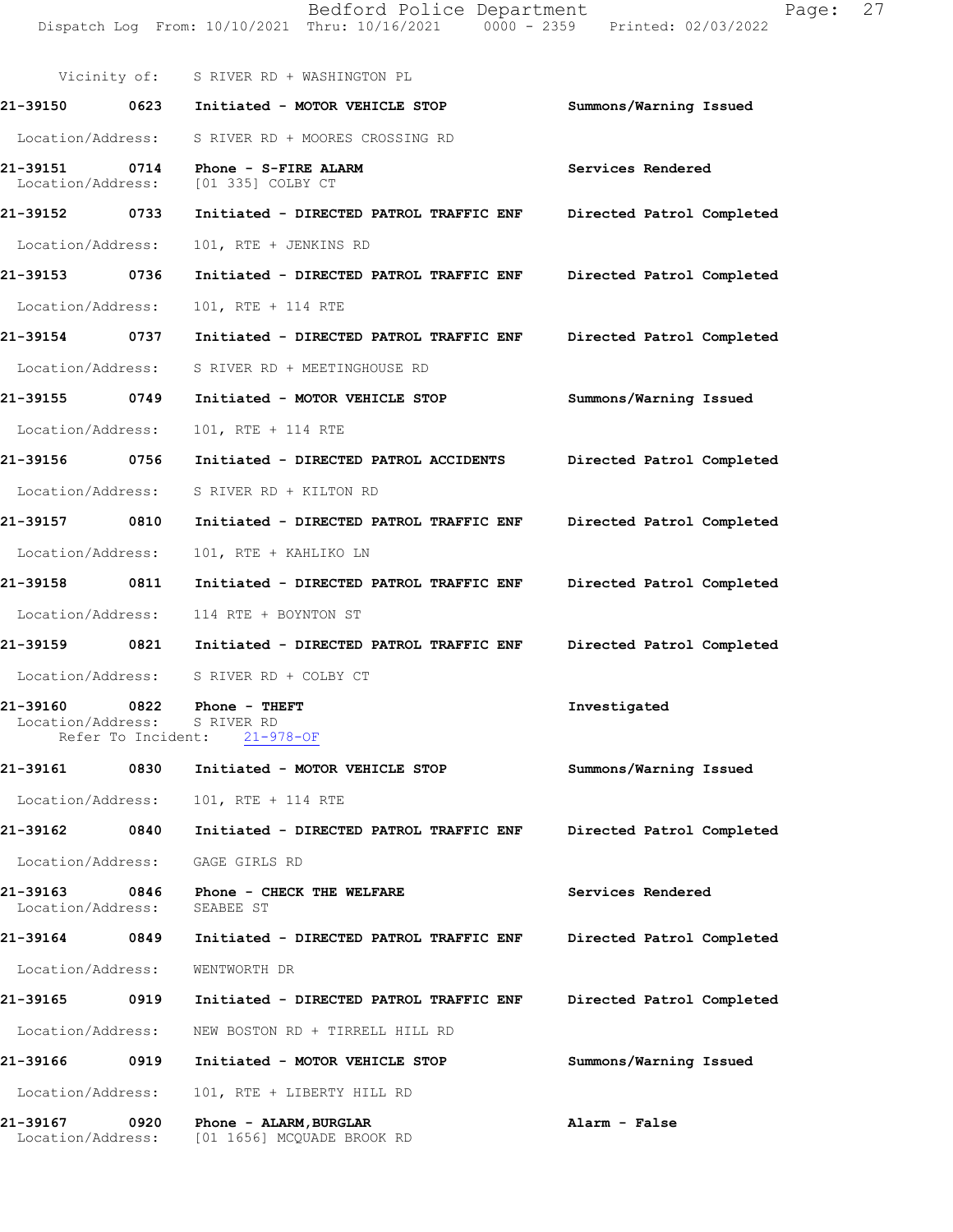|                               |      | Vicinity of: S RIVER RD + WASHINGTON PL                                   |                           |
|-------------------------------|------|---------------------------------------------------------------------------|---------------------------|
| 21-39150 0623                 |      | Initiated - MOTOR VEHICLE STOP                                            | Summons/Warning Issued    |
| Location/Address:             |      | S RIVER RD + MOORES CROSSING RD                                           |                           |
| Location/Address:             |      | 21-39151 0714 Phone - S-FIRE ALARM<br>[01 335] COLBY CT                   | Services Rendered         |
| 21-39152 0733                 |      | Initiated - DIRECTED PATROL TRAFFIC ENF                                   | Directed Patrol Completed |
| Location/Address:             |      | 101, RTE + JENKINS RD                                                     |                           |
| 21-39153 0736                 |      | Initiated - DIRECTED PATROL TRAFFIC ENF                                   | Directed Patrol Completed |
| Location/Address:             |      | 101, RTE + 114 RTE                                                        |                           |
| 21-39154 0737                 |      | Initiated - DIRECTED PATROL TRAFFIC ENF                                   | Directed Patrol Completed |
| Location/Address:             |      | S RIVER RD + MEETINGHOUSE RD                                              |                           |
| 21-39155 0749                 |      | Initiated - MOTOR VEHICLE STOP                                            | Summons/Warning Issued    |
| Location/Address:             |      | 101, RTE + 114 RTE                                                        |                           |
| 21-39156 0756                 |      | Initiated - DIRECTED PATROL ACCIDENTS                                     | Directed Patrol Completed |
|                               |      | Location/Address: S RIVER RD + KILTON RD                                  |                           |
| 21-39157 0810                 |      | Initiated - DIRECTED PATROL TRAFFIC ENF                                   | Directed Patrol Completed |
| Location/Address:             |      | 101, RTE + KAHLIKO LN                                                     |                           |
| 21-39158 0811                 |      | Initiated - DIRECTED PATROL TRAFFIC ENF                                   | Directed Patrol Completed |
| Location/Address:             |      | 114 RTE + BOYNTON ST                                                      |                           |
|                               |      | 21-39159               0821       Initiated - DIRECTED PATROL TRAFFIC ENF | Directed Patrol Completed |
|                               |      | Location/Address: S RIVER RD + COLBY CT                                   |                           |
| 21-39160<br>Location/Address: |      | 0822 Phone - THEFT<br>S RIVER RD<br>Refer To Incident: 21-978-OF          | Investigated              |
| 21-39161                      | 0830 | Initiated - MOTOR VEHICLE STOP                                            | Summons/Warning Issued    |
| Location/Address:             |      | 101, RTE + 114 RTE                                                        |                           |
| 21-39162                      | 0840 | Initiated - DIRECTED PATROL TRAFFIC ENF                                   | Directed Patrol Completed |
| Location/Address:             |      | GAGE GIRLS RD                                                             |                           |
| 21-39163<br>Location/Address: | 0846 | Phone - CHECK THE WELFARE<br>SEABEE ST                                    | Services Rendered         |
| 21-39164 0849                 |      | Initiated - DIRECTED PATROL TRAFFIC ENF                                   | Directed Patrol Completed |
| Location/Address:             |      | WENTWORTH DR                                                              |                           |
| 21-39165                      | 0919 | Initiated - DIRECTED PATROL TRAFFIC ENF                                   | Directed Patrol Completed |
| Location/Address:             |      | NEW BOSTON RD + TIRRELL HILL RD                                           |                           |
| 21-39166                      | 0919 | Initiated - MOTOR VEHICLE STOP                                            | Summons/Warning Issued    |
| Location/Address:             |      | 101, RTE + LIBERTY HILL RD                                                |                           |
| 21-39167<br>Location/Address: | 0920 | Phone - ALARM, BURGLAR<br>[01 1656] MCQUADE BROOK RD                      | Alarm - False             |

Bedford Police Department Fage: 27

Dispatch Log From: 10/10/2021 Thru: 10/16/2021 0000 - 2359 Printed: 02/03/2022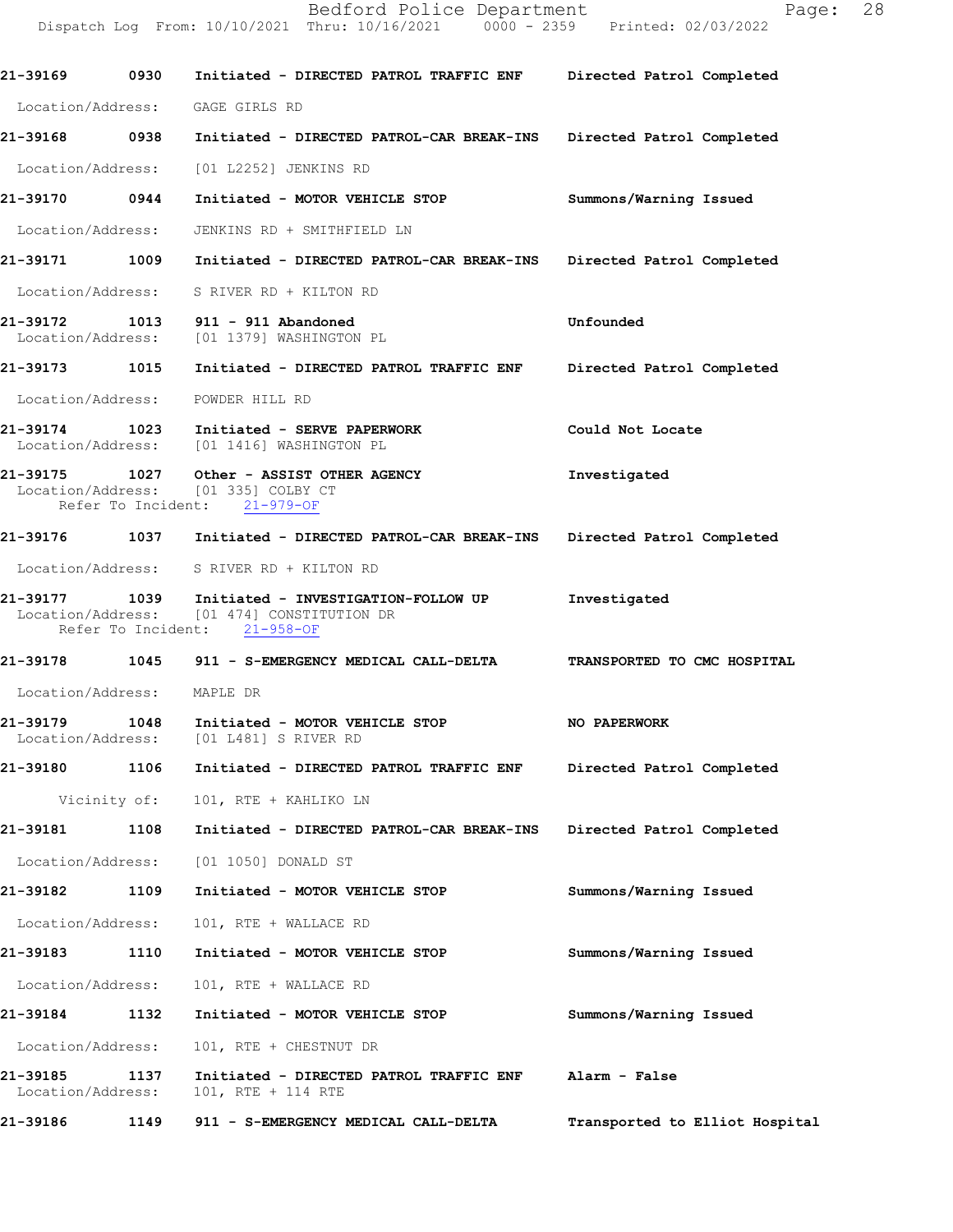Dispatch Log From: 10/10/2021 Thru: 10/16/2021 0000 - 2359 Printed: 02/03/2022 **21-39169 0930 Initiated - DIRECTED PATROL TRAFFIC ENF Directed Patrol Completed**  Location/Address: GAGE GIRLS RD **21-39168 0938 Initiated - DIRECTED PATROL-CAR BREAK-INS Directed Patrol Completed**  Location/Address: [01 L2252] JENKINS RD **21-39170 0944 Initiated - MOTOR VEHICLE STOP Summons/Warning Issued**  Location/Address: JENKINS RD + SMITHFIELD LN **21-39171 1009 Initiated - DIRECTED PATROL-CAR BREAK-INS Directed Patrol Completed**  Location/Address: S RIVER RD + KILTON RD **21-39172 1013 911 - 911 Abandoned Unfounded**  Location/Address: [01 1379] WASHINGTON PL **21-39173 1015 Initiated - DIRECTED PATROL TRAFFIC ENF Directed Patrol Completed**  Location/Address: POWDER HILL RD **21-39174 1023 Initiated - SERVE PAPERWORK Could Not Locate**  Location/Address: [01 1416] WASHINGTON PL **21-39175 1027 Other - ASSIST OTHER AGENCY 1111** Investigated Location/Address: [01 335] COLBY CT Location/Address: [01 335] COLBY COLBY<br>Refer To Incident: 21-979-OF Refer To Incident: **21-39176 1037 Initiated - DIRECTED PATROL-CAR BREAK-INS Directed Patrol Completed**  Location/Address: S RIVER RD + KILTON RD **21-39177 1039 Initiated - INVESTIGATION-FOLLOW UP Investigated**  Location/Address: [01 474] CONSTITUTION DR<br>Refer To Incident: 21-958-OF Refer To Incident: **21-39178 1045 911 - S-EMERGENCY MEDICAL CALL-DELTA TRANSPORTED TO CMC HOSPITAL**  Location/Address: MAPLE DR **21-39179 1048 Initiated - MOTOR VEHICLE STOP 100 PAPERWORK** Location/Address: [01 L481] S RIVER RD Location/Address: [01 L481] S RIVER RD **21-39180 1106 Initiated - DIRECTED PATROL TRAFFIC ENF Directed Patrol Completed**  Vicinity of: 101, RTE + KAHLIKO LN **21-39181 1108 Initiated - DIRECTED PATROL-CAR BREAK-INS Directed Patrol Completed**  Location/Address: [01 1050] DONALD ST **21-39182 1109 Initiated - MOTOR VEHICLE STOP Summons/Warning Issued**  Location/Address: 101, RTE + WALLACE RD **21-39183 1110 Initiated - MOTOR VEHICLE STOP Summons/Warning Issued**  Location/Address: 101, RTE + WALLACE RD **21-39184 1132 Initiated - MOTOR VEHICLE STOP Summons/Warning Issued**  Location/Address: 101, RTE + CHESTNUT DR **21-39185 1137 Initiated - DIRECTED PATROL TRAFFIC ENF Alarm - False**  Location/Address: 101, RTE + 114 RTE

**21-39186 1149 911 - S-EMERGENCY MEDICAL CALL-DELTA Transported to Elliot Hospital**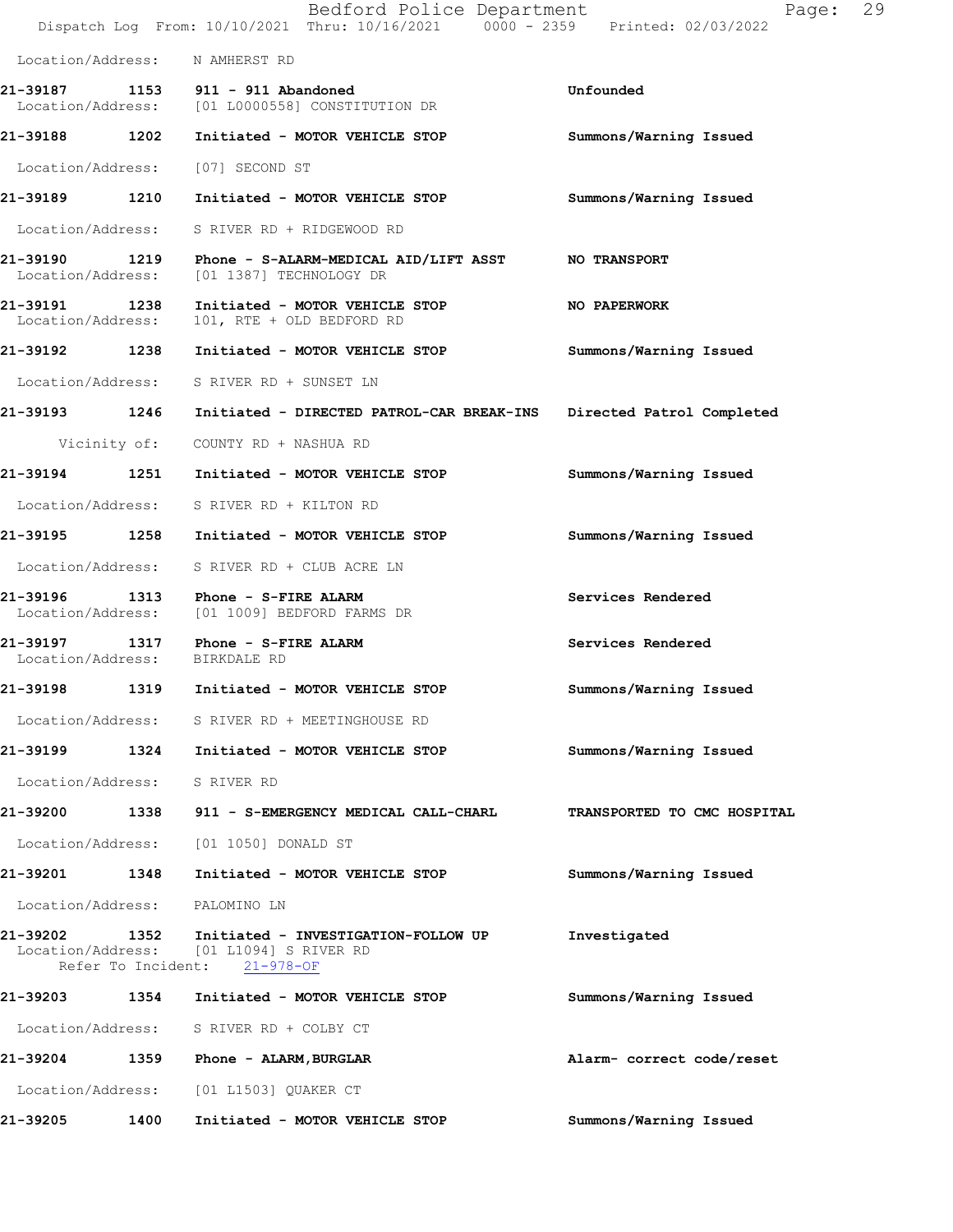|                                    |              | Bedford Police Department<br>Dispatch Log From: 10/10/2021 Thru: 10/16/2021 0000 - 2359 Printed: 02/03/2022    | Page:                       | 29 |
|------------------------------------|--------------|----------------------------------------------------------------------------------------------------------------|-----------------------------|----|
|                                    |              | Location/Address: N AMHERST RD                                                                                 |                             |    |
| 21-39187                           |              | 1153 911 - 911 Abandoned<br>Location/Address: [01 L0000558] CONSTITUTION DR                                    | Unfounded                   |    |
| 21-39188 1202                      |              | Initiated - MOTOR VEHICLE STOP                                                                                 | Summons/Warning Issued      |    |
| Location/Address:                  |              | [07] SECOND ST                                                                                                 |                             |    |
| 21-39189 1210                      |              | Initiated - MOTOR VEHICLE STOP                                                                                 | Summons/Warning Issued      |    |
| Location/Address:                  |              | S RIVER RD + RIDGEWOOD RD                                                                                      |                             |    |
| 21-39190<br>Location/Address:      | 1219         | Phone - S-ALARM-MEDICAL AID/LIFT ASST NO TRANSPORT<br>[01 1387] TECHNOLOGY DR                                  |                             |    |
| 21-39191 1238<br>Location/Address: |              | Initiated - MOTOR VEHICLE STOP<br>101, RTE + OLD BEDFORD RD                                                    | NO PAPERWORK                |    |
| 21-39192 1238                      |              | Initiated - MOTOR VEHICLE STOP                                                                                 | Summons/Warning Issued      |    |
| Location/Address:                  |              | S RIVER RD + SUNSET LN                                                                                         |                             |    |
| 21-39193 1246                      |              | Initiated - DIRECTED PATROL-CAR BREAK-INS Directed Patrol Completed                                            |                             |    |
|                                    | Vicinity of: | COUNTY RD + NASHUA RD                                                                                          |                             |    |
| 21-39194                           | 1251         | Initiated - MOTOR VEHICLE STOP                                                                                 | Summons/Warning Issued      |    |
| Location/Address:                  |              | S RIVER RD + KILTON RD                                                                                         |                             |    |
| 21-39195 1258                      |              | Initiated - MOTOR VEHICLE STOP                                                                                 | Summons/Warning Issued      |    |
| Location/Address:                  |              | S RIVER RD + CLUB ACRE LN                                                                                      |                             |    |
| 21-39196<br>Location/Address:      | 1313         | Phone - S-FIRE ALARM<br>[01 1009] BEDFORD FARMS DR                                                             | Services Rendered           |    |
| 21-39197 1317<br>Location/Address: |              | Phone - S-FIRE ALARM<br>BIRKDALE RD                                                                            | Services Rendered           |    |
| 21-39198                           | 1319         | Initiated - MOTOR VEHICLE STOP                                                                                 | Summons/Warning Issued      |    |
|                                    |              | Location/Address: S RIVER RD + MEETINGHOUSE RD                                                                 |                             |    |
|                                    |              | 21-39199 1324 Initiated - MOTOR VEHICLE STOP                                                                   | Summons/Warning Issued      |    |
| Location/Address: S RIVER RD       |              |                                                                                                                |                             |    |
| 21-39200                           |              | 1338 911 - S-EMERGENCY MEDICAL CALL-CHARL                                                                      | TRANSPORTED TO CMC HOSPITAL |    |
| Location/Address:                  |              | [01 1050] DONALD ST                                                                                            |                             |    |
| 21-39201                           | 1348         | Initiated - MOTOR VEHICLE STOP                                                                                 | Summons/Warning Issued      |    |
| Location/Address:                  |              | PALOMINO LN                                                                                                    |                             |    |
| 21-39202 1352                      |              | Initiated - INVESTIGATION-FOLLOW UP<br>Location/Address: [01 L1094] S RIVER RD<br>Refer To Incident: 21-978-OF | Investigated                |    |
|                                    |              | 21-39203 1354 Initiated - MOTOR VEHICLE STOP                                                                   | Summons/Warning Issued      |    |
|                                    |              | Location/Address: S RIVER RD + COLBY CT                                                                        |                             |    |
| 21-39204                           |              | 1359 Phone - ALARM, BURGLAR                                                                                    | Alarm- correct code/reset   |    |
| Location/Address:                  |              | [01 L1503] QUAKER CT                                                                                           |                             |    |
| 21-39205                           | 1400         | Initiated - MOTOR VEHICLE STOP                                                                                 | Summons/Warning Issued      |    |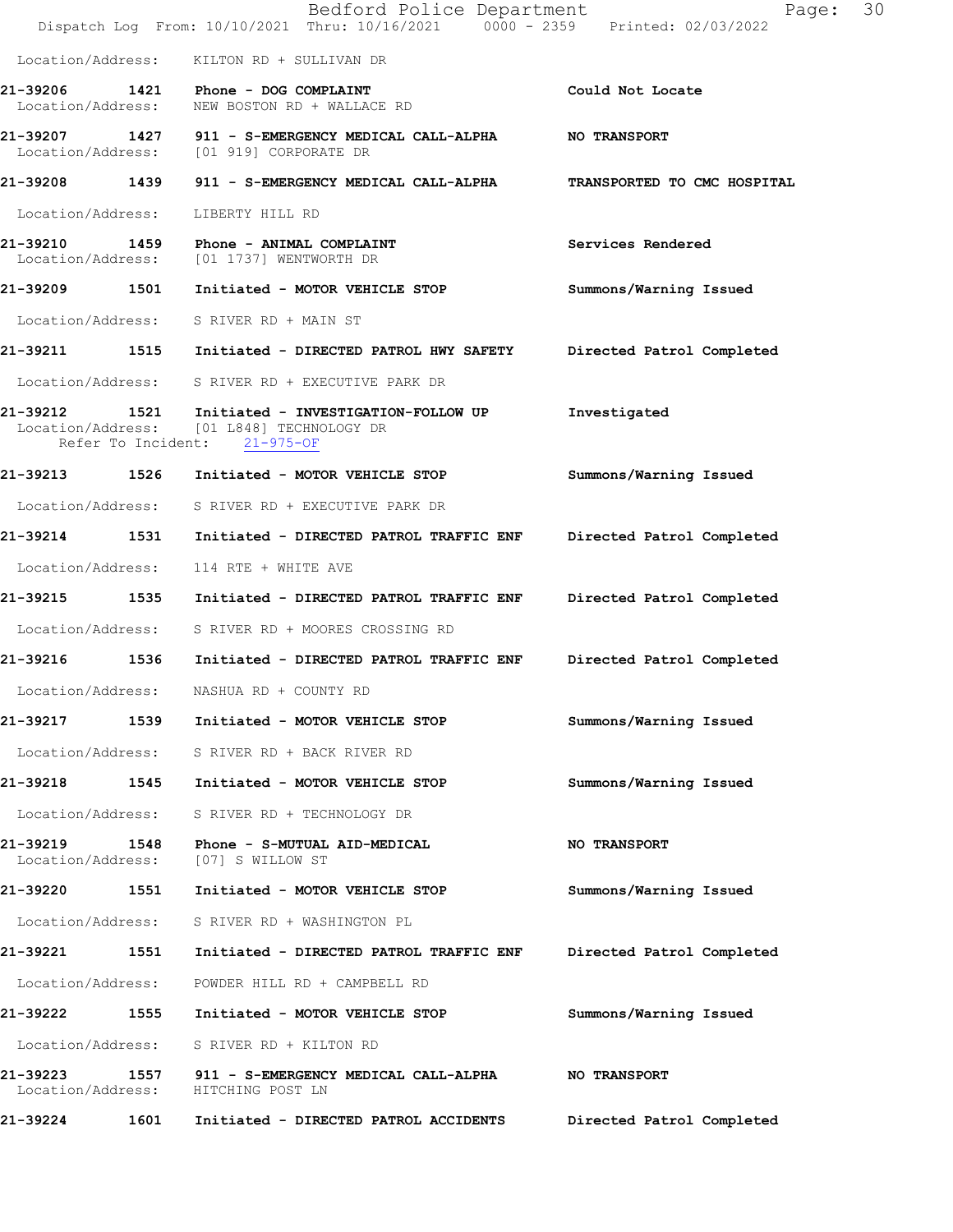|                               |      | Bedford Police Department<br>Dispatch Log From: 10/10/2021 Thru: 10/16/2021 0000 - 2359 Printed: 02/03/2022                        | Page:                       | 30 |
|-------------------------------|------|------------------------------------------------------------------------------------------------------------------------------------|-----------------------------|----|
|                               |      | Location/Address: KILTON RD + SULLIVAN DR                                                                                          |                             |    |
| Location/Address:             |      | 21-39206 1421 Phone - DOG COMPLAINT<br>NEW BOSTON RD + WALLACE RD                                                                  | Could Not Locate            |    |
|                               |      | 21-39207 1427 911 - S-EMERGENCY MEDICAL CALL-ALPHA<br>Location/Address: [01 919] CORPORATE DR                                      | <b>NO TRANSPORT</b>         |    |
| 21-39208 1439                 |      | 911 - S-EMERGENCY MEDICAL CALL-ALPHA                                                                                               | TRANSPORTED TO CMC HOSPITAL |    |
| Location/Address:             |      | LIBERTY HILL RD                                                                                                                    |                             |    |
| 21-39210                      |      | 1459 Phone - ANIMAL COMPLAINT<br>Location/Address: [01 1737] WENTWORTH DR                                                          | Services Rendered           |    |
|                               |      | 21-39209 1501 Initiated - MOTOR VEHICLE STOP                                                                                       | Summons/Warning Issued      |    |
|                               |      | Location/Address: S RIVER RD + MAIN ST                                                                                             |                             |    |
|                               |      | 21-39211 1515 Initiated - DIRECTED PATROL HWY SAFETY                                                                               | Directed Patrol Completed   |    |
|                               |      | Location/Address: S RIVER RD + EXECUTIVE PARK DR                                                                                   |                             |    |
| 21-39212                      |      | 21-39212   1521   Initiated - INVESTIGATION-FOLLOW UP<br>Location/Address: [01 L848] TECHNOLOGY DR<br>Refer To Incident: 21-975-OF | Investigated                |    |
|                               |      | 21-39213 1526 Initiated - MOTOR VEHICLE STOP                                                                                       | Summons/Warning Issued      |    |
|                               |      | Location/Address: S RIVER RD + EXECUTIVE PARK DR                                                                                   |                             |    |
| 21-39214 1531                 |      | Initiated - DIRECTED PATROL TRAFFIC ENF                                                                                            | Directed Patrol Completed   |    |
| Location/Address:             |      | 114 RTE + WHITE AVE                                                                                                                |                             |    |
| 21-39215                      | 1535 | Initiated - DIRECTED PATROL TRAFFIC ENF                                                                                            | Directed Patrol Completed   |    |
|                               |      | Location/Address: S RIVER RD + MOORES CROSSING RD                                                                                  |                             |    |
| 21-39216                      |      | 1536 Initiated - DIRECTED PATROL TRAFFIC ENF                                                                                       | Directed Patrol Completed   |    |
| Location/Address:             |      | NASHUA RD + COUNTY RD                                                                                                              |                             |    |
| 21-39217                      | 1539 | Initiated - MOTOR VEHICLE STOP                                                                                                     | Summons/Warning Issued      |    |
| Location/Address:             |      | S RIVER RD + BACK RIVER RD                                                                                                         |                             |    |
| 21-39218                      | 1545 | Initiated - MOTOR VEHICLE STOP                                                                                                     | Summons/Warning Issued      |    |
| Location/Address:             |      | S RIVER RD + TECHNOLOGY DR                                                                                                         |                             |    |
| 21-39219<br>Location/Address: | 1548 | Phone - S-MUTUAL AID-MEDICAL<br>[07] S WILLOW ST                                                                                   | <b>NO TRANSPORT</b>         |    |
| 21-39220                      | 1551 | Initiated - MOTOR VEHICLE STOP                                                                                                     | Summons/Warning Issued      |    |
| Location/Address:             |      | S RIVER RD + WASHINGTON PL                                                                                                         |                             |    |
| 21-39221                      | 1551 | Initiated - DIRECTED PATROL TRAFFIC ENF                                                                                            | Directed Patrol Completed   |    |
| Location/Address:             |      | POWDER HILL RD + CAMPBELL RD                                                                                                       |                             |    |
| 21-39222                      | 1555 | Initiated - MOTOR VEHICLE STOP                                                                                                     | Summons/Warning Issued      |    |
| Location/Address:             |      | S RIVER RD + KILTON RD                                                                                                             |                             |    |
| 21-39223<br>Location/Address: | 1557 | 911 - S-EMERGENCY MEDICAL CALL-ALPHA<br>HITCHING POST LN                                                                           | <b>NO TRANSPORT</b>         |    |
| 21-39224                      | 1601 | Initiated - DIRECTED PATROL ACCIDENTS                                                                                              | Directed Patrol Completed   |    |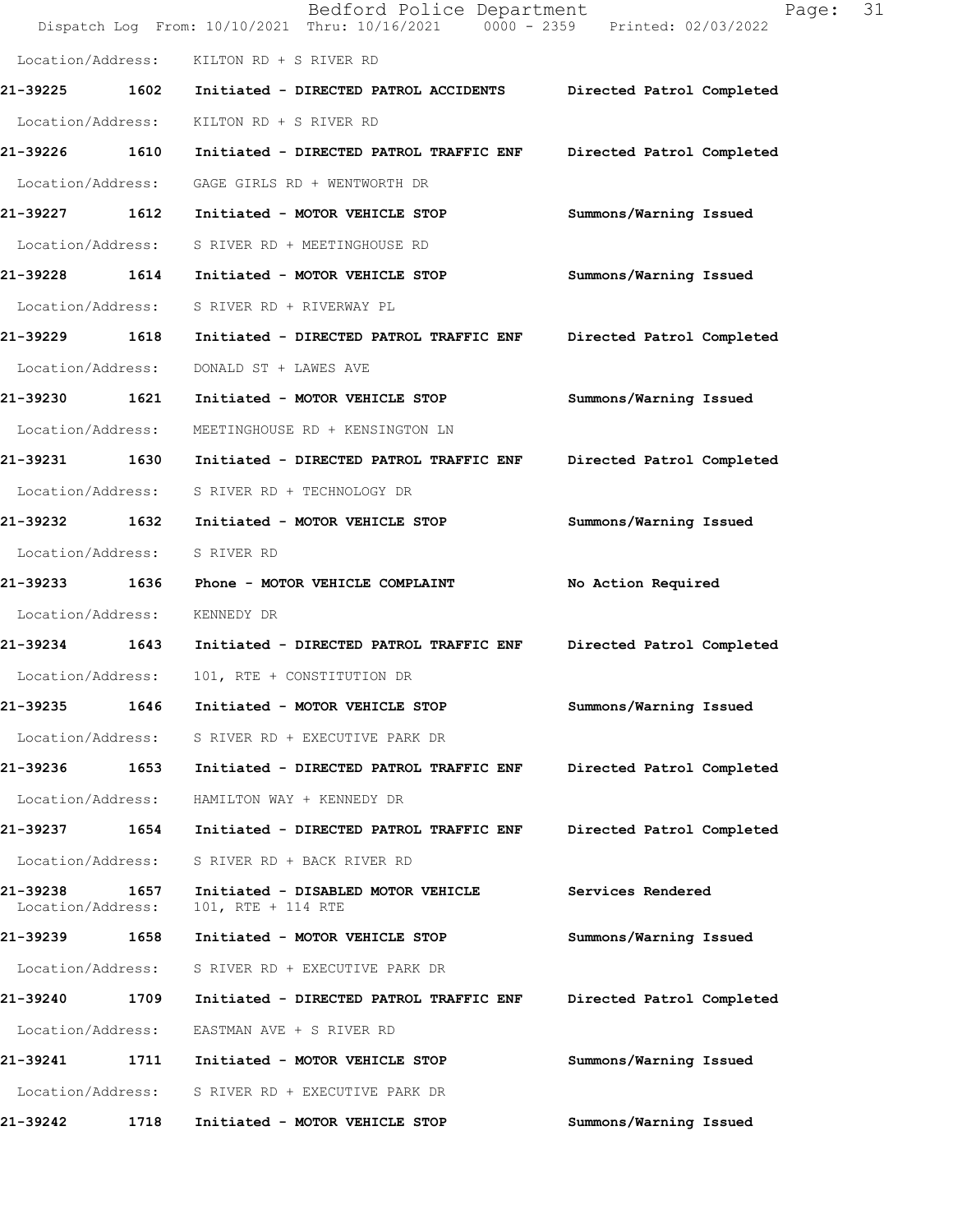|                               |      | Bedford Police Department<br>Dispatch Log From: 10/10/2021 Thru: 10/16/2021 0000 - 2359 Printed: 02/03/2022 | 31<br>Page:               |
|-------------------------------|------|-------------------------------------------------------------------------------------------------------------|---------------------------|
| Location/Address:             |      | KILTON RD + S RIVER RD                                                                                      |                           |
| 21-39225                      | 1602 | Initiated - DIRECTED PATROL ACCIDENTS                                                                       | Directed Patrol Completed |
| Location/Address:             |      | KILTON RD + S RIVER RD                                                                                      |                           |
| 21-39226                      | 1610 | Initiated - DIRECTED PATROL TRAFFIC ENF                                                                     | Directed Patrol Completed |
| Location/Address:             |      | GAGE GIRLS RD + WENTWORTH DR                                                                                |                           |
| 21-39227 1612                 |      | Initiated - MOTOR VEHICLE STOP                                                                              | Summons/Warning Issued    |
| Location/Address:             |      | S RIVER RD + MEETINGHOUSE RD                                                                                |                           |
| 21-39228                      | 1614 | Initiated - MOTOR VEHICLE STOP                                                                              | Summons/Warning Issued    |
| Location/Address:             |      | S RIVER RD + RIVERWAY PL                                                                                    |                           |
| 21-39229                      | 1618 | Initiated - DIRECTED PATROL TRAFFIC ENF                                                                     | Directed Patrol Completed |
| Location/Address:             |      | DONALD ST + LAWES AVE                                                                                       |                           |
| 21-39230                      | 1621 | Initiated - MOTOR VEHICLE STOP                                                                              | Summons/Warning Issued    |
| Location/Address:             |      | MEETINGHOUSE RD + KENSINGTON LN                                                                             |                           |
| 21-39231 1630                 |      | Initiated - DIRECTED PATROL TRAFFIC ENF                                                                     | Directed Patrol Completed |
| Location/Address:             |      | S RIVER RD + TECHNOLOGY DR                                                                                  |                           |
| 21-39232                      | 1632 | Initiated - MOTOR VEHICLE STOP                                                                              | Summons/Warning Issued    |
| Location/Address:             |      | S RIVER RD                                                                                                  |                           |
| 21-39233                      | 1636 | Phone - MOTOR VEHICLE COMPLAINT                                                                             | No Action Required        |
| Location/Address:             |      | KENNEDY DR                                                                                                  |                           |
| 21-39234 1643                 |      | Initiated - DIRECTED PATROL TRAFFIC ENF                                                                     | Directed Patrol Completed |
| Location/Address:             |      | 101, RTE + CONSTITUTION DR                                                                                  |                           |
| 21-39235                      | 1646 | Initiated - MOTOR VEHICLE STOP                                                                              | Summons/Warning Issued    |
| Location/Address:             |      | S RIVER RD + EXECUTIVE PARK DR                                                                              |                           |
| 21-39236 1653                 |      | Initiated - DIRECTED PATROL TRAFFIC ENF                                                                     | Directed Patrol Completed |
| Location/Address:             |      | HAMILTON WAY + KENNEDY DR                                                                                   |                           |
| 21-39237                      | 1654 | Initiated - DIRECTED PATROL TRAFFIC ENF                                                                     | Directed Patrol Completed |
| Location/Address:             |      | S RIVER RD + BACK RIVER RD                                                                                  |                           |
| 21-39238<br>Location/Address: | 1657 | Initiated - DISABLED MOTOR VEHICLE<br>101, RTE + 114 RTE                                                    | Services Rendered         |
| 21-39239 1658                 |      | Initiated - MOTOR VEHICLE STOP                                                                              | Summons/Warning Issued    |
| Location/Address:             |      | S RIVER RD + EXECUTIVE PARK DR                                                                              |                           |
| 21-39240                      | 1709 | Initiated - DIRECTED PATROL TRAFFIC ENF                                                                     | Directed Patrol Completed |
| Location/Address:             |      | EASTMAN AVE + S RIVER RD                                                                                    |                           |
| 21-39241                      | 1711 | Initiated - MOTOR VEHICLE STOP                                                                              | Summons/Warning Issued    |
| Location/Address:             |      | S RIVER RD + EXECUTIVE PARK DR                                                                              |                           |
| 21-39242                      | 1718 | Initiated - MOTOR VEHICLE STOP                                                                              | Summons/Warning Issued    |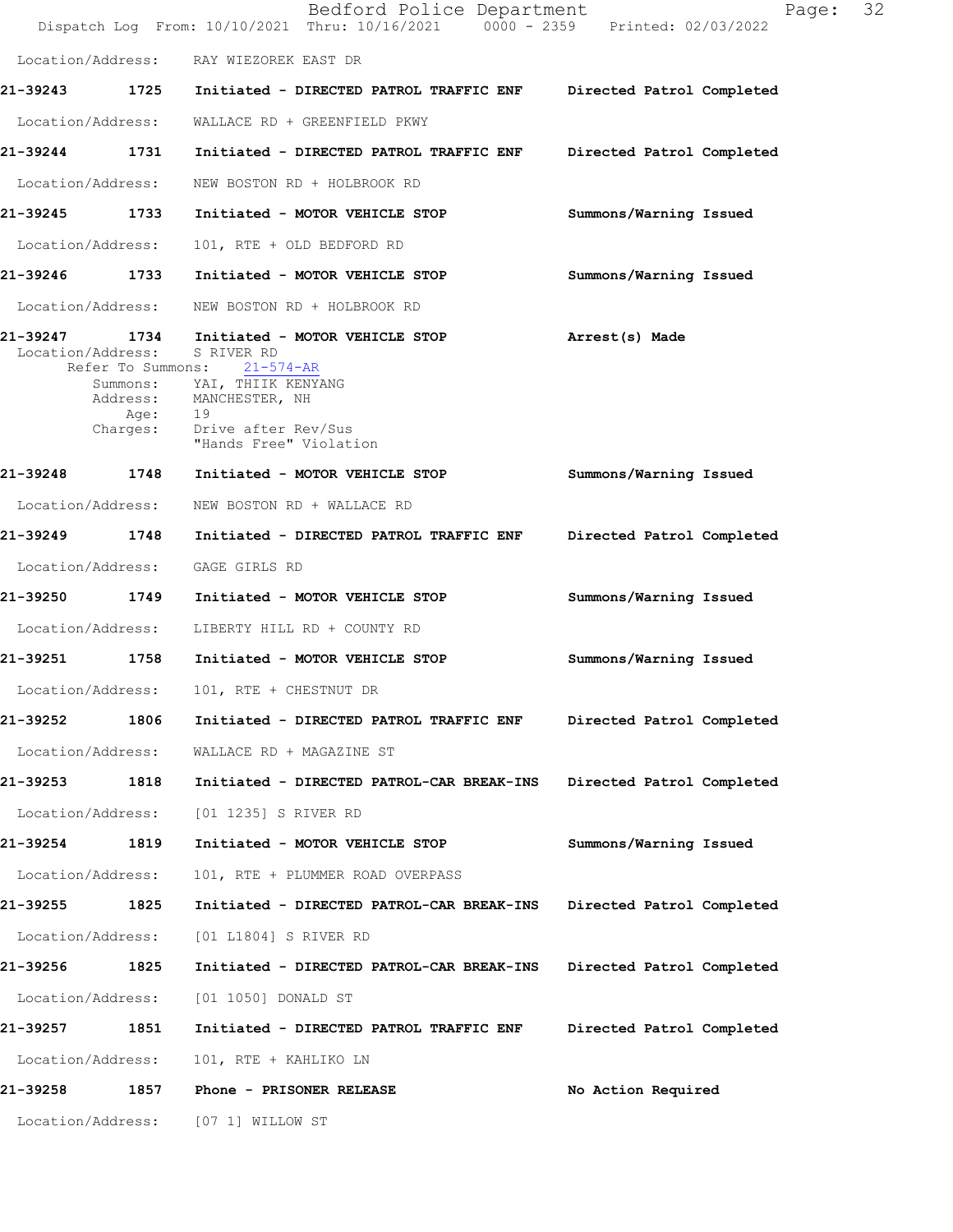|                               |                                               | Bedford Police Department<br>Dispatch Log From: 10/10/2021 Thru: 10/16/2021 0000 - 2359 Printed: 02/03/2022                                                                | Page:                     | 32 |
|-------------------------------|-----------------------------------------------|----------------------------------------------------------------------------------------------------------------------------------------------------------------------------|---------------------------|----|
| Location/Address:             |                                               | RAY WIEZOREK EAST DR                                                                                                                                                       |                           |    |
|                               |                                               | 21-39243 1725 Initiated - DIRECTED PATROL TRAFFIC ENF                                                                                                                      | Directed Patrol Completed |    |
| Location/Address:             |                                               | WALLACE RD + GREENFIELD PKWY                                                                                                                                               |                           |    |
| 21-39244                      | 1731                                          | Initiated - DIRECTED PATROL TRAFFIC ENF                                                                                                                                    | Directed Patrol Completed |    |
| Location/Address:             |                                               | NEW BOSTON RD + HOLBROOK RD                                                                                                                                                |                           |    |
| 21-39245 1733                 |                                               | Initiated - MOTOR VEHICLE STOP                                                                                                                                             | Summons/Warning Issued    |    |
| Location/Address:             |                                               | 101, RTE + OLD BEDFORD RD                                                                                                                                                  |                           |    |
| 21-39246 1733                 |                                               | Initiated - MOTOR VEHICLE STOP                                                                                                                                             | Summons/Warning Issued    |    |
| Location/Address:             |                                               | NEW BOSTON RD + HOLBROOK RD                                                                                                                                                |                           |    |
| 21-39247<br>Location/Address: | 1734<br>Refer To Summons:<br>Age:<br>Charges: | Initiated - MOTOR VEHICLE STOP<br>S RIVER RD<br>21-574-AR<br>Summons: YAI, THIIK KENYANG<br>Address: MANCHESTER, NH<br>19<br>Drive after Rev/Sus<br>"Hands Free" Violation | Arrest(s) Made            |    |
| 21-39248                      | 1748                                          | Initiated - MOTOR VEHICLE STOP                                                                                                                                             | Summons/Warning Issued    |    |
| Location/Address:             |                                               | NEW BOSTON RD + WALLACE RD                                                                                                                                                 |                           |    |
| 21–39249 1748                 |                                               | Initiated - DIRECTED PATROL TRAFFIC ENF                                                                                                                                    | Directed Patrol Completed |    |
| Location/Address:             |                                               | GAGE GIRLS RD                                                                                                                                                              |                           |    |
| 21-39250                      | 1749                                          | Initiated - MOTOR VEHICLE STOP                                                                                                                                             | Summons/Warning Issued    |    |
| Location/Address:             |                                               | LIBERTY HILL RD + COUNTY RD                                                                                                                                                |                           |    |
| 21-39251                      | 1758                                          | Initiated - MOTOR VEHICLE STOP                                                                                                                                             | Summons/Warning Issued    |    |
| Location/Address:             |                                               | 101, RTE + CHESTNUT DR                                                                                                                                                     |                           |    |
| 21-39252                      | 1806                                          | Initiated - DIRECTED PATROL TRAFFIC ENF                                                                                                                                    | Directed Patrol Completed |    |
| Location/Address:             |                                               | WALLACE RD + MAGAZINE ST                                                                                                                                                   |                           |    |
| 21-39253                      | 1818                                          | Initiated - DIRECTED PATROL-CAR BREAK-INS                                                                                                                                  | Directed Patrol Completed |    |
| Location/Address:             |                                               | [01 1235] S RIVER RD                                                                                                                                                       |                           |    |
| 21-39254                      | 1819                                          | Initiated - MOTOR VEHICLE STOP                                                                                                                                             | Summons/Warning Issued    |    |
| Location/Address:             |                                               | 101, RTE + PLUMMER ROAD OVERPASS                                                                                                                                           |                           |    |
| 21-39255                      | 1825                                          | Initiated - DIRECTED PATROL-CAR BREAK-INS                                                                                                                                  | Directed Patrol Completed |    |
| Location/Address:             |                                               | [01 L1804] S RIVER RD                                                                                                                                                      |                           |    |
| 21-39256                      | 1825                                          | Initiated - DIRECTED PATROL-CAR BREAK-INS                                                                                                                                  | Directed Patrol Completed |    |
| Location/Address:             |                                               | [01 1050] DONALD ST                                                                                                                                                        |                           |    |
| 21-39257                      | 1851                                          | Initiated - DIRECTED PATROL TRAFFIC ENF                                                                                                                                    | Directed Patrol Completed |    |
| Location/Address:             |                                               | 101, RTE + KAHLIKO LN                                                                                                                                                      |                           |    |
| 21-39258                      | 1857                                          | Phone - PRISONER RELEASE                                                                                                                                                   | No Action Required        |    |
| Location/Address:             |                                               | [07 1] WILLOW ST                                                                                                                                                           |                           |    |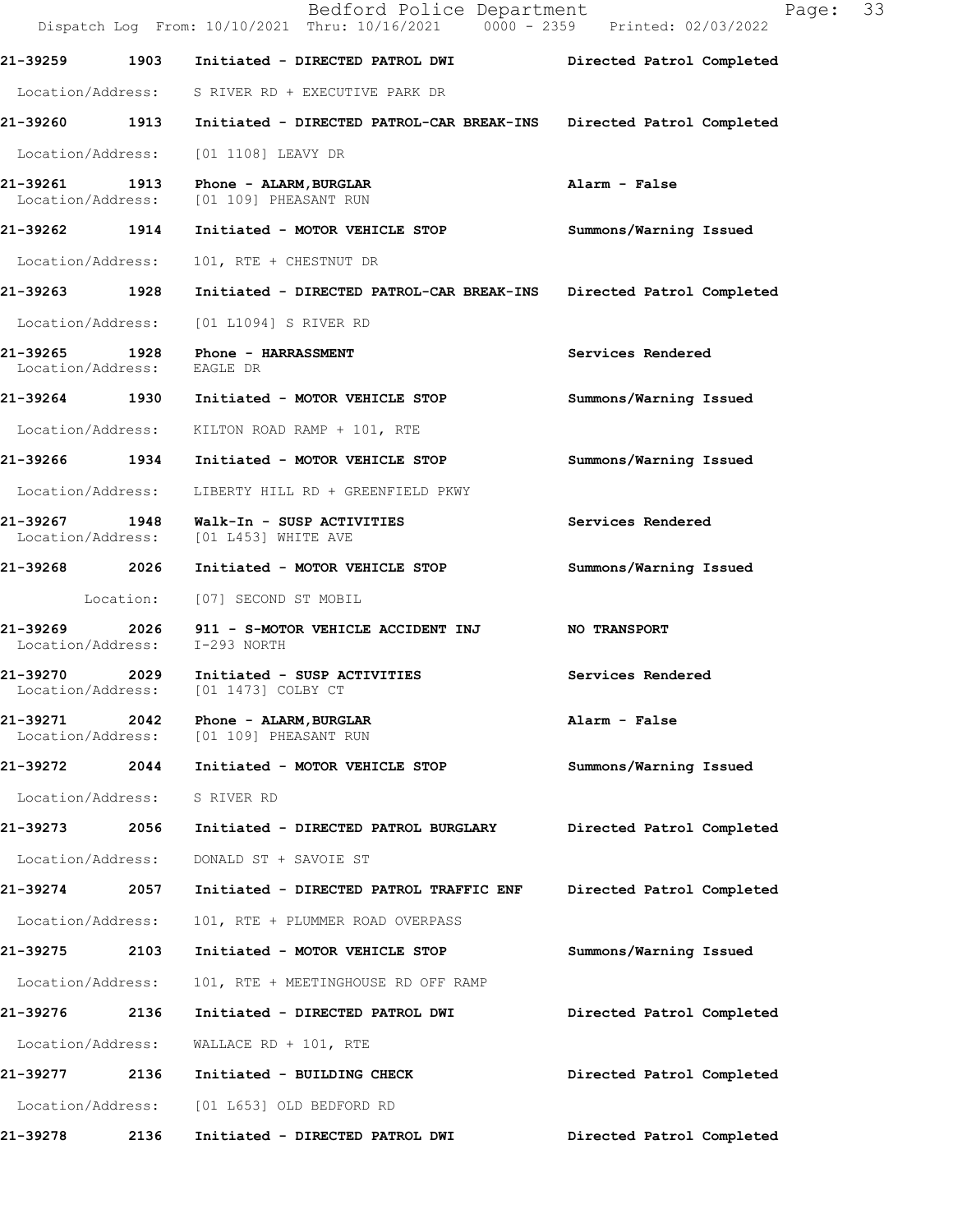|                               |           | Bedford Police Department<br>Dispatch Log From: 10/10/2021 Thru: 10/16/2021 0000 - 2359 Printed: 02/03/2022 | 33<br>Page:               |  |
|-------------------------------|-----------|-------------------------------------------------------------------------------------------------------------|---------------------------|--|
| 21-39259                      | 1903      | Initiated - DIRECTED PATROL DWI                                                                             | Directed Patrol Completed |  |
|                               |           | Location/Address: S RIVER RD + EXECUTIVE PARK DR                                                            |                           |  |
|                               |           | 21-39260 1913 Initiated - DIRECTED PATROL-CAR BREAK-INS                                                     | Directed Patrol Completed |  |
| Location/Address:             |           | [01 1108] LEAVY DR                                                                                          |                           |  |
| 21-39261                      | 1913      | Phone - ALARM, BURGLAR<br>Location/Address: [01 109] PHEASANT RUN                                           | Alarm - False             |  |
| 21-39262 1914                 |           | Initiated - MOTOR VEHICLE STOP                                                                              | Summons/Warning Issued    |  |
| Location/Address:             |           | 101, RTE + CHESTNUT DR                                                                                      |                           |  |
| 21-39263 1928                 |           | Initiated - DIRECTED PATROL-CAR BREAK-INS                                                                   | Directed Patrol Completed |  |
| Location/Address:             |           | [01 L1094] S RIVER RD                                                                                       |                           |  |
| 21-39265<br>Location/Address: |           | <b>1928 Phone - HARRASSMENT</b><br>EAGLE DR                                                                 | Services Rendered         |  |
|                               |           | 21-39264 1930 Initiated - MOTOR VEHICLE STOP                                                                | Summons/Warning Issued    |  |
| Location/Address:             |           | KILTON ROAD RAMP + 101, RTE                                                                                 |                           |  |
| 21-39266 1934                 |           | Initiated - MOTOR VEHICLE STOP                                                                              | Summons/Warning Issued    |  |
| Location/Address:             |           | LIBERTY HILL RD + GREENFIELD PKWY                                                                           |                           |  |
| 21-39267                      |           | 1948 Walk-In - SUSP ACTIVITIES<br>Location/Address: [01 L453] WHITE AVE                                     | Services Rendered         |  |
|                               |           | 21-39268 2026 Initiated - MOTOR VEHICLE STOP                                                                | Summons/Warning Issued    |  |
|                               | Location: | [07] SECOND ST MOBIL                                                                                        |                           |  |
| 21-39269<br>Location/Address: |           | 2026 911 - S-MOTOR VEHICLE ACCIDENT INJ<br>I-293 NORTH                                                      | NO TRANSPORT              |  |
|                               |           | 21-39270 2029 Initiated - SUSP ACTIVITIES<br>Location/Address: [01 1473] COLBY CT                           | Services Rendered         |  |
| 21-39271<br>Location/Address: | 2042      | Phone - ALARM, BURGLAR<br>[01 109] PHEASANT RUN                                                             | Alarm - False             |  |
| 21-39272                      | 2044      | Initiated - MOTOR VEHICLE STOP                                                                              | Summons/Warning Issued    |  |
| Location/Address:             |           | S RIVER RD                                                                                                  |                           |  |
| 21-39273                      | 2056      | Initiated - DIRECTED PATROL BURGLARY                                                                        | Directed Patrol Completed |  |
| Location/Address:             |           | DONALD ST + SAVOIE ST                                                                                       |                           |  |
| 21-39274                      | 2057      | Initiated - DIRECTED PATROL TRAFFIC ENF                                                                     | Directed Patrol Completed |  |
| Location/Address:             |           | 101, RTE + PLUMMER ROAD OVERPASS                                                                            |                           |  |
| 21-39275                      | 2103      | Initiated - MOTOR VEHICLE STOP                                                                              | Summons/Warning Issued    |  |
| Location/Address:             |           | 101, RTE + MEETINGHOUSE RD OFF RAMP                                                                         |                           |  |
| 21-39276                      | 2136      | Initiated - DIRECTED PATROL DWI                                                                             | Directed Patrol Completed |  |
| Location/Address:             |           | WALLACE RD + 101, RTE                                                                                       |                           |  |
| 21-39277                      | 2136      | Initiated - BUILDING CHECK                                                                                  | Directed Patrol Completed |  |
| Location/Address:             |           | [01 L653] OLD BEDFORD RD                                                                                    |                           |  |
| 21-39278                      | 2136      | Initiated - DIRECTED PATROL DWI                                                                             | Directed Patrol Completed |  |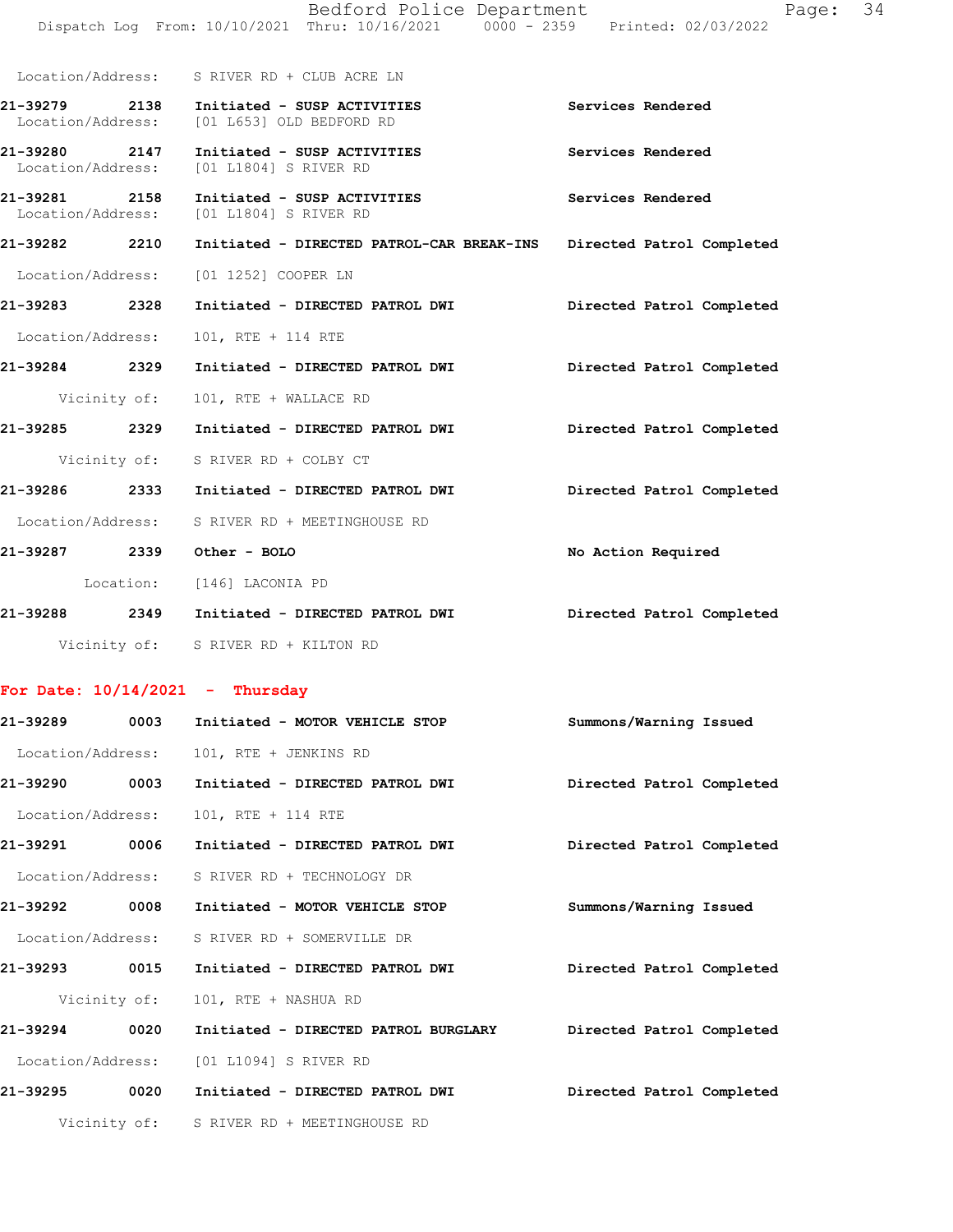|                                    |              | Bedford Police Department<br>Dispatch Log From: 10/10/2021 Thru: 10/16/2021 0000 - 2359 Printed: 02/03/2022 | Page:                     | 34 |
|------------------------------------|--------------|-------------------------------------------------------------------------------------------------------------|---------------------------|----|
|                                    |              | Location/Address: S RIVER RD + CLUB ACRE LN                                                                 |                           |    |
| Location/Address:                  |              | 21-39279 2138 Initiated - SUSP ACTIVITIES<br>[01 L653] OLD BEDFORD RD                                       | Services Rendered         |    |
| 21-39280 2147<br>Location/Address: |              | Initiated - SUSP ACTIVITIES<br>[01 L1804] S RIVER RD                                                        | Services Rendered         |    |
| 21-39281 2158                      |              | Initiated - SUSP ACTIVITIES<br>Location/Address: [01 L1804] S RIVER RD                                      | Services Rendered         |    |
|                                    |              | 21-39282     2210   Initiated - DIRECTED PATROL-CAR BREAK-INS  Directed Patrol Completed                    |                           |    |
|                                    |              | Location/Address: [01 1252] COOPER LN                                                                       |                           |    |
|                                    |              | 21-39283 2328 Initiated - DIRECTED PATROL DWI                                                               | Directed Patrol Completed |    |
| Location/Address:                  |              | 101, RTE + 114 RTE                                                                                          |                           |    |
| 21-39284 2329                      |              | Initiated - DIRECTED PATROL DWI Directed Patrol Completed                                                   |                           |    |
|                                    | Vicinity of: | 101, RTE + WALLACE RD                                                                                       |                           |    |
|                                    |              | 21-39285  2329    Initiated - DIRECTED PATROL DWI                                                           | Directed Patrol Completed |    |
|                                    |              | Vicinity of: S RIVER RD + COLBY CT                                                                          |                           |    |
|                                    |              | 21-39286 2333 Initiated - DIRECTED PATROL DWI                                                               | Directed Patrol Completed |    |
|                                    |              | Location/Address: S RIVER RD + MEETINGHOUSE RD                                                              |                           |    |
|                                    |              | 21-39287 2339 Other - BOLO                                                                                  | No Action Required        |    |
|                                    |              | Location: [146] LACONIA PD                                                                                  |                           |    |
|                                    |              | 21-39288 2349 Initiated - DIRECTED PATROL DWI         Directed Patrol Completed                             |                           |    |
|                                    |              | Vicinity of: S RIVER RD + KILTON RD                                                                         |                           |    |
|                                    |              | For Date: $10/14/2021$ - Thursday                                                                           |                           |    |
| 21-39289                           | 0003         | Initiated - MOTOR VEHICLE STOP                                                                              | Summons/Warning Issued    |    |
| Location/Address:                  |              | 101, RTE + JENKINS RD                                                                                       |                           |    |
| 21-39290                           | 0003         | Initiated - DIRECTED PATROL DWI                                                                             | Directed Patrol Completed |    |
| Location/Address:                  |              | 101, RTE + 114 RTE                                                                                          |                           |    |
| 21-39291                           | 0006         | Initiated - DIRECTED PATROL DWI                                                                             | Directed Patrol Completed |    |
| Location/Address:                  |              | S RIVER RD + TECHNOLOGY DR                                                                                  |                           |    |
| 21-39292                           | 0008         | Initiated - MOTOR VEHICLE STOP                                                                              | Summons/Warning Issued    |    |
| Location/Address:                  |              | S RIVER RD + SOMERVILLE DR                                                                                  |                           |    |
| 21-39293 0015                      |              | Initiated - DIRECTED PATROL DWI                                                                             | Directed Patrol Completed |    |
|                                    | Vicinity of: | 101, RTE + NASHUA RD                                                                                        |                           |    |
| 21-39294 0020                      |              | Initiated - DIRECTED PATROL BURGLARY                                                                        | Directed Patrol Completed |    |
| Location/Address:                  |              | [01 L1094] S RIVER RD                                                                                       |                           |    |
| 21-39295                           | 0020         | Initiated - DIRECTED PATROL DWI                                                                             | Directed Patrol Completed |    |
|                                    |              | Vicinity of: S RIVER RD + MEETINGHOUSE RD                                                                   |                           |    |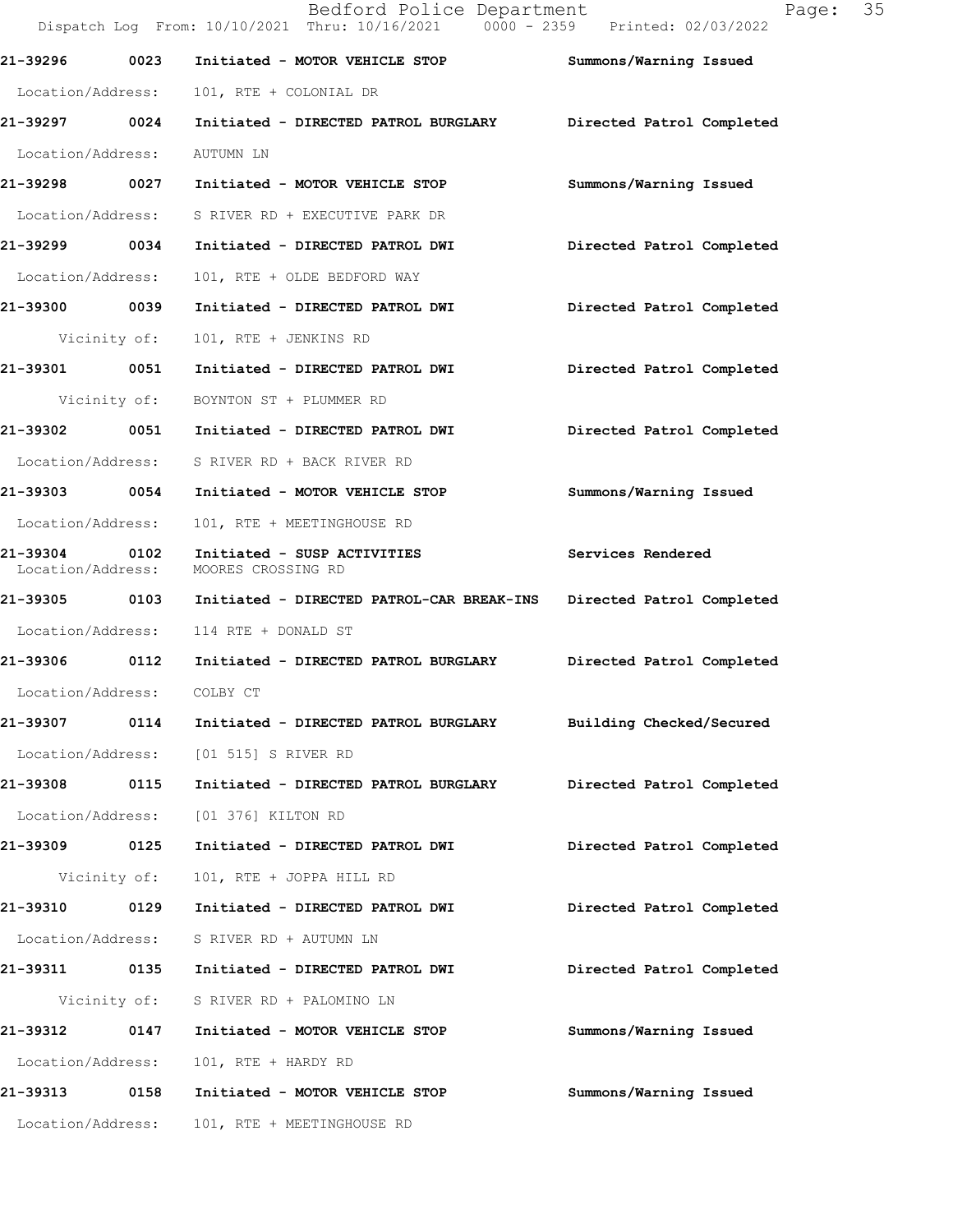Dispatch Log From: 10/10/2021 Thru: 10/16/2021 0000 - 2359 Printed: 02/03/2022 **21-39296 0023 Initiated - MOTOR VEHICLE STOP Summons/Warning Issued**  Location/Address: 101, RTE + COLONIAL DR **21-39297 0024 Initiated - DIRECTED PATROL BURGLARY Directed Patrol Completed**  Location/Address: AUTUMN LN **21-39298 0027 Initiated - MOTOR VEHICLE STOP Summons/Warning Issued**  Location/Address: S RIVER RD + EXECUTIVE PARK DR **21-39299 0034 Initiated - DIRECTED PATROL DWI Directed Patrol Completed**  Location/Address: 101, RTE + OLDE BEDFORD WAY **21-39300 0039 Initiated - DIRECTED PATROL DWI Directed Patrol Completed**  Vicinity of: 101, RTE + JENKINS RD **21-39301 0051 Initiated - DIRECTED PATROL DWI Directed Patrol Completed**  Vicinity of: BOYNTON ST + PLUMMER RD **21-39302 0051 Initiated - DIRECTED PATROL DWI Directed Patrol Completed**  Location/Address: S RIVER RD + BACK RIVER RD **21-39303 0054 Initiated - MOTOR VEHICLE STOP Summons/Warning Issued**  Location/Address: 101, RTE + MEETINGHOUSE RD **21-39304 0102 Initiated - SUSP ACTIVITIES Services Rendered**  Location/Address: MOORES CROSSING RD **21-39305 0103 Initiated - DIRECTED PATROL-CAR BREAK-INS Directed Patrol Completed**  Location/Address: 114 RTE + DONALD ST **21-39306 0112 Initiated - DIRECTED PATROL BURGLARY Directed Patrol Completed**  Location/Address: COLBY CT **21-39307 0114 Initiated - DIRECTED PATROL BURGLARY Building Checked/Secured**  Location/Address: [01 515] S RIVER RD **21-39308 0115 Initiated - DIRECTED PATROL BURGLARY Directed Patrol Completed**  Location/Address: [01 376] KILTON RD **21-39309 0125 Initiated - DIRECTED PATROL DWI Directed Patrol Completed**  Vicinity of: 101, RTE + JOPPA HILL RD **21-39310 0129 Initiated - DIRECTED PATROL DWI Directed Patrol Completed**  Location/Address: S RIVER RD + AUTUMN LN **21-39311 0135 Initiated - DIRECTED PATROL DWI Directed Patrol Completed**  Vicinity of: S RIVER RD + PALOMINO LN **21-39312 0147 Initiated - MOTOR VEHICLE STOP Summons/Warning Issued**  Location/Address: 101, RTE + HARDY RD **21-39313 0158 Initiated - MOTOR VEHICLE STOP Summons/Warning Issued**  Location/Address: 101, RTE + MEETINGHOUSE RD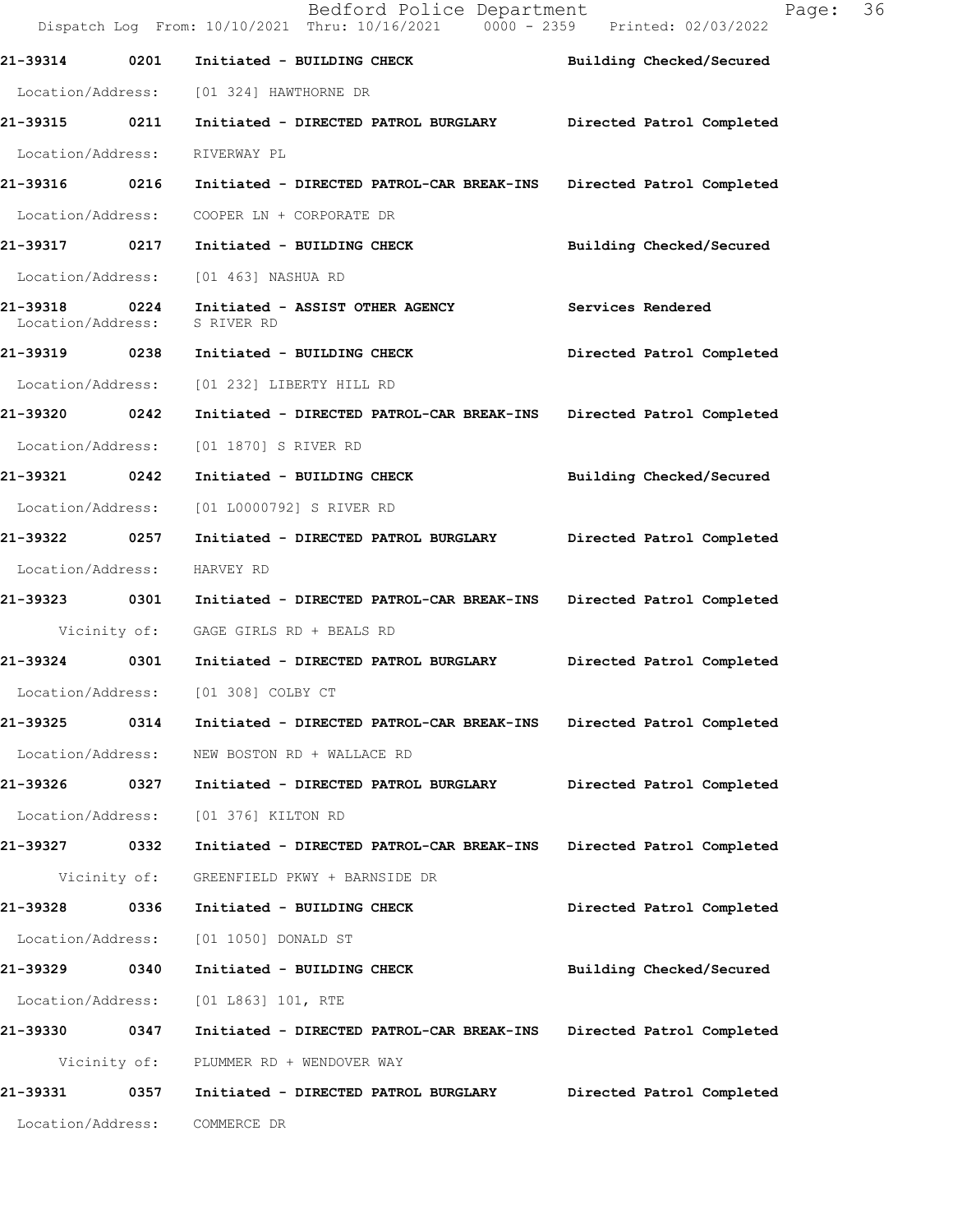Bedford Police Department Fage: 36 Dispatch Log From: 10/10/2021 Thru: 10/16/2021 0000 - 2359 Printed: 02/03/2022 **21-39314 0201 Initiated - BUILDING CHECK Building Checked/Secured**  Location/Address: [01 324] HAWTHORNE DR **21-39315 0211 Initiated - DIRECTED PATROL BURGLARY Directed Patrol Completed**  Location/Address: RIVERWAY PL **21-39316 0216 Initiated - DIRECTED PATROL-CAR BREAK-INS Directed Patrol Completed**  Location/Address: COOPER LN + CORPORATE DR **21-39317 0217 Initiated - BUILDING CHECK Building Checked/Secured**  Location/Address: [01 463] NASHUA RD **21-39318 0224 Initiated - ASSIST OTHER AGENCY Services Rendered**  Location/Address: S RIVER RD **21-39319 0238 Initiated - BUILDING CHECK Directed Patrol Completed**  Location/Address: [01 232] LIBERTY HILL RD **21-39320 0242 Initiated - DIRECTED PATROL-CAR BREAK-INS Directed Patrol Completed**  Location/Address: [01 1870] S RIVER RD **21-39321 0242 Initiated - BUILDING CHECK Building Checked/Secured**  Location/Address: [01 L0000792] S RIVER RD **21-39322 0257 Initiated - DIRECTED PATROL BURGLARY Directed Patrol Completed**  Location/Address: HARVEY RD **21-39323 0301 Initiated - DIRECTED PATROL-CAR BREAK-INS Directed Patrol Completed**  Vicinity of: GAGE GIRLS RD + BEALS RD **21-39324 0301 Initiated - DIRECTED PATROL BURGLARY Directed Patrol Completed**  Location/Address: [01 308] COLBY CT **21-39325 0314 Initiated - DIRECTED PATROL-CAR BREAK-INS Directed Patrol Completed**  Location/Address: NEW BOSTON RD + WALLACE RD **21-39326 0327 Initiated - DIRECTED PATROL BURGLARY Directed Patrol Completed**  Location/Address: [01 376] KILTON RD **21-39327 0332 Initiated - DIRECTED PATROL-CAR BREAK-INS Directed Patrol Completed**  Vicinity of: GREENFIELD PKWY + BARNSIDE DR **21-39328 0336 Initiated - BUILDING CHECK Directed Patrol Completed**  Location/Address: [01 1050] DONALD ST **21-39329 0340 Initiated - BUILDING CHECK Building Checked/Secured**  Location/Address: [01 L863] 101, RTE **21-39330 0347 Initiated - DIRECTED PATROL-CAR BREAK-INS Directed Patrol Completed**  Vicinity of: PLUMMER RD + WENDOVER WAY **21-39331 0357 Initiated - DIRECTED PATROL BURGLARY Directed Patrol Completed**  Location/Address: COMMERCE DR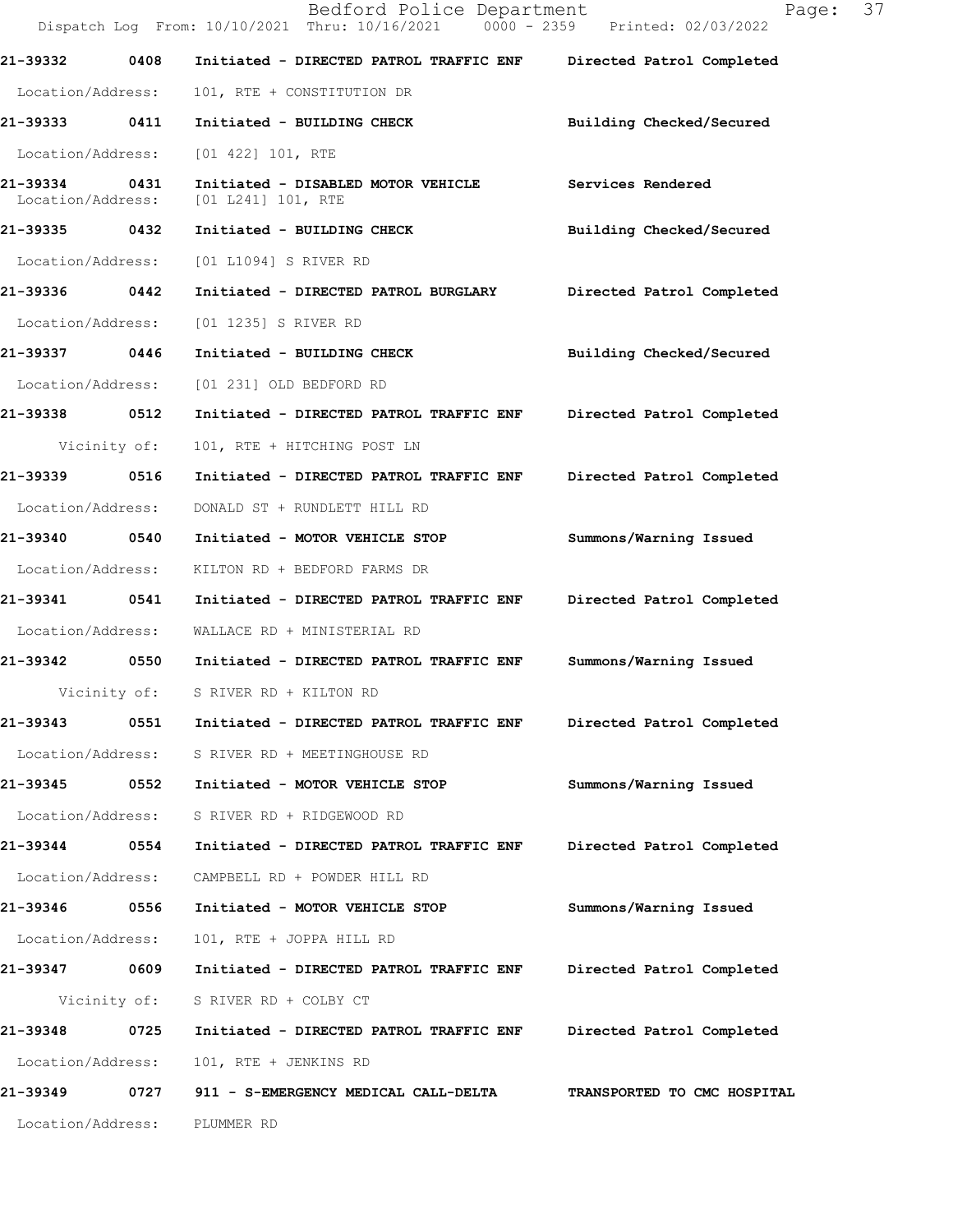|                               |              | Bedford Police Department<br>Dispatch Log From: 10/10/2021 Thru: 10/16/2021 0000 - 2359 Printed: 02/03/2022 | 37<br>Page:                 |
|-------------------------------|--------------|-------------------------------------------------------------------------------------------------------------|-----------------------------|
| 21-39332                      | 0408         | Initiated - DIRECTED PATROL TRAFFIC ENF                                                                     | Directed Patrol Completed   |
| Location/Address:             |              | 101, RTE + CONSTITUTION DR                                                                                  |                             |
| 21-39333 0411                 |              | Initiated - BUILDING CHECK                                                                                  | Building Checked/Secured    |
| Location/Address:             |              | $[01 422] 101$ , RTE                                                                                        |                             |
| 21-39334<br>Location/Address: | 0431         | Initiated - DISABLED MOTOR VEHICLE<br>[01 L241] 101, RTE                                                    | Services Rendered           |
| 21-39335 0432                 |              | Initiated - BUILDING CHECK                                                                                  | Building Checked/Secured    |
| Location/Address:             |              | [01 L1094] S RIVER RD                                                                                       |                             |
| 21-39336 0442                 |              | Initiated - DIRECTED PATROL BURGLARY                                                                        | Directed Patrol Completed   |
| Location/Address:             |              | [01 1235] S RIVER RD                                                                                        |                             |
| 21-39337 0446                 |              | Initiated - BUILDING CHECK                                                                                  | Building Checked/Secured    |
| Location/Address:             |              | [01 231] OLD BEDFORD RD                                                                                     |                             |
| 21-39338                      | 0512         | Initiated - DIRECTED PATROL TRAFFIC ENF                                                                     | Directed Patrol Completed   |
|                               | Vicinity of: | 101, RTE + HITCHING POST LN                                                                                 |                             |
| 21-39339 0516                 |              | Initiated - DIRECTED PATROL TRAFFIC ENF                                                                     | Directed Patrol Completed   |
| Location/Address:             |              | DONALD ST + RUNDLETT HILL RD                                                                                |                             |
| 21-39340 0540                 |              | Initiated - MOTOR VEHICLE STOP                                                                              | Summons/Warning Issued      |
| Location/Address:             |              | KILTON RD + BEDFORD FARMS DR                                                                                |                             |
| 21-39341                      | 0541         | Initiated - DIRECTED PATROL TRAFFIC ENF                                                                     | Directed Patrol Completed   |
| Location/Address:             |              | WALLACE RD + MINISTERIAL RD                                                                                 |                             |
| 21-39342                      |              | 0550 Initiated - DIRECTED PATROL TRAFFIC ENF                                                                | Summons/Warning Issued      |
|                               | Vicinity of: | S RIVER RD + KILTON RD                                                                                      |                             |
| 21-39343                      | 0551         | Initiated - DIRECTED PATROL TRAFFIC ENF                                                                     | Directed Patrol Completed   |
| Location/Address:             |              | S RIVER RD + MEETINGHOUSE RD                                                                                |                             |
| 21-39345                      | 0552         | Initiated - MOTOR VEHICLE STOP                                                                              | Summons/Warning Issued      |
| Location/Address:             |              | S RIVER RD + RIDGEWOOD RD                                                                                   |                             |
| 21-39344                      | 0554         | Initiated - DIRECTED PATROL TRAFFIC ENF                                                                     | Directed Patrol Completed   |
| Location/Address:             |              | CAMPBELL RD + POWDER HILL RD                                                                                |                             |
| 21-39346                      | 0556         | Initiated - MOTOR VEHICLE STOP                                                                              | Summons/Warning Issued      |
| Location/Address:             |              | 101, RTE + JOPPA HILL RD                                                                                    |                             |
| 21-39347 0609                 |              | Initiated - DIRECTED PATROL TRAFFIC ENF                                                                     | Directed Patrol Completed   |
|                               | Vicinity of: | S RIVER RD + COLBY CT                                                                                       |                             |
| 21-39348                      | 0725         | Initiated - DIRECTED PATROL TRAFFIC ENF                                                                     | Directed Patrol Completed   |
| Location/Address:             |              | 101, RTE + JENKINS RD                                                                                       |                             |
| 21-39349                      | 0727         | 911 - S-EMERGENCY MEDICAL CALL-DELTA                                                                        | TRANSPORTED TO CMC HOSPITAL |
| Location/Address:             |              | PLUMMER RD                                                                                                  |                             |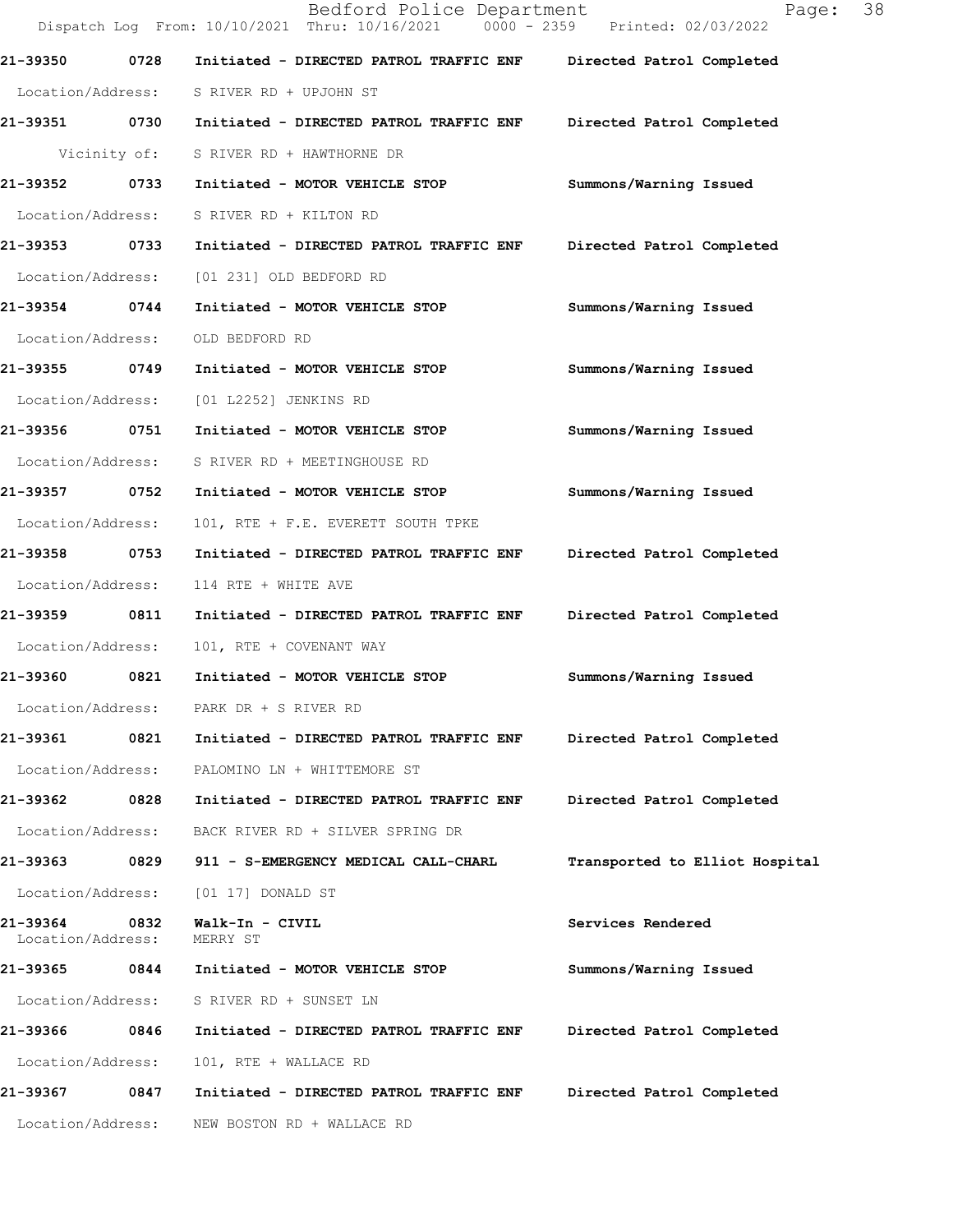Bedford Police Department Fage: 38 Dispatch Log From: 10/10/2021 Thru: 10/16/2021 0000 - 2359 Printed: 02/03/2022 **21-39350 0728 Initiated - DIRECTED PATROL TRAFFIC ENF Directed Patrol Completed**  Location/Address: S RIVER RD + UPJOHN ST **21-39351 0730 Initiated - DIRECTED PATROL TRAFFIC ENF Directed Patrol Completed**  Vicinity of: S RIVER RD + HAWTHORNE DR **21-39352 0733 Initiated - MOTOR VEHICLE STOP Summons/Warning Issued**  Location/Address: S RIVER RD + KILTON RD **21-39353 0733 Initiated - DIRECTED PATROL TRAFFIC ENF Directed Patrol Completed**  Location/Address: [01 231] OLD BEDFORD RD **21-39354 0744 Initiated - MOTOR VEHICLE STOP Summons/Warning Issued**  Location/Address: OLD BEDFORD RD **21-39355 0749 Initiated - MOTOR VEHICLE STOP Summons/Warning Issued**  Location/Address: [01 L2252] JENKINS RD **21-39356 0751 Initiated - MOTOR VEHICLE STOP Summons/Warning Issued**  Location/Address: S RIVER RD + MEETINGHOUSE RD **21-39357 0752 Initiated - MOTOR VEHICLE STOP Summons/Warning Issued**  Location/Address: 101, RTE + F.E. EVERETT SOUTH TPKE **21-39358 0753 Initiated - DIRECTED PATROL TRAFFIC ENF Directed Patrol Completed**  Location/Address: 114 RTE + WHITE AVE **21-39359 0811 Initiated - DIRECTED PATROL TRAFFIC ENF Directed Patrol Completed**  Location/Address: 101, RTE + COVENANT WAY **21-39360 0821 Initiated - MOTOR VEHICLE STOP Summons/Warning Issued**  Location/Address: PARK DR + S RIVER RD **21-39361 0821 Initiated - DIRECTED PATROL TRAFFIC ENF Directed Patrol Completed**  Location/Address: PALOMINO LN + WHITTEMORE ST **21-39362 0828 Initiated - DIRECTED PATROL TRAFFIC ENF Directed Patrol Completed**  Location/Address: BACK RIVER RD + SILVER SPRING DR **21-39363 0829 911 - S-EMERGENCY MEDICAL CALL-CHARL Transported to Elliot Hospital** Location/Address: [01 17] DONALD ST **21-39364 0832 Walk-In - CIVIL Services Rendered**  Location/Address: **21-39365 0844 Initiated - MOTOR VEHICLE STOP Summons/Warning Issued**  Location/Address: S RIVER RD + SUNSET LN **21-39366 0846 Initiated - DIRECTED PATROL TRAFFIC ENF Directed Patrol Completed**  Location/Address: 101, RTE + WALLACE RD **21-39367 0847 Initiated - DIRECTED PATROL TRAFFIC ENF Directed Patrol Completed**  Location/Address: NEW BOSTON RD + WALLACE RD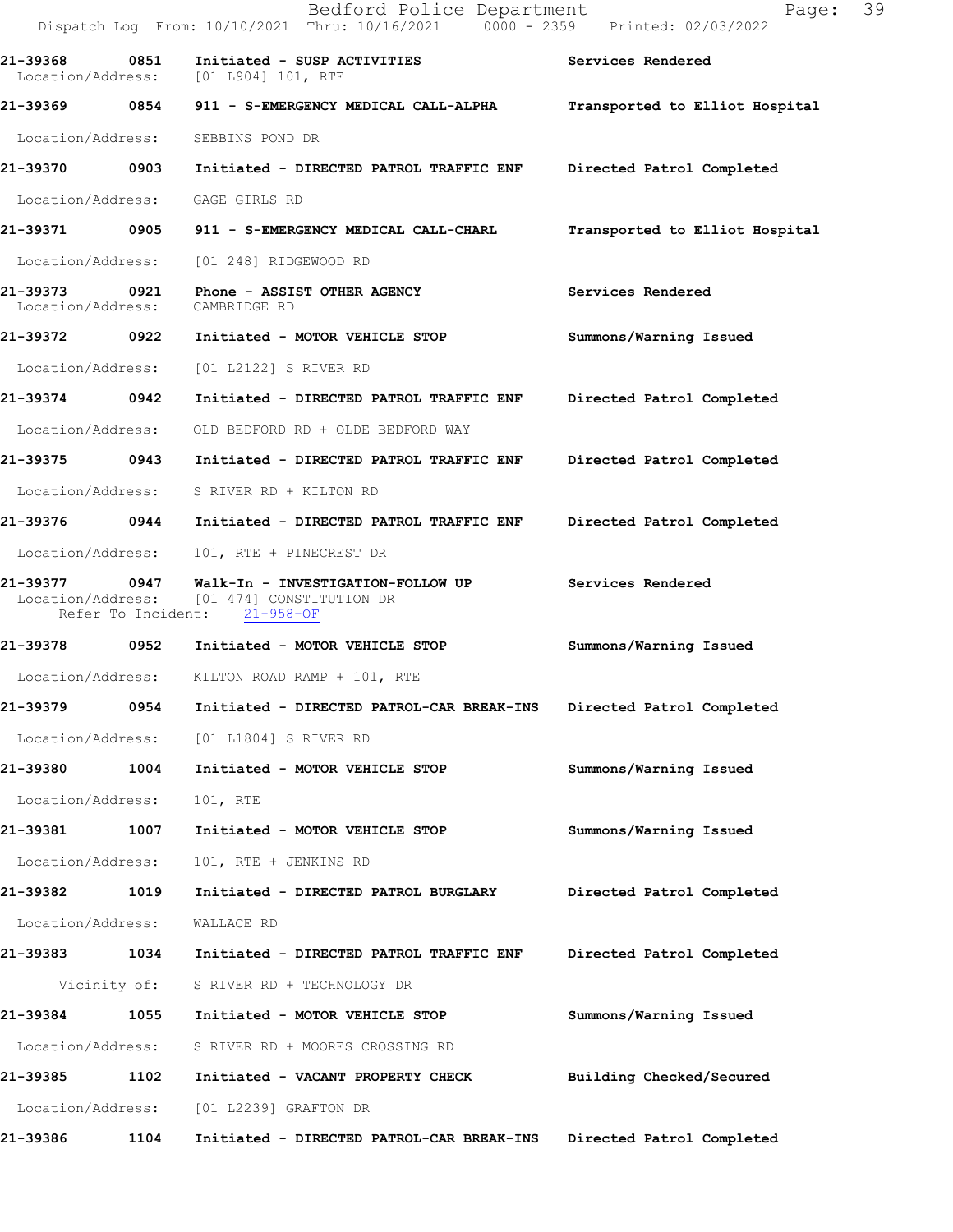|                                    |      | Bedford Police Department<br>Dispatch Log From: 10/10/2021 Thru: 10/16/2021 0000 - 2359 Printed: 02/03/2022                                                 | Page: 39                       |
|------------------------------------|------|-------------------------------------------------------------------------------------------------------------------------------------------------------------|--------------------------------|
| 21-39368 0851                      |      | Initiated - SUSP ACTIVITIES<br>Location/Address: [01 L904] 101, RTE                                                                                         | Services Rendered              |
|                                    |      | 21-39369 0854 911 - S-EMERGENCY MEDICAL CALL-ALPHA                                                                                                          | Transported to Elliot Hospital |
| Location/Address:                  |      | SEBBINS POND DR                                                                                                                                             |                                |
| 21-39370 0903                      |      | Initiated - DIRECTED PATROL TRAFFIC ENF                                                                                                                     | Directed Patrol Completed      |
| Location/Address:                  |      | GAGE GIRLS RD                                                                                                                                               |                                |
|                                    |      | 21-39371 0905 911 - S-EMERGENCY MEDICAL CALL-CHARL                                                                                                          | Transported to Elliot Hospital |
|                                    |      | Location/Address: [01 248] RIDGEWOOD RD                                                                                                                     |                                |
| 21-39373 0921<br>Location/Address: |      | Phone - ASSIST OTHER AGENCY<br>CAMBRIDGE RD                                                                                                                 | Services Rendered              |
|                                    |      |                                                                                                                                                             | Summons/Warning Issued         |
| Location/Address:                  |      | [01 L2122] S RIVER RD                                                                                                                                       |                                |
| 21-39374 0942                      |      | Initiated - DIRECTED PATROL TRAFFIC ENF                                                                                                                     | Directed Patrol Completed      |
| Location/Address:                  |      | OLD BEDFORD RD + OLDE BEDFORD WAY                                                                                                                           |                                |
| 21-39375 0943                      |      | Initiated - DIRECTED PATROL TRAFFIC ENF                                                                                                                     | Directed Patrol Completed      |
| Location/Address:                  |      | S RIVER RD + KILTON RD                                                                                                                                      |                                |
|                                    |      | 21-39376  0944  Initiated - DIRECTED PATROL TRAFFIC ENF                                                                                                     | Directed Patrol Completed      |
| Location/Address:                  |      | 101, RTE + PINECREST DR                                                                                                                                     |                                |
|                                    |      | 21-39377     0947   Walk-In - INVESTIGATION-FOLLOW UP       Services Rendered<br>Location/Address: [01 474] CONSTITUTION DR<br>Refer To Incident: 21-958-OF |                                |
|                                    |      |                                                                                                                                                             | Summons/Warning Issued         |
|                                    |      | Location/Address: KILTON ROAD RAMP + 101, RTE                                                                                                               |                                |
| 21-39379                           | 0954 | Initiated - DIRECTED PATROL-CAR BREAK-INS                                                                                                                   | Directed Patrol Completed      |
| Location/Address:                  |      | [01 L1804] S RIVER RD                                                                                                                                       |                                |
| 21-39380                           | 1004 | Initiated - MOTOR VEHICLE STOP                                                                                                                              | Summons/Warning Issued         |
| Location/Address:                  |      | 101, RTE                                                                                                                                                    |                                |
| 21-39381                           | 1007 | Initiated - MOTOR VEHICLE STOP                                                                                                                              | Summons/Warning Issued         |
| Location/Address:                  |      | 101, RTE + JENKINS RD                                                                                                                                       |                                |
| 21-39382                           | 1019 | Initiated - DIRECTED PATROL BURGLARY                                                                                                                        | Directed Patrol Completed      |
| Location/Address:                  |      | WALLACE RD                                                                                                                                                  |                                |
| 21-39383 1034                      |      | Initiated - DIRECTED PATROL TRAFFIC ENF                                                                                                                     | Directed Patrol Completed      |
| Vicinity of:                       |      | S RIVER RD + TECHNOLOGY DR                                                                                                                                  |                                |
| 21-39384                           | 1055 | Initiated - MOTOR VEHICLE STOP                                                                                                                              | Summons/Warning Issued         |
| Location/Address:                  |      | S RIVER RD + MOORES CROSSING RD                                                                                                                             |                                |
| 21-39385                           | 1102 | Initiated - VACANT PROPERTY CHECK                                                                                                                           | Building Checked/Secured       |
| Location/Address:                  |      | [01 L2239] GRAFTON DR                                                                                                                                       |                                |
| 21-39386                           | 1104 | Initiated - DIRECTED PATROL-CAR BREAK-INS                                                                                                                   | Directed Patrol Completed      |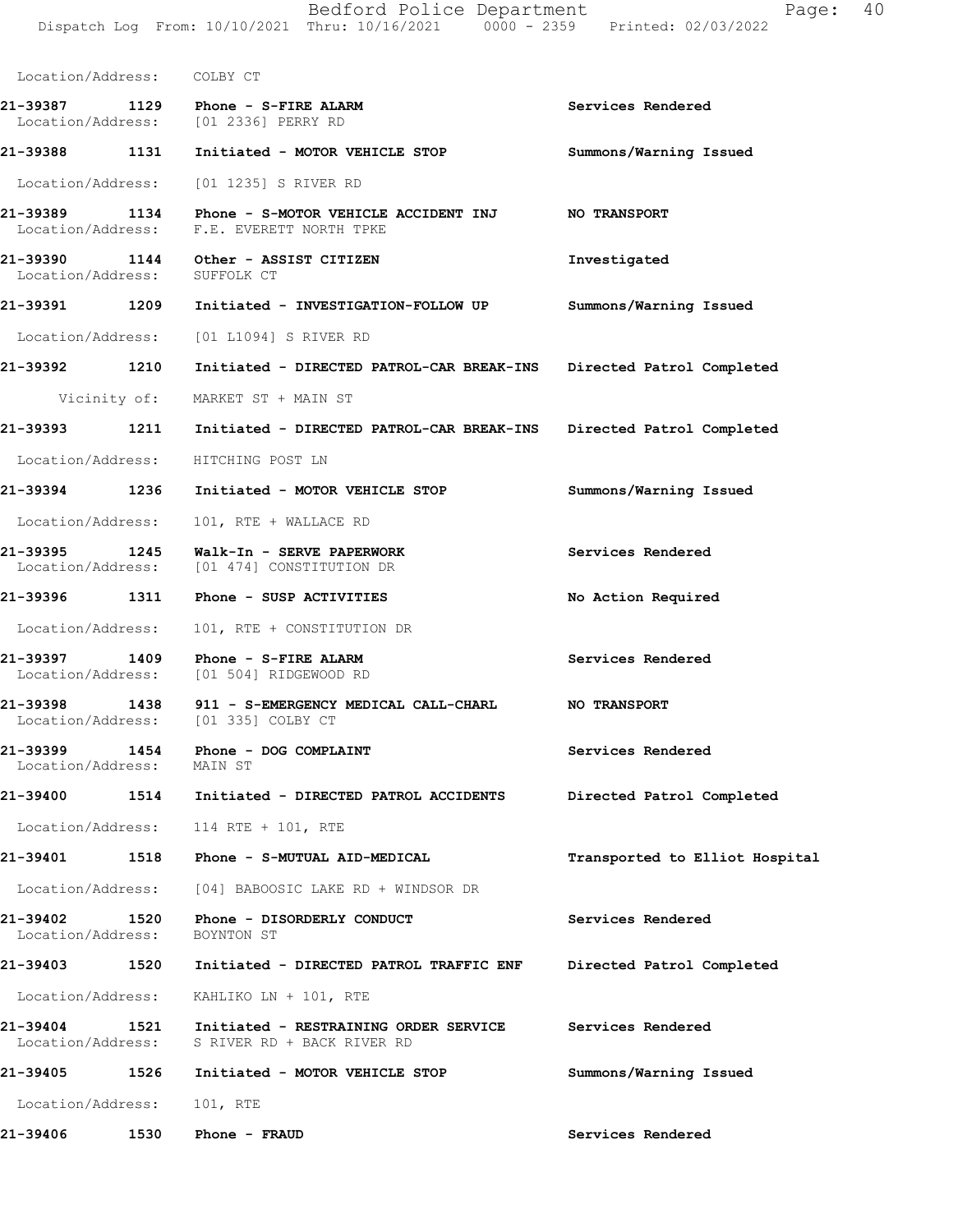| Location/Address: COLBY CT    |      |                                                                                                              |                                |
|-------------------------------|------|--------------------------------------------------------------------------------------------------------------|--------------------------------|
|                               |      | 21-39387 1129 Phone - S-FIRE ALARM<br>Location/Address: [01 2336] PERRY RD                                   | Services Rendered              |
|                               |      | 21-39388 1131 Initiated - MOTOR VEHICLE STOP                                                                 | Summons/Warning Issued         |
|                               |      | Location/Address: [01 1235] S RIVER RD                                                                       |                                |
|                               |      | 21-39389 1134 Phone - S-MOTOR VEHICLE ACCIDENT INJ NO TRANSPORT<br>Location/Address: F.E. EVERETT NORTH TPKE |                                |
|                               |      | 21-39390 1144 Other - ASSIST CITIZEN<br>Location/Address: SUFFOLK CT                                         | Investigated                   |
|                               |      | 21-39391           1209          Initiated - INVESTIGATION-FOLLOW UP                                         | Summons/Warning Issued         |
|                               |      | Location/Address: [01 L1094] S RIVER RD                                                                      |                                |
| 21-39392 1210                 |      | Initiated - DIRECTED PATROL-CAR BREAK-INS Directed Patrol Completed                                          |                                |
|                               |      | Vicinity of: MARKET ST + MAIN ST                                                                             |                                |
|                               |      | 21-39393 1211 Initiated - DIRECTED PATROL-CAR BREAK-INS                                                      | Directed Patrol Completed      |
|                               |      | Location/Address: HITCHING POST LN                                                                           |                                |
|                               |      | 21-39394 1236 Initiated - MOTOR VEHICLE STOP                                                                 | Summons/Warning Issued         |
|                               |      | Location/Address: 101, RTE + WALLACE RD                                                                      |                                |
|                               |      | 21-39395 1245 Walk-In - SERVE PAPERWORK<br>Location/Address: [01 474] CONSTITUTION DR                        | Services Rendered              |
|                               |      | 21-39396 1311 Phone - SUSP ACTIVITIES                                                                        | No Action Required             |
|                               |      | Location/Address: 101, RTE + CONSTITUTION DR                                                                 |                                |
| 21-39397 1409                 |      | Phone - S-FIRE ALARM<br>Location/Address: [01 504] RIDGEWOOD RD                                              | Services Rendered              |
| 21-39398 1438                 |      | 911 - S-EMERGENCY MEDICAL CALL-CHARL<br>Location/Address: [01 335] COLBY CT                                  | <b>NO TRANSPORT</b>            |
| 21-39399<br>Location/Address: |      | 1454 Phone - DOG COMPLAINT<br>MAIN ST                                                                        | Services Rendered              |
| 21-39400                      |      | 1514 Initiated - DIRECTED PATROL ACCIDENTS                                                                   | Directed Patrol Completed      |
|                               |      | Location/Address: 114 RTE + 101, RTE                                                                         |                                |
| 21-39401                      |      | 1518 Phone - S-MUTUAL AID-MEDICAL                                                                            | Transported to Elliot Hospital |
|                               |      | Location/Address: [04] BABOOSIC LAKE RD + WINDSOR DR                                                         |                                |
| 21-39402                      | 1520 | Phone - DISORDERLY CONDUCT<br>Location/Address: BOYNTON ST                                                   | Services Rendered              |
| 21-39403                      |      | 1520 Initiated - DIRECTED PATROL TRAFFIC ENF                                                                 | Directed Patrol Completed      |
|                               |      | Location/Address: KAHLIKO LN + 101, RTE                                                                      |                                |
| 21-39404<br>Location/Address: | 1521 | Initiated - RESTRAINING ORDER SERVICE<br>S RIVER RD + BACK RIVER RD                                          | Services Rendered              |
|                               |      | 21-39405    1526    Initiated - MOTOR VEHICLE STOP                                                           | Summons/Warning Issued         |
| Location/Address: 101, RTE    |      |                                                                                                              |                                |
| 21-39406                      | 1530 | Phone - FRAUD                                                                                                | Services Rendered              |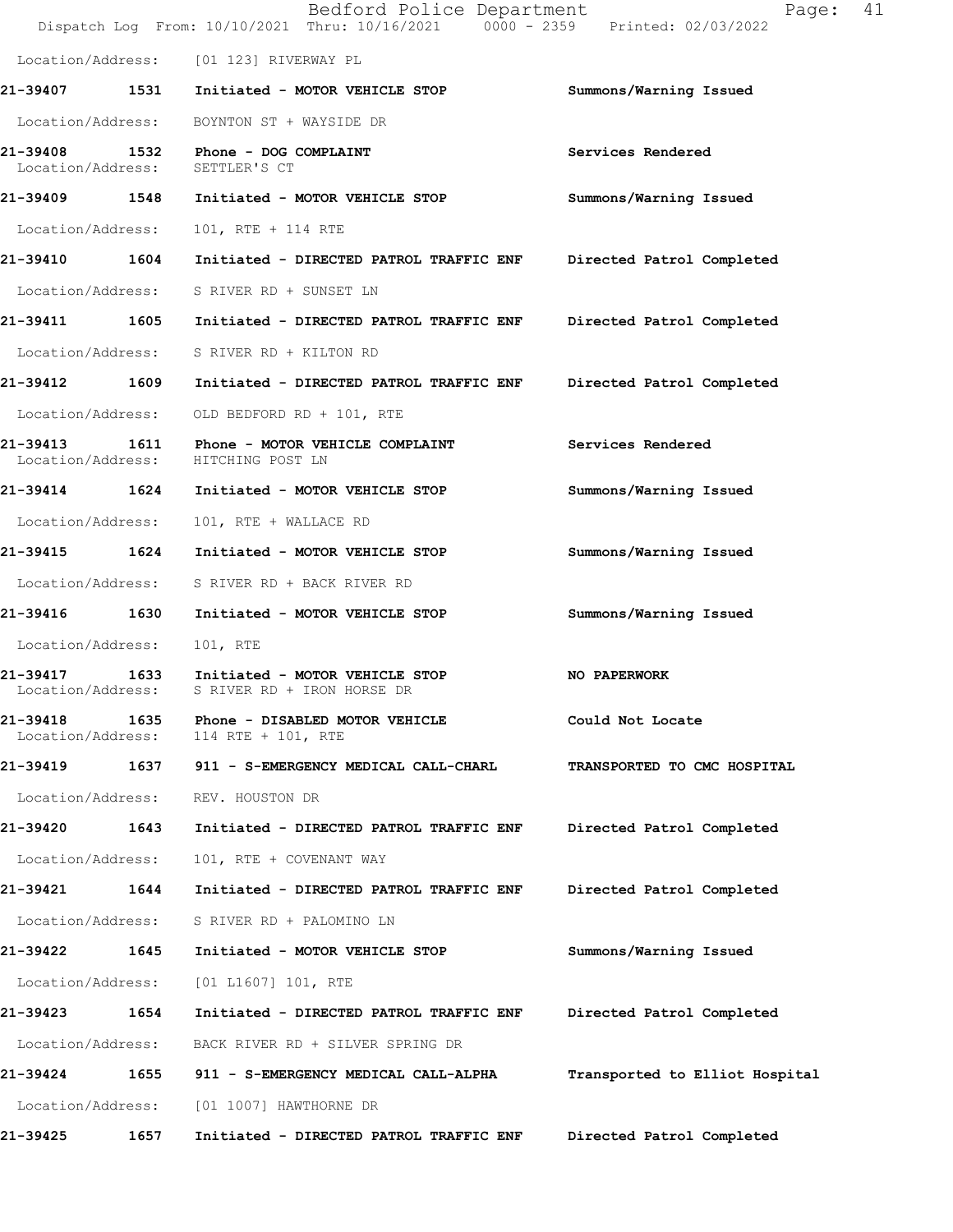|                               |      | Bedford Police Department<br>Dispatch Log From: 10/10/2021 Thru: 10/16/2021 0000 - 2359 Printed: 02/03/2022 | Page:                          | 41 |
|-------------------------------|------|-------------------------------------------------------------------------------------------------------------|--------------------------------|----|
|                               |      | Location/Address: [01 123] RIVERWAY PL                                                                      |                                |    |
|                               |      | 21-39407 1531 Initiated - MOTOR VEHICLE STOP                                                                | Summons/Warning Issued         |    |
| Location/Address:             |      | BOYNTON ST + WAYSIDE DR                                                                                     |                                |    |
|                               |      | 21-39408 1532 Phone - DOG COMPLAINT<br>Location/Address: SETTLER'S CT                                       | Services Rendered              |    |
| 21-39409 1548                 |      | Initiated - MOTOR VEHICLE STOP                                                                              | Summons/Warning Issued         |    |
| Location/Address:             |      | 101, RTE + 114 RTE                                                                                          |                                |    |
| 21-39410 1604                 |      | Initiated - DIRECTED PATROL TRAFFIC ENF Directed Patrol Completed                                           |                                |    |
|                               |      | Location/Address: S RIVER RD + SUNSET LN                                                                    |                                |    |
| 21-39411 1605                 |      | Initiated - DIRECTED PATROL TRAFFIC ENF                                                                     | Directed Patrol Completed      |    |
|                               |      | Location/Address: S RIVER RD + KILTON RD                                                                    |                                |    |
| 21-39412 1609                 |      | Initiated - DIRECTED PATROL TRAFFIC ENF                                                                     | Directed Patrol Completed      |    |
| Location/Address:             |      | OLD BEDFORD RD + 101, RTE                                                                                   |                                |    |
| 21-39413                      |      | 1611 Phone - MOTOR VEHICLE COMPLAINT<br>Location/Address: HITCHING POST LN                                  | Services Rendered              |    |
|                               |      | 21-39414 1624 Initiated - MOTOR VEHICLE STOP                                                                | Summons/Warning Issued         |    |
| Location/Address:             |      | 101, RTE + WALLACE RD                                                                                       |                                |    |
| 21-39415 1624                 |      | Initiated - MOTOR VEHICLE STOP                                                                              | Summons/Warning Issued         |    |
|                               |      | Location/Address: S RIVER RD + BACK RIVER RD                                                                |                                |    |
| 21-39416 1630                 |      | Initiated - MOTOR VEHICLE STOP                                                                              | Summons/Warning Issued         |    |
| Location/Address:             |      | 101, RTE                                                                                                    |                                |    |
|                               |      | 21-39417 1633 Initiated - MOTOR VEHICLE STOP<br>Location/Address: S RIVER RD + IRON HORSE DR                | NO PAPERWORK                   |    |
| 21-39418<br>Location/Address: | 1635 | Phone - DISABLED MOTOR VEHICLE<br>114 RTE + 101, RTE                                                        | Could Not Locate               |    |
| 21-39419                      | 1637 | 911 - S-EMERGENCY MEDICAL CALL-CHARL                                                                        | TRANSPORTED TO CMC HOSPITAL    |    |
| Location/Address:             |      | REV. HOUSTON DR                                                                                             |                                |    |
| 21-39420                      | 1643 | Initiated - DIRECTED PATROL TRAFFIC ENF                                                                     | Directed Patrol Completed      |    |
| Location/Address:             |      | 101, RTE + COVENANT WAY                                                                                     |                                |    |
| 21-39421                      | 1644 | Initiated - DIRECTED PATROL TRAFFIC ENF                                                                     | Directed Patrol Completed      |    |
| Location/Address:             |      | S RIVER RD + PALOMINO LN                                                                                    |                                |    |
| 21-39422                      | 1645 | Initiated - MOTOR VEHICLE STOP                                                                              | Summons/Warning Issued         |    |
| Location/Address:             |      | [01 L1607] 101, RTE                                                                                         |                                |    |
| 21-39423                      | 1654 | Initiated - DIRECTED PATROL TRAFFIC ENF                                                                     | Directed Patrol Completed      |    |
| Location/Address:             |      | BACK RIVER RD + SILVER SPRING DR                                                                            |                                |    |
| 21-39424                      | 1655 | 911 - S-EMERGENCY MEDICAL CALL-ALPHA                                                                        | Transported to Elliot Hospital |    |
| Location/Address:             |      | [01 1007] HAWTHORNE DR                                                                                      |                                |    |
| 21-39425                      | 1657 | Initiated - DIRECTED PATROL TRAFFIC ENF                                                                     | Directed Patrol Completed      |    |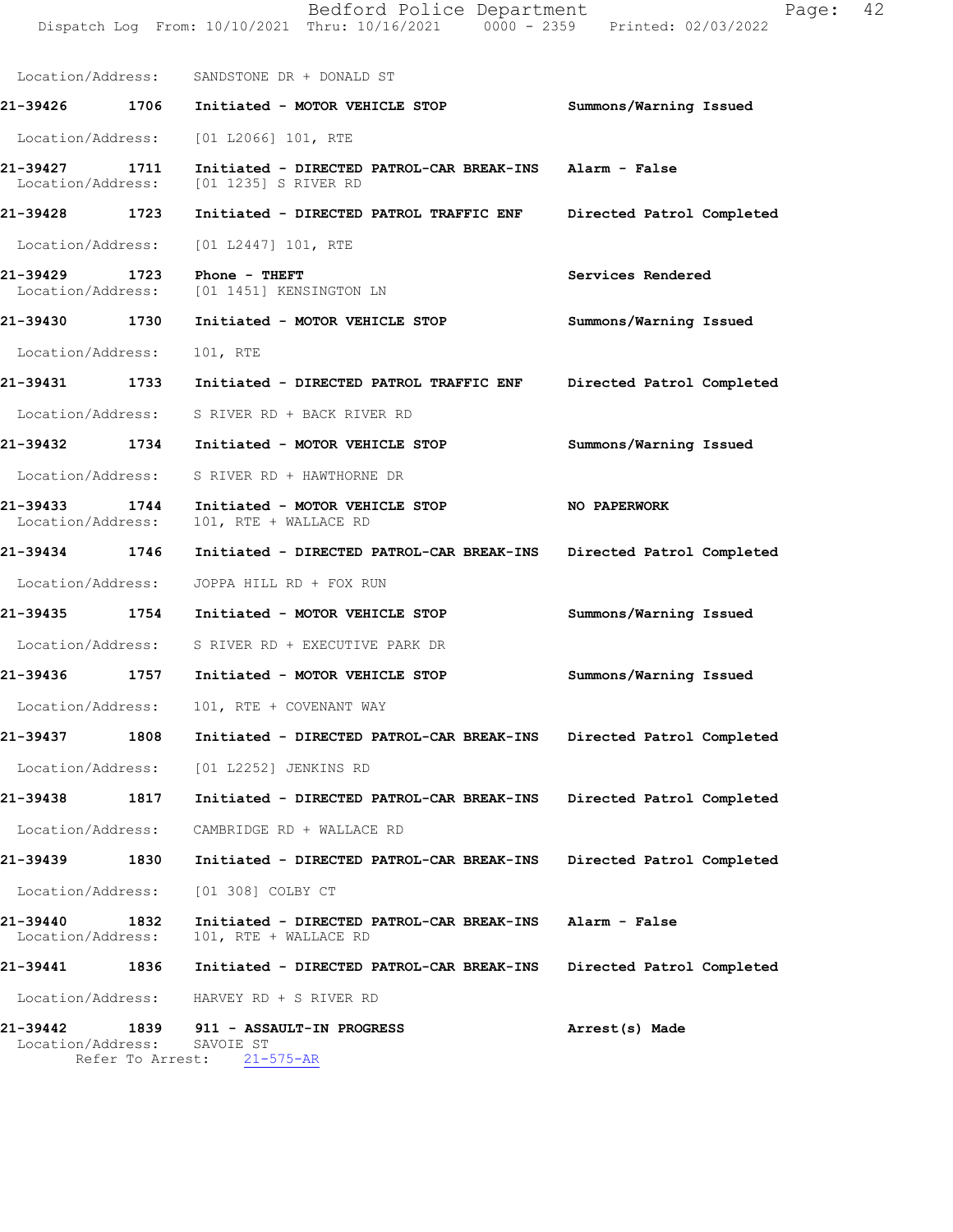|                                       | Location/Address: SANDSTONE DR + DONALD ST                                        |                           |
|---------------------------------------|-----------------------------------------------------------------------------------|---------------------------|
| 1706<br>21-39426                      | Initiated - MOTOR VEHICLE STOP                                                    | Summons/Warning Issued    |
|                                       | Location/Address: [01 L2066] 101, RTE                                             |                           |
| 21-39427<br>1711<br>Location/Address: | Initiated - DIRECTED PATROL-CAR BREAK-INS Alarm - False<br>[01 1235] S RIVER RD   |                           |
| 21-39428 1723                         | Initiated - DIRECTED PATROL TRAFFIC ENF                                           | Directed Patrol Completed |
| Location/Address: [01 L2447] 101, RTE |                                                                                   |                           |
| 21-39429<br>1723<br>Location/Address: | Phone - THEFT<br>[01 1451] KENSINGTON LN                                          | Services Rendered         |
| 21-39430 1730                         | Initiated - MOTOR VEHICLE STOP                                                    | Summons/Warning Issued    |
| Location/Address:                     | 101, RTE                                                                          |                           |
| 21-39431 1733                         | Initiated - DIRECTED PATROL TRAFFIC ENF Directed Patrol Completed                 |                           |
|                                       | Location/Address: S RIVER RD + BACK RIVER RD                                      |                           |
| 21-39432 1734                         | Initiated - MOTOR VEHICLE STOP                                                    | Summons/Warning Issued    |
| Location/Address:                     | S RIVER RD + HAWTHORNE DR                                                         |                           |
| 21-39433 1744<br>Location/Address:    | Initiated - MOTOR VEHICLE STOP<br>101, RTE + WALLACE RD                           | NO PAPERWORK              |
| 21-39434 1746                         | Initiated - DIRECTED PATROL-CAR BREAK-INS                                         | Directed Patrol Completed |
| Location/Address:                     | JOPPA HILL RD + FOX RUN                                                           |                           |
| 21-39435 1754                         | Initiated - MOTOR VEHICLE STOP                                                    | Summons/Warning Issued    |
|                                       | Location/Address: S RIVER RD + EXECUTIVE PARK DR                                  |                           |
| 21-39436<br>1757                      | Initiated - MOTOR VEHICLE STOP                                                    | Summons/Warning Issued    |
|                                       | Location/Address: 101, RTE + COVENANT WAY                                         |                           |
|                                       | 21-39437 1808 Initiated - DIRECTED PATROL-CAR BREAK-INS Directed Patrol Completed |                           |
|                                       | Location/Address: [01 L2252] JENKINS RD                                           |                           |
| 21-39438<br>1817                      | Initiated - DIRECTED PATROL-CAR BREAK-INS                                         | Directed Patrol Completed |
|                                       | Location/Address: CAMBRIDGE RD + WALLACE RD                                       |                           |
| 21-39439 1830                         | Initiated - DIRECTED PATROL-CAR BREAK-INS                                         | Directed Patrol Completed |
| Location/Address:                     | [01 308] COLBY CT                                                                 |                           |
| 21-39440<br>1832<br>Location/Address: | Initiated - DIRECTED PATROL-CAR BREAK-INS<br>101, RTE + WALLACE RD                | Alarm - False             |
| 21-39441<br>1836                      | Initiated - DIRECTED PATROL-CAR BREAK-INS                                         | Directed Patrol Completed |
|                                       | Location/Address: HARVEY RD + S RIVER RD                                          |                           |
| 21-39442<br>Location/Address:         | 1839 911 - ASSAULT-IN PROGRESS<br>SAVOIE ST<br>Refer To Arrest: 21-575-AR         | Arrest(s) Made            |

Dispatch Log From: 10/10/2021 Thru: 10/16/2021 0000 - 2359 Printed: 02/03/2022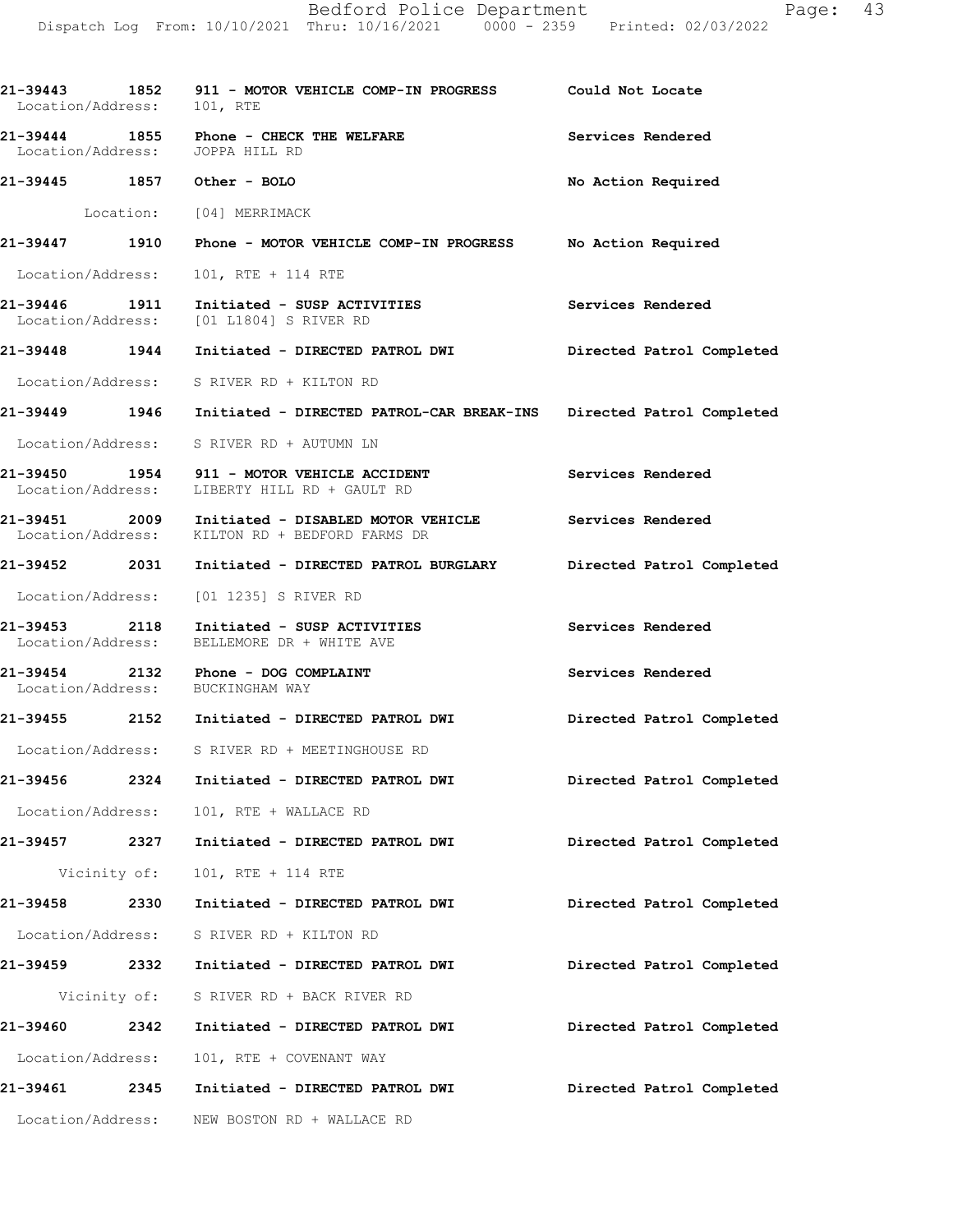| Location/Address: 101, RTE |              | 21-39443 1852 911 - MOTOR VEHICLE COMP-IN PROGRESS Could Not Locate                                               |                           |
|----------------------------|--------------|-------------------------------------------------------------------------------------------------------------------|---------------------------|
|                            |              | 21-39444 1855 Phone - CHECK THE WELFARE<br>Location/Address: JOPPA HILL RD                                        | Services Rendered         |
|                            |              | 21-39445 1857 Other - BOLO                                                                                        | No Action Required        |
|                            |              | Location: [04] MERRIMACK                                                                                          |                           |
|                            |              | 21-39447 1910 Phone - MOTOR VEHICLE COMP-IN PROGRESS No Action Required                                           |                           |
|                            |              | Location/Address: 101, RTE + 114 RTE                                                                              |                           |
|                            |              | 21-39446 1911 Initiated - SUSP ACTIVITIES<br>Location/Address: [01 L1804] S RIVER RD                              | Services Rendered         |
|                            |              | 21-39448 1944 Initiated - DIRECTED PATROL DWI                                                                     | Directed Patrol Completed |
|                            |              | Location/Address: S RIVER RD + KILTON RD                                                                          |                           |
|                            |              | 21-39449 1946 Initiated - DIRECTED PATROL-CAR BREAK-INS Directed Patrol Completed                                 |                           |
|                            |              | Location/Address: S RIVER RD + AUTUMN LN                                                                          |                           |
|                            |              | 21-39450 1954 911 - MOTOR VEHICLE ACCIDENT<br>Location/Address: LIBERTY HILL RD + GAULT RD                        | Services Rendered         |
|                            |              | 21-39451 2009 Initiated - DISABLED MOTOR VEHICLE Services Rendered Location/Address: KILTON RD + BEDFORD FARMS DR |                           |
|                            |              | 21-39452 2031 Initiated - DIRECTED PATROL BURGLARY Directed Patrol Completed                                      |                           |
|                            |              | Location/Address: [01 1235] S RIVER RD                                                                            |                           |
|                            |              | 21-39453 2118 Initiated - SUSP ACTIVITIES<br>Location/Address: BELLEMORE DR + WHITE AVE                           | Services Rendered         |
|                            |              | 21-39454 2132 Phone - DOG COMPLAINT<br>Location/Address: BUCKINGHAM WAY                                           | Services Rendered         |
|                            |              | 21-39455  2152  Initiated - DIRECTED PATROL DWI                                                                   | Directed Patrol Completed |
| Location/Address:          |              | S RIVER RD + MEETINGHOUSE RD                                                                                      |                           |
| 21-39456                   | 2324         | Initiated - DIRECTED PATROL DWI                                                                                   | Directed Patrol Completed |
| Location/Address:          |              | 101, RTE + WALLACE RD                                                                                             |                           |
| 21-39457                   | 2327         | Initiated - DIRECTED PATROL DWI                                                                                   | Directed Patrol Completed |
|                            | Vicinity of: | 101, RTE + 114 RTE                                                                                                |                           |
| 21-39458                   | 2330         | Initiated - DIRECTED PATROL DWI                                                                                   | Directed Patrol Completed |
| Location/Address:          |              | S RIVER RD + KILTON RD                                                                                            |                           |
|                            |              |                                                                                                                   |                           |

Vicinity of: S RIVER RD + BACK RIVER RD **21-39460 2342 Initiated - DIRECTED PATROL DWI Directed Patrol Completed** Location/Address: 101, RTE + COVENANT WAY **21-39461 2345 Initiated - DIRECTED PATROL DWI Directed Patrol Completed** Location/Address: NEW BOSTON RD + WALLACE RD

**21-39459 2332 Initiated - DIRECTED PATROL DWI Directed Patrol Completed**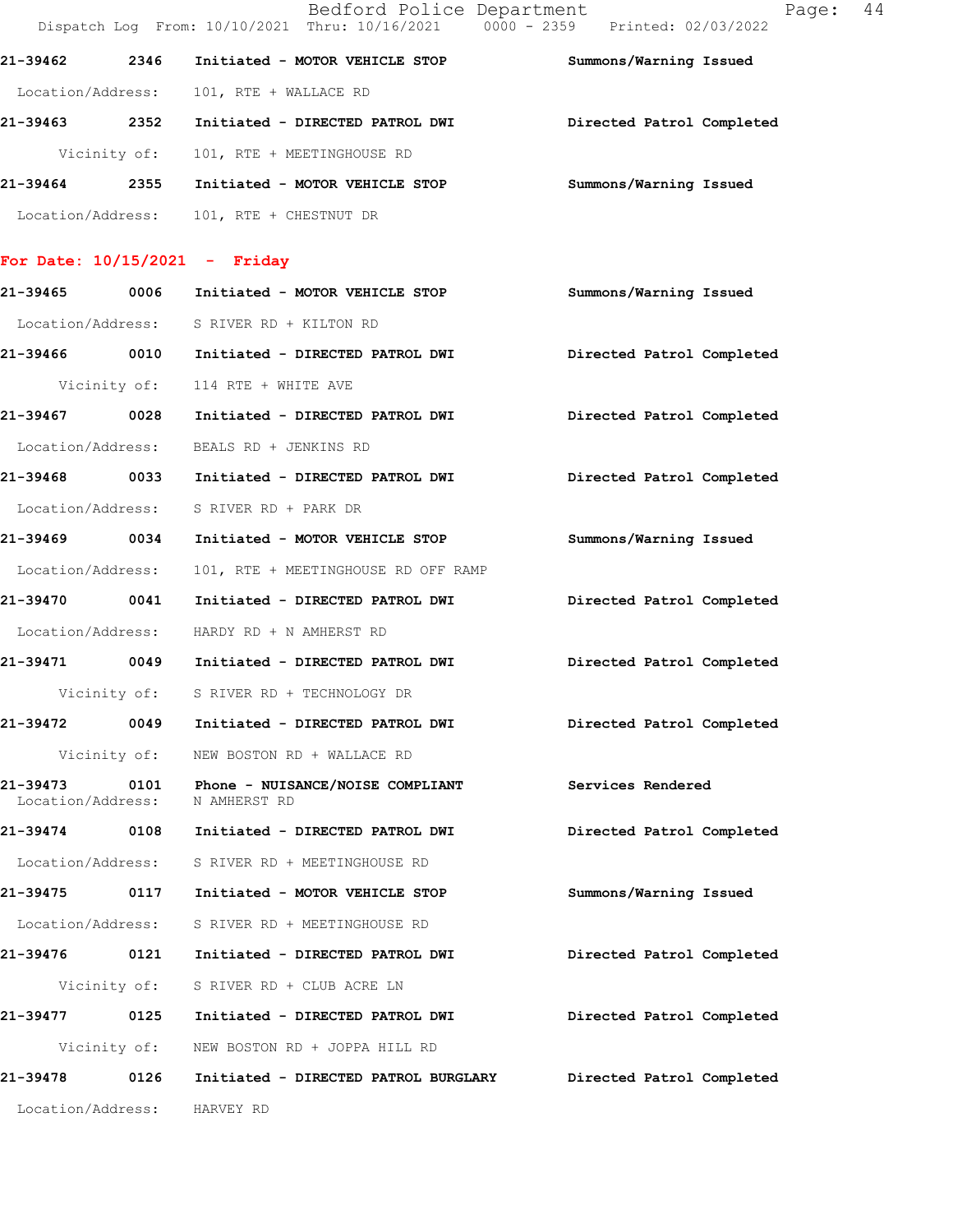|                   |              |                            | Bedford Police Department       | Dispatch Log From: 10/10/2021 Thru: 10/16/2021 0000 - 2359 Printed: 02/03/2022 | Page: | 44 |
|-------------------|--------------|----------------------------|---------------------------------|--------------------------------------------------------------------------------|-------|----|
| 21-39462          | 2346         |                            | Initiated - MOTOR VEHICLE STOP  | Summons/Warning Issued                                                         |       |    |
| Location/Address: |              | 101, RTE + WALLACE RD      |                                 |                                                                                |       |    |
| 21-39463          | 2352         |                            | Initiated - DIRECTED PATROL DWI | Directed Patrol Completed                                                      |       |    |
|                   | Vicinity of: | 101, RTE + MEETINGHOUSE RD |                                 |                                                                                |       |    |
| 21-39464          | 2355         |                            | Initiated - MOTOR VEHICLE STOP  | Summons/Warning Issued                                                         |       |    |
| Location/Address: |              | 101, RTE + CHESTNUT DR     |                                 |                                                                                |       |    |

## **For Date: 10/15/2021 - Friday**

| 21-39465 0006     |              | Initiated - MOTOR VEHICLE STOP                                                                     | Summons/Warning Issued    |
|-------------------|--------------|----------------------------------------------------------------------------------------------------|---------------------------|
|                   |              | Location/Address: S RIVER RD + KILTON RD                                                           |                           |
|                   |              | 21-39466 0010 Initiated - DIRECTED PATROL DWI Directed Patrol Completed                            |                           |
|                   |              | Vicinity of: 114 RTE + WHITE AVE                                                                   |                           |
| 21-39467 0028     |              | Initiated - DIRECTED PATROL DWI Directed Patrol Completed                                          |                           |
|                   |              | Location/Address: BEALS RD + JENKINS RD                                                            |                           |
|                   |              | 21-39468 0033 Initiated - DIRECTED PATROL DWI                                                      | Directed Patrol Completed |
|                   |              | Location/Address: S RIVER RD + PARK DR                                                             |                           |
|                   |              | 21-39469 0034 Initiated - MOTOR VEHICLE STOP Summons/Warning Issued                                |                           |
| Location/Address: |              | 101, RTE + MEETINGHOUSE RD OFF RAMP                                                                |                           |
| 21-39470 0041     |              | Initiated - DIRECTED PATROL DWI                                                                    | Directed Patrol Completed |
|                   |              | Location/Address: HARDY RD + N AMHERST RD                                                          |                           |
|                   |              | 21-39471 0049 Initiated - DIRECTED PATROL DWI Directed Patrol Completed                            |                           |
|                   |              | Vicinity of: S RIVER RD + TECHNOLOGY DR                                                            |                           |
|                   |              | 21-39472 0049 Initiated - DIRECTED PATROL DWI Directed Patrol Completed                            |                           |
|                   |              | Vicinity of: NEW BOSTON RD + WALLACE RD                                                            |                           |
|                   |              | 21-39473 0101 Phone - NUISANCE/NOISE COMPLIANT Services Rendered<br>Location/Address: N AMHERST RD |                           |
|                   |              | 21-39474 0108 Initiated - DIRECTED PATROL DWI                                                      | Directed Patrol Completed |
|                   |              | Location/Address: S RIVER RD + MEETINGHOUSE RD                                                     |                           |
|                   |              | 21-39475 0117 Initiated - MOTOR VEHICLE STOP                                                       | Summons/Warning Issued    |
|                   |              | Location/Address: S RIVER RD + MEETINGHOUSE RD                                                     |                           |
|                   |              | 21-39476  0121  Initiated - DIRECTED PATROL DWI                                                    | Directed Patrol Completed |
|                   |              | Vicinity of: S RIVER RD + CLUB ACRE LN                                                             |                           |
| 21-39477          | 0125         | Initiated - DIRECTED PATROL DWI                                                                    | Directed Patrol Completed |
|                   | Vicinity of: | NEW BOSTON RD + JOPPA HILL RD                                                                      |                           |
| 21-39478          | 0126         | Initiated - DIRECTED PATROL BURGLARY                                                               | Directed Patrol Completed |
| Location/Address: |              | HARVEY RD                                                                                          |                           |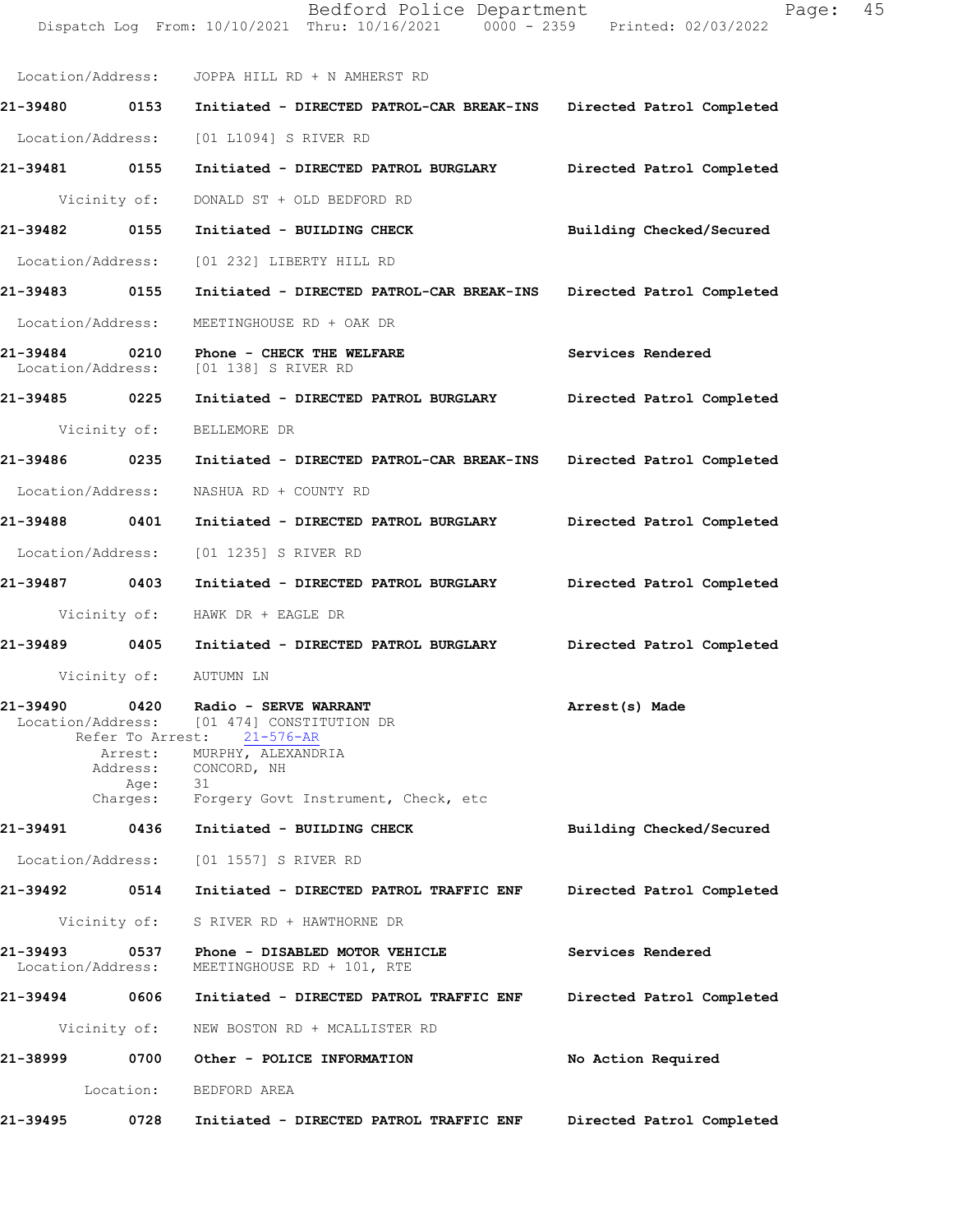|                               |              | Dispatch Log From: 10/10/2021 Thru: 10/16/2021 0000 - 2359 Printed: 02/03/2022                                                                                                                                              |                           |
|-------------------------------|--------------|-----------------------------------------------------------------------------------------------------------------------------------------------------------------------------------------------------------------------------|---------------------------|
|                               |              | Location/Address: JOPPA HILL RD + N AMHERST RD                                                                                                                                                                              |                           |
| 21-39480 0153                 |              | Initiated - DIRECTED PATROL-CAR BREAK-INS Directed Patrol Completed                                                                                                                                                         |                           |
| Location/Address:             |              | [01 L1094] S RIVER RD                                                                                                                                                                                                       |                           |
| 21-39481 0155                 |              | Initiated - DIRECTED PATROL BURGLARY Directed Patrol Completed                                                                                                                                                              |                           |
|                               | Vicinity of: | DONALD ST + OLD BEDFORD RD                                                                                                                                                                                                  |                           |
| 21-39482 0155                 |              | Initiated - BUILDING CHECK                                                                                                                                                                                                  | Building Checked/Secured  |
|                               |              | Location/Address: [01 232] LIBERTY HILL RD                                                                                                                                                                                  |                           |
| 21-39483 0155                 |              | Initiated - DIRECTED PATROL-CAR BREAK-INS Directed Patrol Completed                                                                                                                                                         |                           |
| Location/Address:             |              | MEETINGHOUSE RD + OAK DR                                                                                                                                                                                                    |                           |
| 21-39484                      |              | 0210 Phone - CHECK THE WELFARE<br>Location/Address: [01 138] S RIVER RD                                                                                                                                                     | Services Rendered         |
| 21-39485 0225                 |              | Initiated - DIRECTED PATROL BURGLARY Directed Patrol Completed                                                                                                                                                              |                           |
|                               | Vicinity of: | BELLEMORE DR                                                                                                                                                                                                                |                           |
| 21-39486 0235                 |              | Initiated - DIRECTED PATROL-CAR BREAK-INS Directed Patrol Completed                                                                                                                                                         |                           |
| Location/Address:             |              | NASHUA RD + COUNTY RD                                                                                                                                                                                                       |                           |
| 21-39488 0401                 |              | Initiated - DIRECTED PATROL BURGLARY Directed Patrol Completed                                                                                                                                                              |                           |
| Location/Address:             |              | [01 1235] S RIVER RD                                                                                                                                                                                                        |                           |
| 21-39487 0403                 |              | Initiated - DIRECTED PATROL BURGLARY Directed Patrol Completed                                                                                                                                                              |                           |
|                               | Vicinity of: | HAWK DR + EAGLE DR                                                                                                                                                                                                          |                           |
|                               |              | 21-39489 0405 Initiated - DIRECTED PATROL BURGLARY Directed Patrol Completed                                                                                                                                                |                           |
|                               |              | Vicinity of: AUTUMN LN                                                                                                                                                                                                      |                           |
|                               | Age:         | 21-39490 0420 Radio - SERVE WARRANT<br>Location/Address: [01 474] CONSTITUTION DR<br>Refer To Arrest: 21-576-AR<br>Arrest: MURPHY, ALEXANDRIA<br>Address: CONCORD, NH<br>31<br>Charges: Forgery Govt Instrument, Check, etc | Arrest(s) Made            |
| 21-39491                      |              | 0436 Initiated - BUILDING CHECK                                                                                                                                                                                             | Building Checked/Secured  |
|                               |              | Location/Address: [01 1557] S RIVER RD                                                                                                                                                                                      |                           |
| 21-39492                      | 0514         | Initiated - DIRECTED PATROL TRAFFIC ENF                                                                                                                                                                                     | Directed Patrol Completed |
|                               | Vicinity of: | S RIVER RD + HAWTHORNE DR                                                                                                                                                                                                   |                           |
| 21-39493<br>Location/Address: | 0537         | Phone - DISABLED MOTOR VEHICLE<br>MEETINGHOUSE RD + 101, RTE                                                                                                                                                                | Services Rendered         |
| 21-39494 0606                 |              | Initiated - DIRECTED PATROL TRAFFIC ENF                                                                                                                                                                                     | Directed Patrol Completed |
|                               | Vicinity of: | NEW BOSTON RD + MCALLISTER RD                                                                                                                                                                                               |                           |
| 21-38999                      | 0700         | Other - POLICE INFORMATION                                                                                                                                                                                                  | No Action Required        |
|                               | Location:    | BEDFORD AREA                                                                                                                                                                                                                |                           |
| 21-39495                      | 0728         | Initiated - DIRECTED PATROL TRAFFIC ENF                                                                                                                                                                                     | Directed Patrol Completed |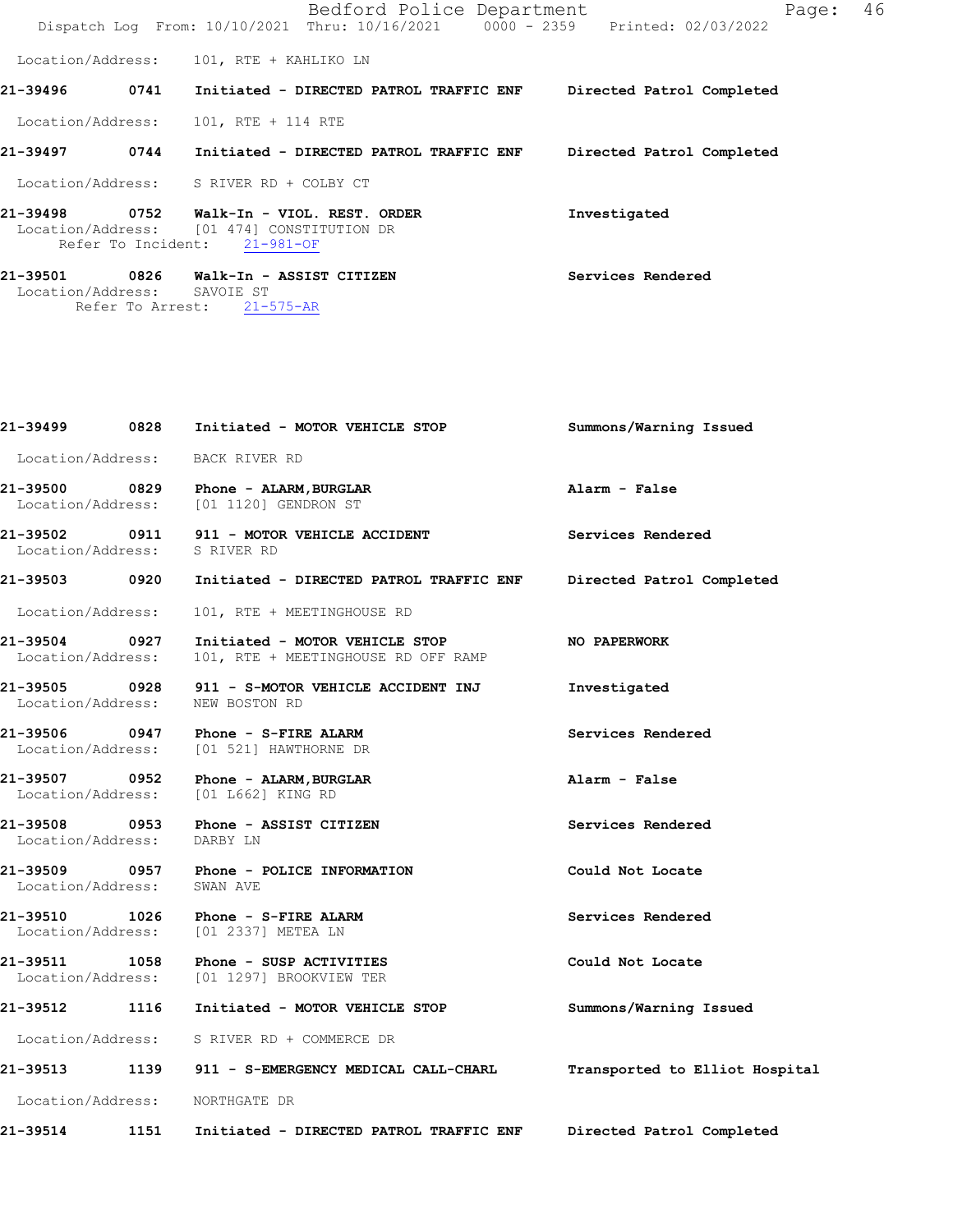|                               |                            |                                                               | Bedford Police Department<br>Dispatch Log From: 10/10/2021 Thru: 10/16/2021 0000 - 2359 Printed: 02/03/2022 |                   |                           | Page: | 46 |
|-------------------------------|----------------------------|---------------------------------------------------------------|-------------------------------------------------------------------------------------------------------------|-------------------|---------------------------|-------|----|
|                               |                            | Location/Address: 101, RTE + KAHLIKO LN                       |                                                                                                             |                   |                           |       |    |
| 21-39496                      | 0741                       |                                                               | Initiated - DIRECTED PATROL TRAFFIC ENF                                                                     |                   | Directed Patrol Completed |       |    |
| Location/Address:             |                            | 101, RTE + 114 RTE                                            |                                                                                                             |                   |                           |       |    |
| 21-39497                      | 0744                       |                                                               | Initiated - DIRECTED PATROL TRAFFIC ENF                                                                     |                   | Directed Patrol Completed |       |    |
| Location/Address:             |                            | S RIVER RD + COLBY CT                                         |                                                                                                             |                   |                           |       |    |
| 21-39498                      | 0752<br>Refer To Incident: | Location/Address: [01 474] CONSTITUTION DR<br>$21 - 981 - OF$ | Walk-In - VIOL. REST. ORDER                                                                                 | Investigated      |                           |       |    |
| 21-39501<br>Location/Address: | 0826                       | Walk-In - ASSIST CITIZEN<br>SAVOIE ST                         |                                                                                                             | Services Rendered |                           |       |    |

Refer To Arrest: 21-575-AR

|                                    | 21-39499              0828      Initiated - MOTOR VEHICLE STOP                     | Summons/Warning Issued         |
|------------------------------------|------------------------------------------------------------------------------------|--------------------------------|
| Location/Address: BACK RIVER RD    |                                                                                    |                                |
|                                    | 21-39500 0829 Phone - ALARM, BURGLAR<br>Location/Address: [01 1120] GENDRON ST     | Alarm - False                  |
| Location/Address: S RIVER RD       | 21-39502 0911 911 - MOTOR VEHICLE ACCIDENT                                         | Services Rendered              |
| 21-39503    0920                   | Initiated - DIRECTED PATROL TRAFFIC ENF                                            | Directed Patrol Completed      |
| Location/Address:                  | 101, RTE + MEETINGHOUSE RD                                                         |                                |
| 21-39504 0927<br>Location/Address: | Initiated - MOTOR VEHICLE STOP<br>101, RTE + MEETINGHOUSE RD OFF RAMP              | <b>NO PAPERWORK</b>            |
| Location/Address:                  | 21-39505 0928 911 - S-MOTOR VEHICLE ACCIDENT INJ<br>NEW BOSTON RD                  | Investigated                   |
|                                    | 21-39506 0947 Phone - S-FIRE ALARM<br>Location/Address: [01 521] HAWTHORNE DR      | Services Rendered              |
|                                    | 21-39507 0952 Phone - ALARM, BURGLAR<br>Location/Address: [01 L662] KING RD        | Alarm - False                  |
| Location/Address: DARBY LN         | 21-39508 0953 Phone - ASSIST CITIZEN                                               | Services Rendered              |
| Location/Address:                  | SWAN AVE                                                                           | Could Not Locate               |
|                                    | 21-39510 1026 Phone - S-FIRE ALARM<br>Location/Address: [01 2337] METEA LN         | Services Rendered              |
|                                    | 21-39511 1058 Phone - SUSP ACTIVITIES<br>Location/Address: [01 1297] BROOKVIEW TER | Could Not Locate               |
|                                    | 21-39512 1116 Initiated - MOTOR VEHICLE STOP                                       | Summons/Warning Issued         |
|                                    | Location/Address: S RIVER RD + COMMERCE DR                                         |                                |
|                                    |                                                                                    | Transported to Elliot Hospital |
| Location/Address: NORTHGATE DR     |                                                                                    |                                |
| 21-39514<br>1151                   | Initiated - DIRECTED PATROL TRAFFIC ENF Directed Patrol Completed                  |                                |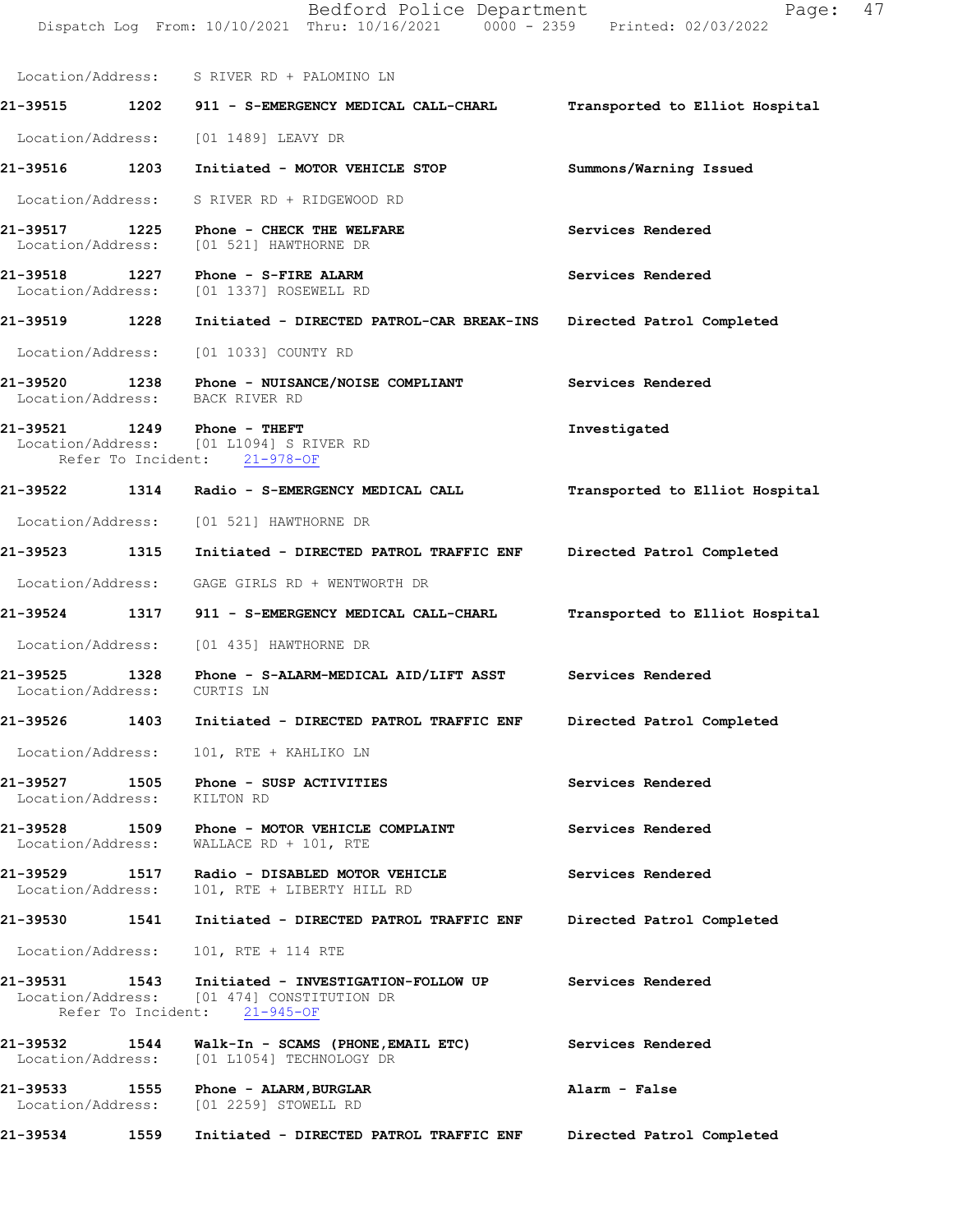|                                    |      | Dispatch Log From: 10/10/2021 Thru: 10/16/2021 0000 - 2359 Printed: 02/03/2022                                                                               |                                |
|------------------------------------|------|--------------------------------------------------------------------------------------------------------------------------------------------------------------|--------------------------------|
|                                    |      | Location/Address: S RIVER RD + PALOMINO LN                                                                                                                   |                                |
|                                    |      | 21-39515 1202 911 - S-EMERGENCY MEDICAL CALL-CHARL                                                                                                           | Transported to Elliot Hospital |
|                                    |      | Location/Address: [01 1489] LEAVY DR                                                                                                                         |                                |
| 21-39516 1203                      |      | Initiated - MOTOR VEHICLE STOP                                                                                                                               | Summons/Warning Issued         |
|                                    |      | Location/Address: S RIVER RD + RIDGEWOOD RD                                                                                                                  |                                |
|                                    |      | 21-39517 1225 Phone - CHECK THE WELFARE<br>Location/Address: [01 521] HAWTHORNE DR                                                                           | Services Rendered              |
|                                    |      | Location/Address: [01 1337] ROSEWELL RD                                                                                                                      | Services Rendered              |
| 21-39519 1228                      |      | Initiated - DIRECTED PATROL-CAR BREAK-INS                                                                                                                    | Directed Patrol Completed      |
|                                    |      | Location/Address: [01 1033] COUNTY RD                                                                                                                        |                                |
|                                    |      | 21-39520 1238 Phone - NUISANCE/NOISE COMPLIANT<br>Location/Address: BACK RIVER RD                                                                            | Services Rendered              |
|                                    |      | 21-39521 1249 Phone - THEFT<br>Location/Address: [01 L1094] S RIVER RD<br>Refer To Incident: 21-978-OF                                                       | Investigated                   |
|                                    |      |                                                                                                                                                              | Transported to Elliot Hospital |
|                                    |      | Location/Address: [01 521] HAWTHORNE DR                                                                                                                      |                                |
| 21-39523 1315                      |      | Initiated - DIRECTED PATROL TRAFFIC ENF                                                                                                                      | Directed Patrol Completed      |
|                                    |      | Location/Address: GAGE GIRLS RD + WENTWORTH DR                                                                                                               |                                |
| 21-39524                           | 1317 | 911 - S-EMERGENCY MEDICAL CALL-CHARL                                                                                                                         | Transported to Elliot Hospital |
|                                    |      | Location/Address: [01 435] HAWTHORNE DR                                                                                                                      |                                |
| 21-39525 1328<br>Location/Address: |      | Phone - S-ALARM-MEDICAL AID/LIFT ASST<br>CURTIS LN                                                                                                           | Services Rendered              |
| 21-39526                           | 1403 | Initiated - DIRECTED PATROL TRAFFIC ENF                                                                                                                      | Directed Patrol Completed      |
|                                    |      | Location/Address: 101, RTE + KAHLIKO LN                                                                                                                      |                                |
| 21-39527 1505<br>Location/Address: |      | Phone - SUSP ACTIVITIES<br>KILTON RD                                                                                                                         | Services Rendered              |
| 21-39528 1509                      |      | Phone - MOTOR VEHICLE COMPLAINT<br>Location/Address: WALLACE RD + 101, RTE                                                                                   | Services Rendered              |
| 21-39529 1517<br>Location/Address: |      | Radio - DISABLED MOTOR VEHICLE<br>101, RTE + LIBERTY HILL RD                                                                                                 | Services Rendered              |
| 21-39530                           | 1541 | Initiated - DIRECTED PATROL TRAFFIC ENF                                                                                                                      | Directed Patrol Completed      |
| Location/Address:                  |      | 101, RTE + 114 RTE                                                                                                                                           |                                |
|                                    |      | 21-39531                1543               Initiated - INVESTIGATION-FOLLOW UP<br>Location/Address: [01 474] CONSTITUTION DR<br>Refer To Incident: 21-945-OF | Services Rendered              |
| 21-39532 1544                      |      | Walk-In - SCAMS (PHONE, EMAIL ETC)<br>Location/Address: [01 L1054] TECHNOLOGY DR                                                                             | Services Rendered              |

**21-39533 1555 Phone - ALARM,BURGLAR Alarm - False**  Location/Address: [01 2259] STOWELL RD **21-39534 1559 Initiated - DIRECTED PATROL TRAFFIC ENF Directed Patrol Completed**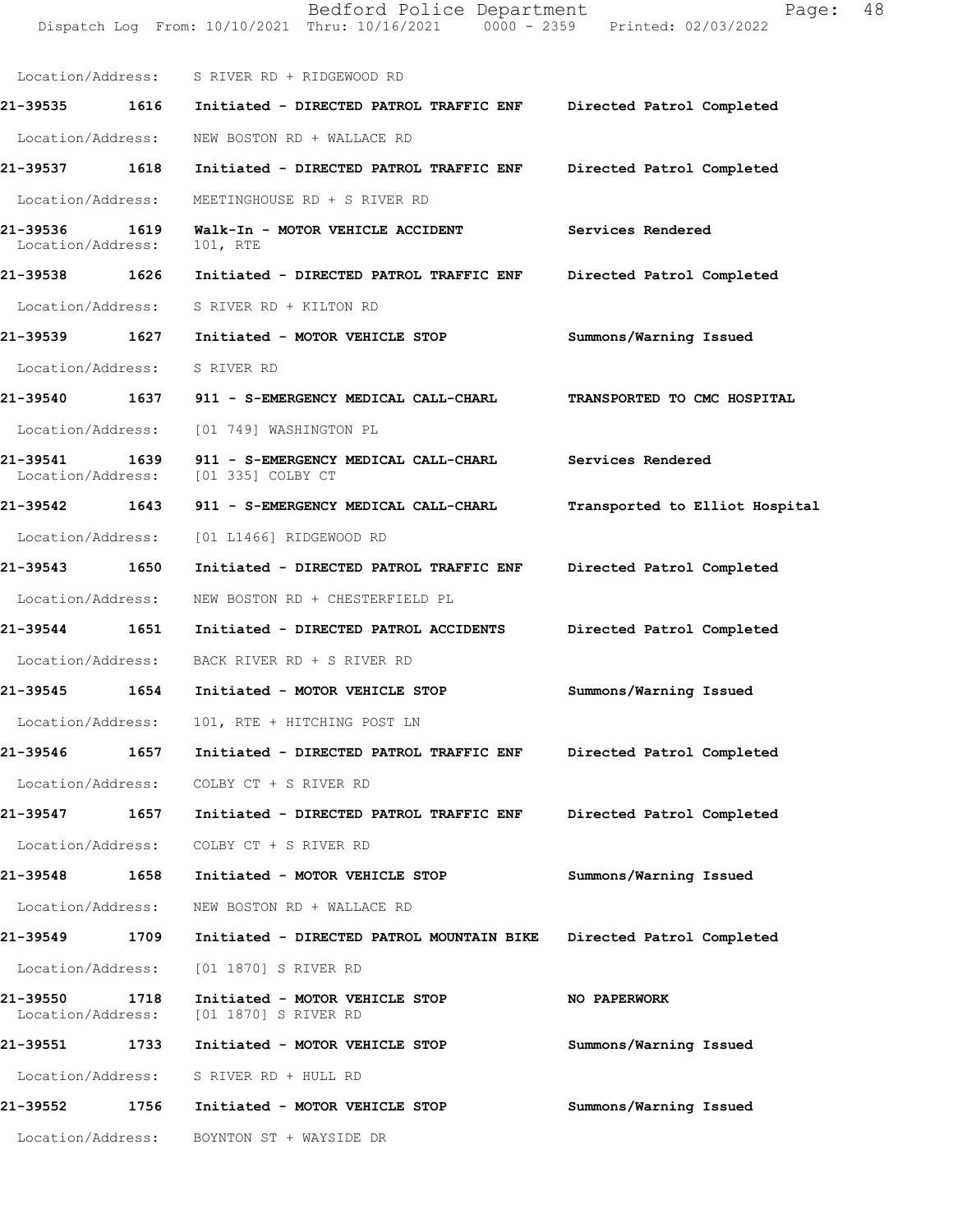Dispatch Log From: 10/10/2021 Thru: 10/16/2021 0000 - 2359 Printed: 02/03/2022 Location/Address: S RIVER RD + RIDGEWOOD RD **21-39535 1616 Initiated - DIRECTED PATROL TRAFFIC ENF Directed Patrol Completed**  Location/Address: NEW BOSTON RD + WALLACE RD **21-39537 1618 Initiated - DIRECTED PATROL TRAFFIC ENF Directed Patrol Completed**  Location/Address: MEETINGHOUSE RD + S RIVER RD **21-39536 1619 Walk-In - MOTOR VEHICLE ACCIDENT Services Rendered**  Location/Address: 101, RTE **21-39538 1626 Initiated - DIRECTED PATROL TRAFFIC ENF Directed Patrol Completed**  Location/Address: S RIVER RD + KILTON RD **21-39539 1627 Initiated - MOTOR VEHICLE STOP Summons/Warning Issued**  Location/Address: S RIVER RD **21-39540 1637 911 - S-EMERGENCY MEDICAL CALL-CHARL TRANSPORTED TO CMC HOSPITAL**  Location/Address: [01 749] WASHINGTON PL **21-39541 1639 911 - S-EMERGENCY MEDICAL CALL-CHARL Services Rendered**  Location/Address: [01 335] COLBY CT **21-39542 1643 911 - S-EMERGENCY MEDICAL CALL-CHARL Transported to Elliot Hospital** Location/Address: [01 L1466] RIDGEWOOD RD **21-39543 1650 Initiated - DIRECTED PATROL TRAFFIC ENF Directed Patrol Completed**  Location/Address: NEW BOSTON RD + CHESTERFIELD PL **21-39544 1651 Initiated - DIRECTED PATROL ACCIDENTS Directed Patrol Completed**  Location/Address: BACK RIVER RD + S RIVER RD **21-39545 1654 Initiated - MOTOR VEHICLE STOP Summons/Warning Issued**  Location/Address: 101, RTE + HITCHING POST LN **21-39546 1657 Initiated - DIRECTED PATROL TRAFFIC ENF Directed Patrol Completed**  Location/Address: COLBY CT + S RIVER RD **21-39547 1657 Initiated - DIRECTED PATROL TRAFFIC ENF Directed Patrol Completed**  Location/Address: COLBY CT + S RIVER RD **21-39548 1658 Initiated - MOTOR VEHICLE STOP Summons/Warning Issued**  Location/Address: NEW BOSTON RD + WALLACE RD **21-39549 1709 Initiated - DIRECTED PATROL MOUNTAIN BIKE Directed Patrol Completed**  Location/Address: [01 1870] S RIVER RD **21-39550 1718 Initiated - MOTOR VEHICLE STOP NO PAPERWORK**  Location/Address: [01 1870] S RIVER RD **21-39551 1733 Initiated - MOTOR VEHICLE STOP Summons/Warning Issued**  Location/Address: S RIVER RD + HULL RD **21-39552 1756 Initiated - MOTOR VEHICLE STOP Summons/Warning Issued**  Location/Address: BOYNTON ST + WAYSIDE DR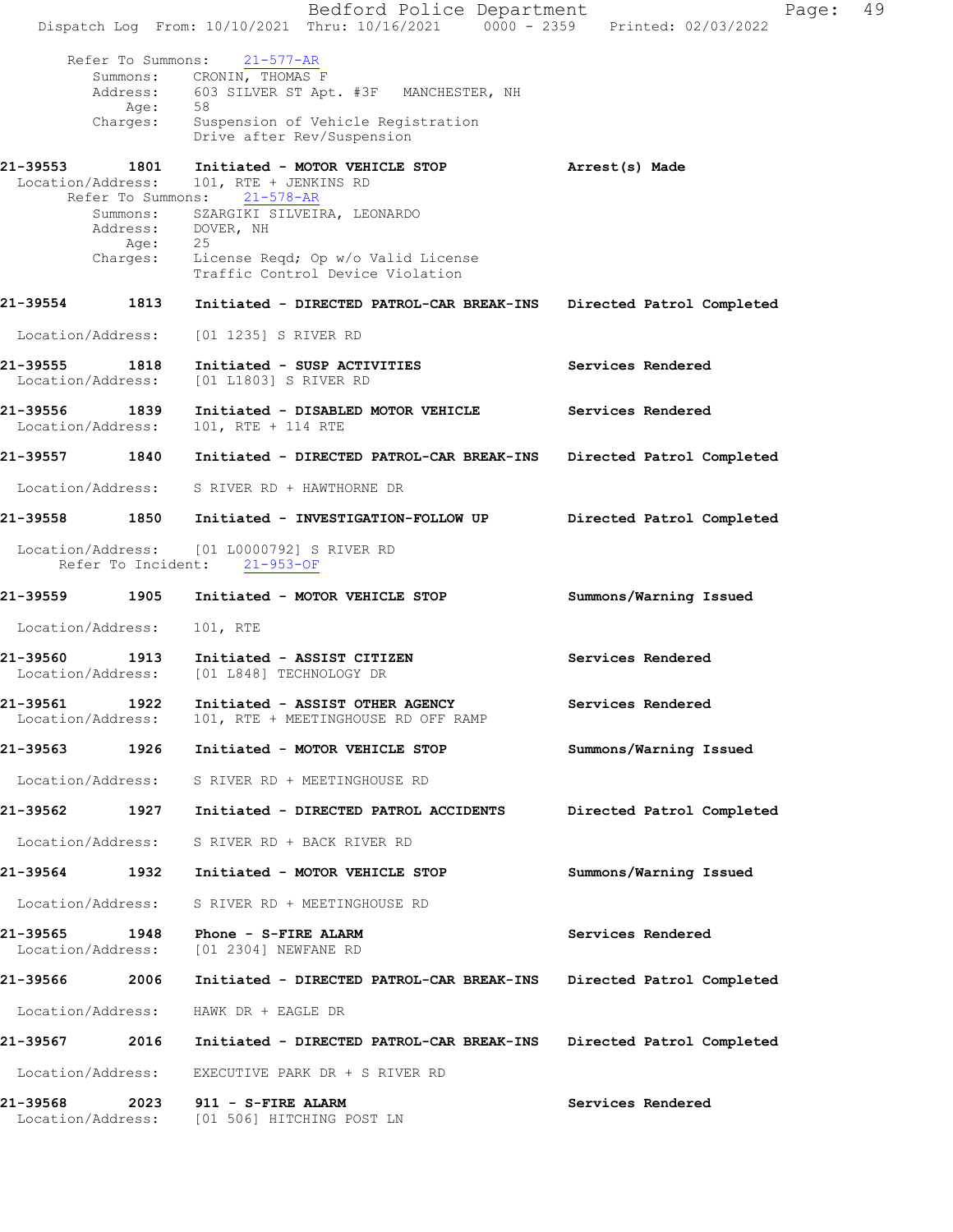|                               |                                       | Bedford Police Department<br>Dispatch Log From: 10/10/2021 Thru: 10/16/2021 0000 - 2359 Printed: 02/03/2022 | Page:                     | 49 |
|-------------------------------|---------------------------------------|-------------------------------------------------------------------------------------------------------------|---------------------------|----|
|                               | Refer To Summons:<br>Address:<br>Age: | $21 - 577 - AR$<br>Summons: CRONIN, THOMAS F<br>603 SILVER ST Apt. #3F MANCHESTER, NH<br>58                 |                           |    |
|                               | Charges:                              | Suspension of Vehicle Registration<br>Drive after Rev/Suspension                                            |                           |    |
| 21-39553<br>Location/Address: | 1801<br>Refer To Summons:             | Initiated - MOTOR VEHICLE STOP<br>101, RTE + JENKINS RD<br>$21 - 578 - AR$                                  | Arrest(s) Made            |    |
|                               | Summons:<br>Age:<br>Charges:          | SZARGIKI SILVEIRA, LEONARDO<br>Address: DOVER, NH<br>25<br>License Reqd; Op w/o Valid License               |                           |    |
| 21-39554                      | 1813                                  | Traffic Control Device Violation<br>Initiated - DIRECTED PATROL-CAR BREAK-INS                               | Directed Patrol Completed |    |
| Location/Address:             |                                       | [01 1235] S RIVER RD                                                                                        |                           |    |
| 21-39555<br>Location/Address: | 1818                                  | Initiated - SUSP ACTIVITIES<br>[01 L1803] S RIVER RD                                                        | Services Rendered         |    |
| 21-39556<br>Location/Address: | 1839                                  | Initiated - DISABLED MOTOR VEHICLE<br>101, RTE + 114 RTE                                                    | Services Rendered         |    |
| 21-39557                      | 1840                                  | Initiated - DIRECTED PATROL-CAR BREAK-INS                                                                   | Directed Patrol Completed |    |
| Location/Address:             |                                       | S RIVER RD + HAWTHORNE DR                                                                                   |                           |    |
| 21-39558                      | 1850                                  | Initiated - INVESTIGATION-FOLLOW UP                                                                         | Directed Patrol Completed |    |
|                               |                                       | Location/Address: [01 L0000792] S RIVER RD<br>Refer To Incident: 21-953-OF                                  |                           |    |
| 21-39559                      | 1905                                  | Initiated - MOTOR VEHICLE STOP                                                                              | Summons/Warning Issued    |    |
| Location/Address:             |                                       | 101, RTE                                                                                                    |                           |    |
| 21-39560<br>Location/Address: | 1913                                  | Initiated - ASSIST CITIZEN<br>[01 L848] TECHNOLOGY DR                                                       | Services Rendered         |    |
| 21-39561<br>Location/Address: | 1922                                  | Initiated - ASSIST OTHER AGENCY<br>101, RTE + MEETINGHOUSE RD OFF RAMP                                      | Services Rendered         |    |
| 21-39563 1926                 |                                       | Initiated - MOTOR VEHICLE STOP                                                                              | Summons/Warning Issued    |    |
| Location/Address:             |                                       | S RIVER RD + MEETINGHOUSE RD                                                                                |                           |    |
| 21-39562                      | 1927                                  | Initiated - DIRECTED PATROL ACCIDENTS                                                                       | Directed Patrol Completed |    |
| Location/Address:             |                                       | S RIVER RD + BACK RIVER RD                                                                                  |                           |    |
| 21-39564                      | 1932                                  | Initiated - MOTOR VEHICLE STOP                                                                              | Summons/Warning Issued    |    |
| Location/Address:             |                                       | S RIVER RD + MEETINGHOUSE RD                                                                                |                           |    |
| 21-39565<br>Location/Address: | 1948                                  | Phone - S-FIRE ALARM<br>[01 2304] NEWFANE RD                                                                | Services Rendered         |    |
| 21-39566                      | 2006                                  | Initiated - DIRECTED PATROL-CAR BREAK-INS                                                                   | Directed Patrol Completed |    |
| Location/Address:             |                                       | HAWK DR + EAGLE DR                                                                                          |                           |    |
| 21-39567                      | 2016                                  | Initiated - DIRECTED PATROL-CAR BREAK-INS                                                                   | Directed Patrol Completed |    |
| Location/Address:             |                                       | EXECUTIVE PARK DR + S RIVER RD                                                                              |                           |    |
| 21-39568                      | 2023                                  | 911 - S-FIRE ALARM<br>Location/Address: [01 506] HITCHING POST LN                                           | Services Rendered         |    |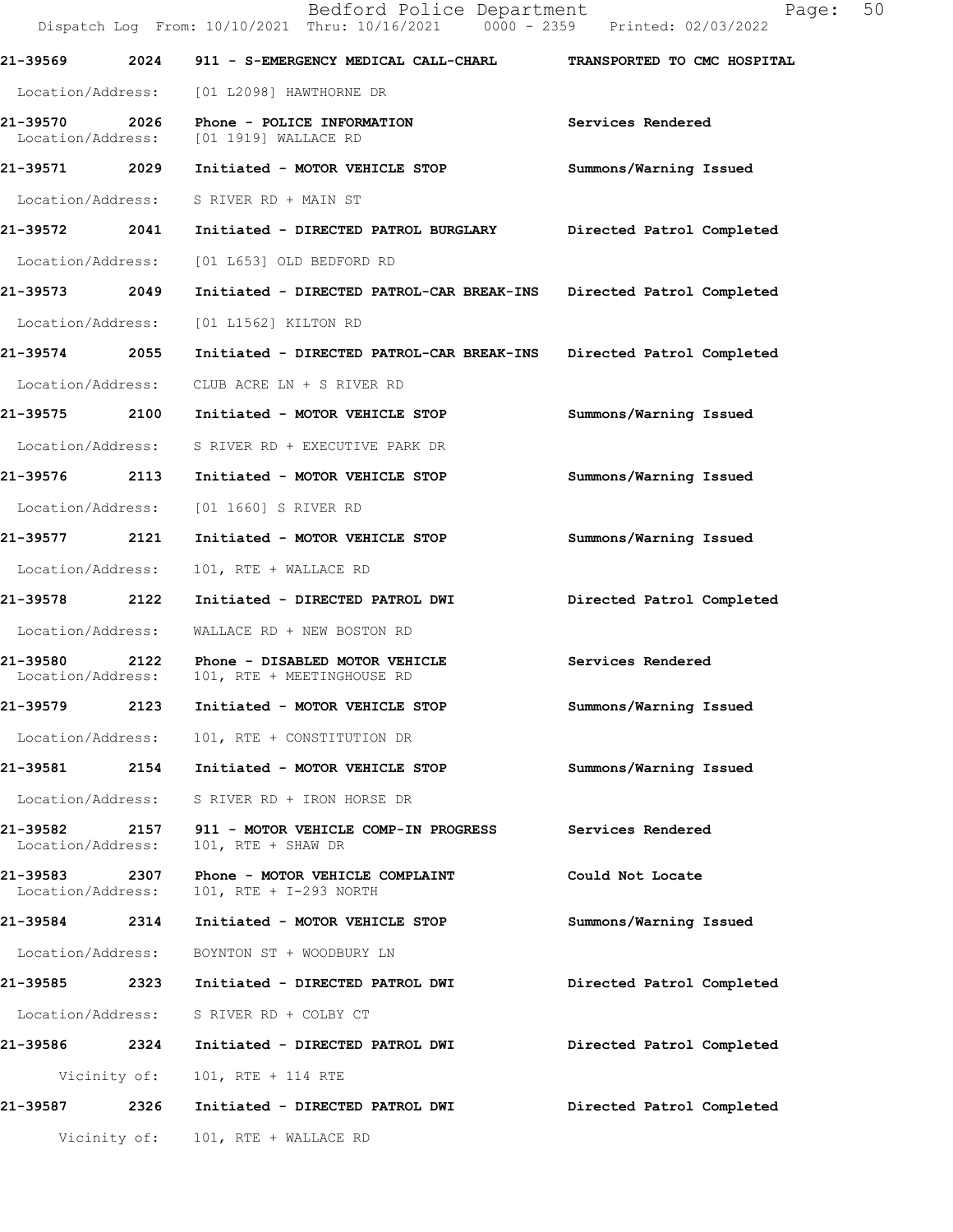|                               |              | Bedford Police Department<br>Dispatch Log From: 10/10/2021 Thru: 10/16/2021 0000 - 2359 Printed: 02/03/2022 | 50<br>Page:                 |
|-------------------------------|--------------|-------------------------------------------------------------------------------------------------------------|-----------------------------|
| 21-39569                      |              | 2024 911 - S-EMERGENCY MEDICAL CALL-CHARL                                                                   | TRANSPORTED TO CMC HOSPITAL |
|                               |              | Location/Address: [01 L2098] HAWTHORNE DR                                                                   |                             |
| 21-39570 2026                 |              | Phone - POLICE INFORMATION<br>Location/Address: [01 1919] WALLACE RD                                        | Services Rendered           |
|                               |              | 21-39571 2029 Initiated - MOTOR VEHICLE STOP                                                                | Summons/Warning Issued      |
|                               |              | Location/Address: S RIVER RD + MAIN ST                                                                      |                             |
|                               |              | 21-39572 2041 Initiated - DIRECTED PATROL BURGLARY                                                          | Directed Patrol Completed   |
| Location/Address:             |              | [01 L653] OLD BEDFORD RD                                                                                    |                             |
| 21-39573 2049                 |              | Initiated - DIRECTED PATROL-CAR BREAK-INS                                                                   | Directed Patrol Completed   |
| Location/Address:             |              | [01 L1562] KILTON RD                                                                                        |                             |
| 21-39574 2055                 |              | Initiated - DIRECTED PATROL-CAR BREAK-INS Directed Patrol Completed                                         |                             |
| Location/Address:             |              | CLUB ACRE LN + S RIVER RD                                                                                   |                             |
| 21-39575 2100                 |              | Initiated - MOTOR VEHICLE STOP                                                                              | Summons/Warning Issued      |
|                               |              | Location/Address: S RIVER RD + EXECUTIVE PARK DR                                                            |                             |
| 21-39576 2113                 |              | Initiated - MOTOR VEHICLE STOP                                                                              | Summons/Warning Issued      |
|                               |              | Location/Address: [01 1660] S RIVER RD                                                                      |                             |
| 21-39577 2121                 |              | Initiated - MOTOR VEHICLE STOP                                                                              | Summons/Warning Issued      |
| Location/Address:             |              | 101, RTE + WALLACE RD                                                                                       |                             |
| 21-39578                      | 2122         | Initiated - DIRECTED PATROL DWI                                                                             | Directed Patrol Completed   |
| Location/Address:             |              | WALLACE RD + NEW BOSTON RD                                                                                  |                             |
| 21-39580<br>Location/Address: |              | 2122 Phone - DISABLED MOTOR VEHICLE<br>101, RTE + MEETINGHOUSE RD                                           | Services Rendered           |
| 21-39579                      | 2123         | Initiated - MOTOR VEHICLE STOP                                                                              | Summons/Warning Issued      |
| Location/Address:             |              | 101, RTE + CONSTITUTION DR                                                                                  |                             |
| 21-39581 2154                 |              | Initiated - MOTOR VEHICLE STOP                                                                              | Summons/Warning Issued      |
| Location/Address:             |              | S RIVER RD + IRON HORSE DR                                                                                  |                             |
| 21-39582<br>Location/Address: | 2157         | 911 - MOTOR VEHICLE COMP-IN PROGRESS<br>101, RTE + SHAW DR                                                  | Services Rendered           |
| 21-39583<br>Location/Address: | 2307         | Phone - MOTOR VEHICLE COMPLAINT<br>101, RTE + I-293 NORTH                                                   | Could Not Locate            |
| 21-39584                      | 2314         | Initiated - MOTOR VEHICLE STOP                                                                              | Summons/Warning Issued      |
| Location/Address:             |              | BOYNTON ST + WOODBURY LN                                                                                    |                             |
| 21-39585                      | 2323         | Initiated - DIRECTED PATROL DWI                                                                             | Directed Patrol Completed   |
| Location/Address:             |              | S RIVER RD + COLBY CT                                                                                       |                             |
| 21-39586                      | 2324         | Initiated - DIRECTED PATROL DWI                                                                             | Directed Patrol Completed   |
|                               | Vicinity of: | 101, RTE + 114 RTE                                                                                          |                             |
| 21-39587                      | 2326         | Initiated - DIRECTED PATROL DWI                                                                             | Directed Patrol Completed   |
|                               | Vicinity of: | 101, RTE + WALLACE RD                                                                                       |                             |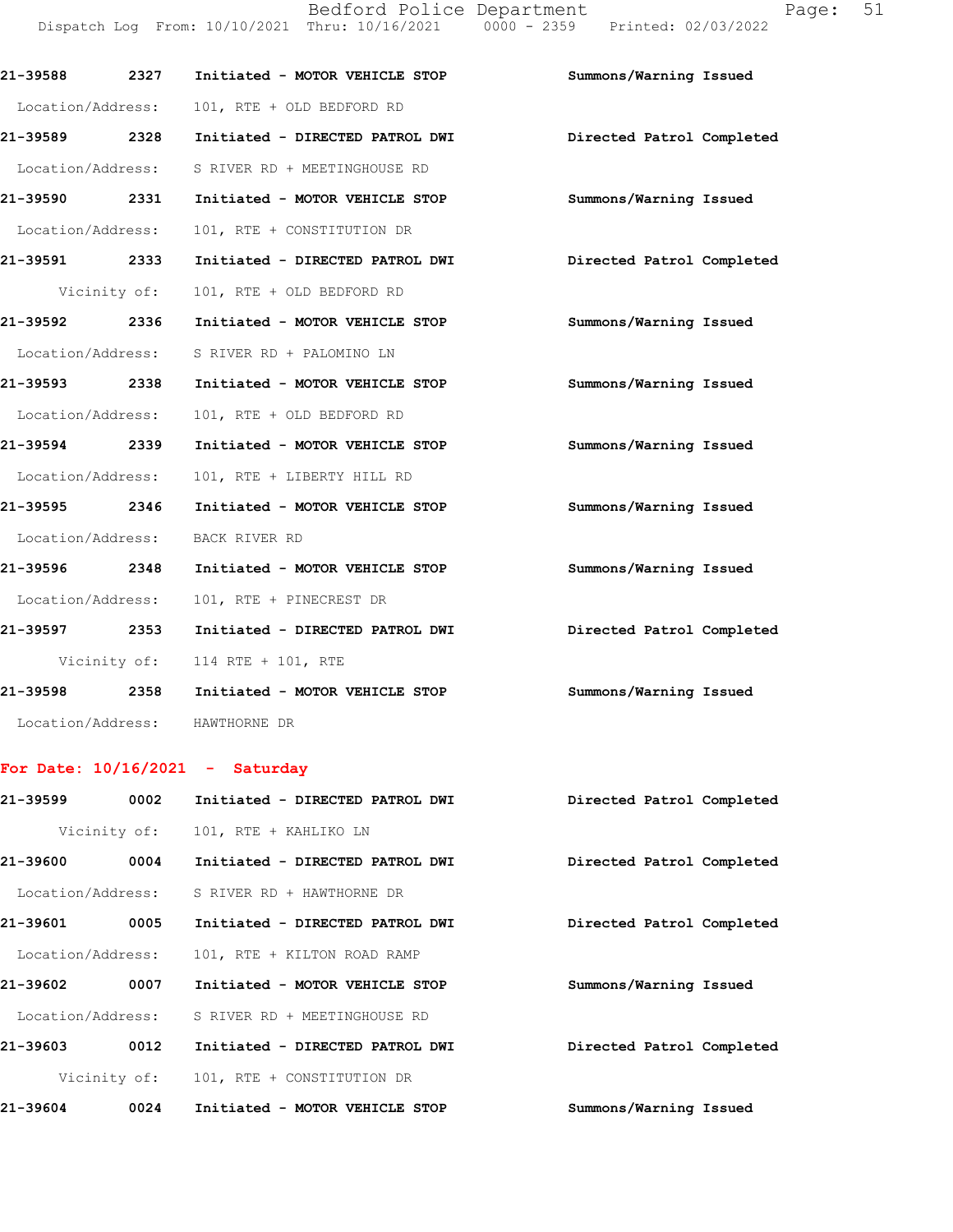Bedford Police Department Fage: 51 Dispatch Log From: 10/10/2021 Thru: 10/16/2021 0000 - 2359 Printed: 02/03/2022

| 21-39588 2327     |              | Initiated - MOTOR VEHICLE STOP             | Summons/Warning Issued    |
|-------------------|--------------|--------------------------------------------|---------------------------|
| Location/Address: |              | 101, RTE + OLD BEDFORD RD                  |                           |
| 21-39589 2328     |              | Initiated - DIRECTED PATROL DWI            | Directed Patrol Completed |
| Location/Address: |              | S RIVER RD + MEETINGHOUSE RD               |                           |
| 21-39590 2331     |              | Initiated - MOTOR VEHICLE STOP             | Summons/Warning Issued    |
| Location/Address: |              | 101, RTE + CONSTITUTION DR                 |                           |
| 21-39591 2333     |              | Initiated - DIRECTED PATROL DWI            | Directed Patrol Completed |
|                   | Vicinity of: | 101, RTE + OLD BEDFORD RD                  |                           |
| 21-39592 2336     |              | Initiated - MOTOR VEHICLE STOP             | Summons/Warning Issued    |
|                   |              | Location/Address: S RIVER RD + PALOMINO LN |                           |
| 21-39593 2338     |              | Initiated - MOTOR VEHICLE STOP             | Summons/Warning Issued    |
| Location/Address: |              | 101, RTE + OLD BEDFORD RD                  |                           |
| 21-39594 2339     |              | Initiated - MOTOR VEHICLE STOP             | Summons/Warning Issued    |
| Location/Address: |              | 101, RTE + LIBERTY HILL RD                 |                           |
| 21-39595 2346     |              | Initiated - MOTOR VEHICLE STOP             | Summons/Warning Issued    |
|                   |              | Location/Address: BACK RIVER RD            |                           |
| 21-39596 2348     |              | Initiated - MOTOR VEHICLE STOP             | Summons/Warning Issued    |
| Location/Address: |              | 101, RTE + PINECREST DR                    |                           |
| 21-39597 2353     |              | Initiated - DIRECTED PATROL DWI            | Directed Patrol Completed |
|                   |              | Vicinity of: 114 RTE + 101, RTE            |                           |
| 21-39598 2358     |              | Initiated - MOTOR VEHICLE STOP             | Summons/Warning Issued    |
| Location/Address: |              | HAWTHORNE DR                               |                           |

## **For Date: 10/16/2021 - Saturday**

| 21-39599          | 0002         | Initiated - DIRECTED PATROL DWI | Directed Patrol Completed |
|-------------------|--------------|---------------------------------|---------------------------|
|                   | Vicinity of: | 101, RTE + KAHLIKO LN           |                           |
| 21-39600          | 0004         | Initiated - DIRECTED PATROL DWI | Directed Patrol Completed |
| Location/Address: |              | S RIVER RD + HAWTHORNE DR       |                           |
| 21-39601          | 0005         | Initiated - DIRECTED PATROL DWI | Directed Patrol Completed |
| Location/Address: |              | 101, RTE + KILTON ROAD RAMP     |                           |
| 21-39602          | 0007         | Initiated - MOTOR VEHICLE STOP  | Summons/Warning Issued    |
| Location/Address: |              | S RIVER RD + MEETINGHOUSE RD    |                           |
| 21-39603          | 0012         | Initiated - DIRECTED PATROL DWI | Directed Patrol Completed |
|                   | Vicinity of: | 101, RTE + CONSTITUTION DR      |                           |
| 21-39604          | 0024         | Initiated - MOTOR VEHICLE STOP  | Summons/Warning Issued    |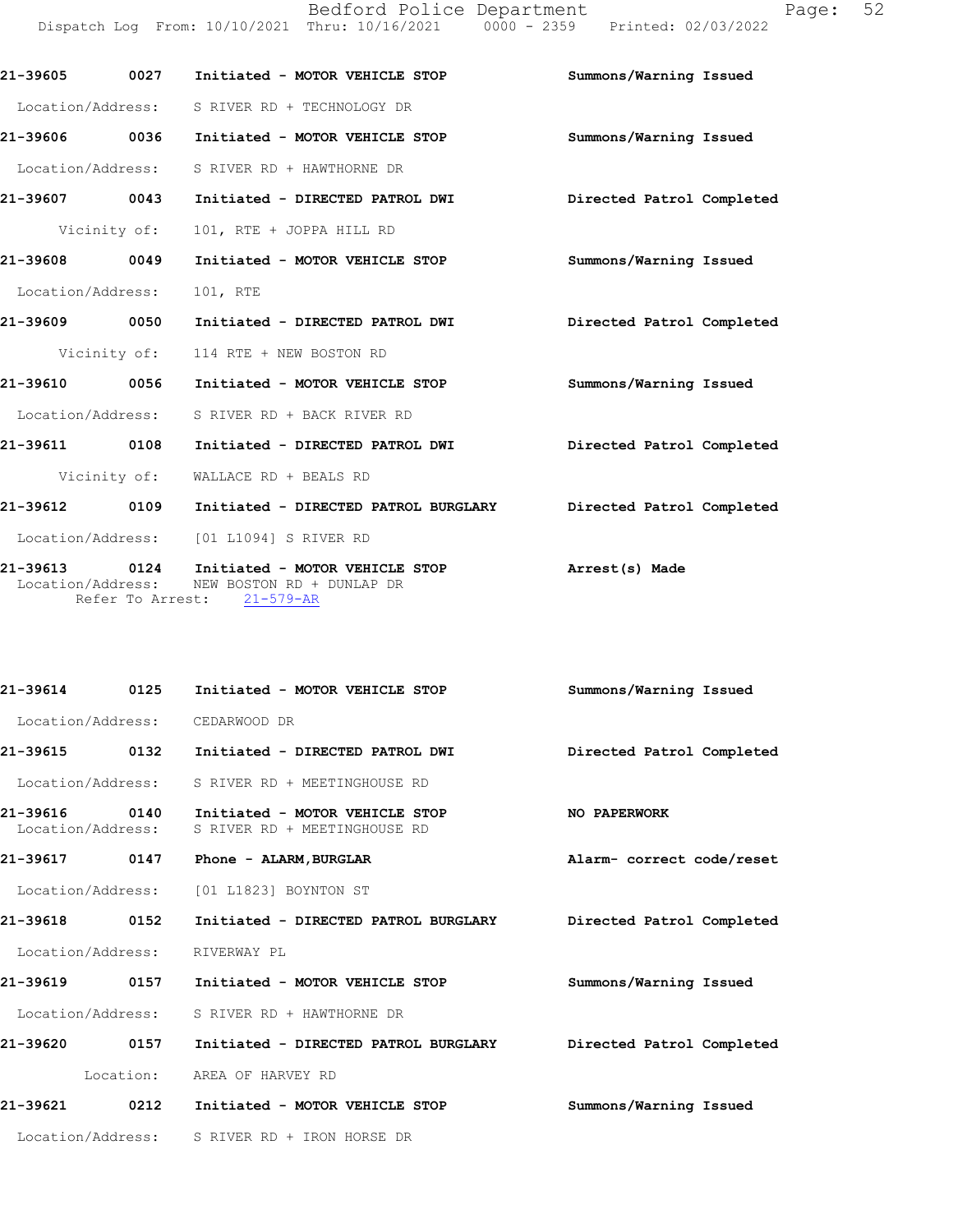| 21-39605                           | 0027             | Initiated - MOTOR VEHICLE STOP                                                 | Summons/Warning Issued    |
|------------------------------------|------------------|--------------------------------------------------------------------------------|---------------------------|
| Location/Address:                  |                  | S RIVER RD + TECHNOLOGY DR                                                     |                           |
| 21-39606 0036                      |                  | Initiated - MOTOR VEHICLE STOP                                                 | Summons/Warning Issued    |
| Location/Address:                  |                  | S RIVER RD + HAWTHORNE DR                                                      |                           |
| 21-39607                           | 0043             | Initiated - DIRECTED PATROL DWI                                                | Directed Patrol Completed |
|                                    | Vicinity of:     | 101, RTE + JOPPA HILL RD                                                       |                           |
| 21-39608                           | 0049             | Initiated - MOTOR VEHICLE STOP                                                 | Summons/Warning Issued    |
| Location/Address:                  |                  | 101, RTE                                                                       |                           |
| 21-39609 0050                      |                  | Initiated - DIRECTED PATROL DWI                                                | Directed Patrol Completed |
|                                    | Vicinity of:     | 114 RTE + NEW BOSTON RD                                                        |                           |
| 21-39610 0056                      |                  | Initiated - MOTOR VEHICLE STOP                                                 | Summons/Warning Issued    |
| Location/Address:                  |                  | S RIVER RD + BACK RIVER RD                                                     |                           |
| 21-39611                           | 0108             | Initiated - DIRECTED PATROL DWI                                                | Directed Patrol Completed |
|                                    | Vicinity of:     | WALLACE RD + BEALS RD                                                          |                           |
| 21-39612 0109                      |                  | Initiated - DIRECTED PATROL BURGLARY                                           | Directed Patrol Completed |
| Location/Address:                  |                  | [01 L1094] S RIVER RD                                                          |                           |
| 21-39613 0124<br>Location/Address: | Refer To Arrest: | Initiated - MOTOR VEHICLE STOP<br>NEW BOSTON RD + DUNLAP DR<br>$21 - 579 - AR$ | Arrest(s) Made            |

| 0125              | Initiated - MOTOR VEHICLE STOP                                 | Summons/Warning Issued    |
|-------------------|----------------------------------------------------------------|---------------------------|
| Location/Address: | CEDARWOOD DR                                                   |                           |
| 0132              | Initiated - DIRECTED PATROL DWI                                | Directed Patrol Completed |
| Location/Address: | S RIVER RD + MEETINGHOUSE RD                                   |                           |
| 0140              | Initiated - MOTOR VEHICLE STOP<br>S RIVER RD + MEETINGHOUSE RD | NO PAPERWORK              |
| 0147              | Phone - ALARM, BURGLAR                                         | Alarm- correct code/reset |
| Location/Address: | [01 L1823] BOYNTON ST                                          |                           |
| 0152              | Initiated - DIRECTED PATROL BURGLARY                           | Directed Patrol Completed |
| Location/Address: | RIVERWAY PL                                                    |                           |
| 0157              | Initiated - MOTOR VEHICLE STOP                                 | Summons/Warning Issued    |
| Location/Address: | S RIVER RD + HAWTHORNE DR                                      |                           |
| 0157              | Initiated - DIRECTED PATROL BURGLARY                           | Directed Patrol Completed |
| Location:         | AREA OF HARVEY RD                                              |                           |
| 0212              | Initiated - MOTOR VEHICLE STOP                                 | Summons/Warning Issued    |
| Location/Address: | S RIVER RD + IRON HORSE DR                                     |                           |
|                   |                                                                | Location/Address:         |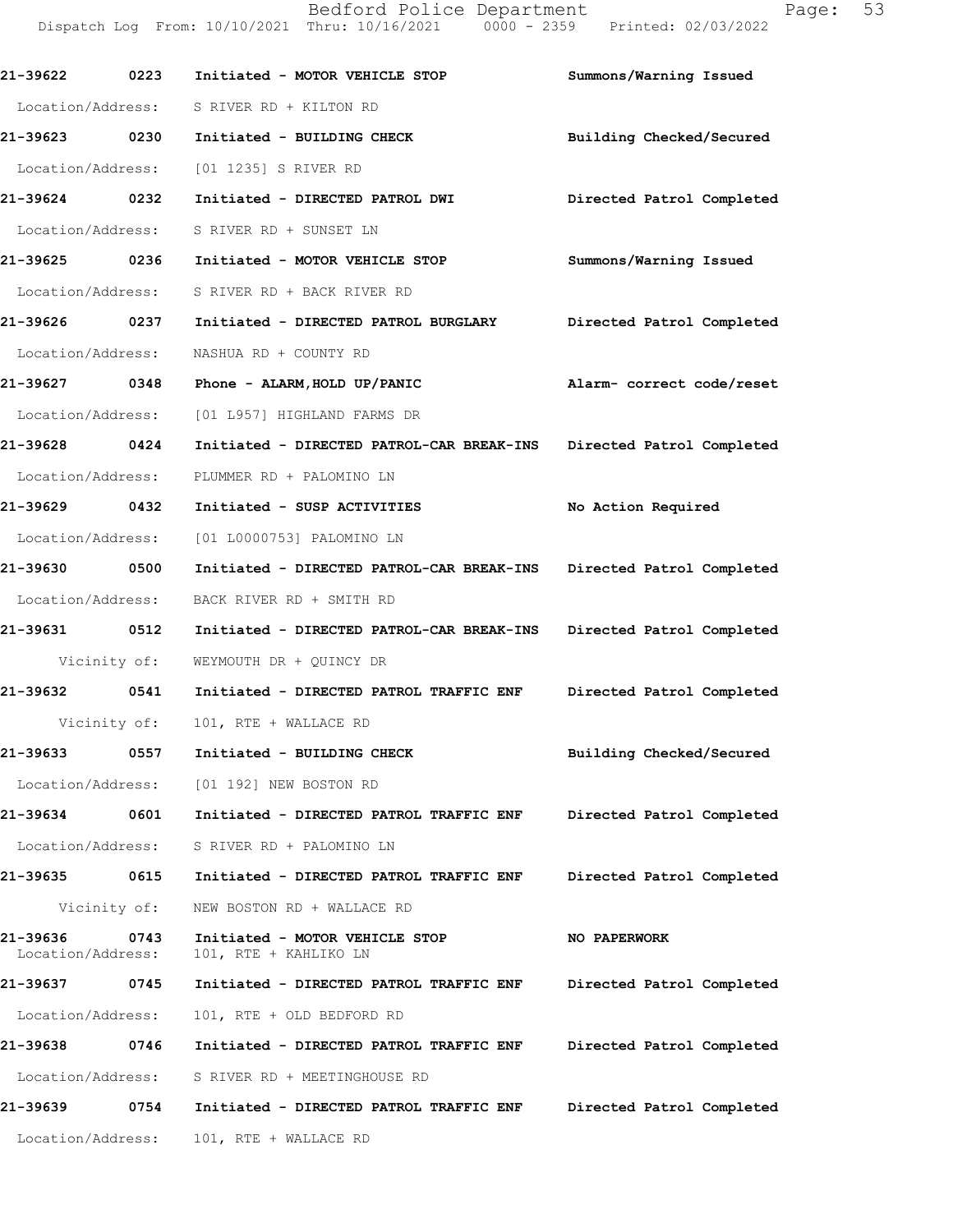| 21-39622 0223                 |              | Initiated - MOTOR VEHICLE STOP                                           | Summons/Warning Issued    |
|-------------------------------|--------------|--------------------------------------------------------------------------|---------------------------|
| Location/Address:             |              | S RIVER RD + KILTON RD                                                   |                           |
| 21-39623 0230                 |              | Initiated - BUILDING CHECK                                               | Building Checked/Secured  |
| Location/Address:             |              | [01 1235] S RIVER RD                                                     |                           |
| 21-39624 0232                 |              | Initiated - DIRECTED PATROL DWI Directed Patrol Completed                |                           |
| Location/Address:             |              | S RIVER RD + SUNSET LN                                                   |                           |
| 21-39625 0236                 |              | Initiated - MOTOR VEHICLE STOP                                           | Summons/Warning Issued    |
|                               |              | Location/Address: S RIVER RD + BACK RIVER RD                             |                           |
| 21-39626 0237                 |              | Initiated - DIRECTED PATROL BURGLARY                                     | Directed Patrol Completed |
| Location/Address:             |              | NASHUA RD + COUNTY RD                                                    |                           |
| 21-39627 0348                 |              | Phone - ALARM, HOLD UP/PANIC <a>&gt; Malarm-<br/> correct code/reset</a> |                           |
|                               |              | Location/Address: [01 L957] HIGHLAND FARMS DR                            |                           |
| 21-39628 0424                 |              | Initiated - DIRECTED PATROL-CAR BREAK-INS                                | Directed Patrol Completed |
| Location/Address:             |              | PLUMMER RD + PALOMINO LN                                                 |                           |
| 21-39629 0432                 |              | Initiated - SUSP ACTIVITIES                                              | No Action Required        |
| Location/Address:             |              | [01 L0000753] PALOMINO LN                                                |                           |
| 21-39630 0500                 |              | Initiated - DIRECTED PATROL-CAR BREAK-INS Directed Patrol Completed      |                           |
| Location/Address:             |              | BACK RIVER RD + SMITH RD                                                 |                           |
| 21-39631 0512                 |              | Initiated - DIRECTED PATROL-CAR BREAK-INS Directed Patrol Completed      |                           |
|                               |              | Vicinity of: WEYMOUTH DR + QUINCY DR                                     |                           |
| 21-39632 0541                 |              | Initiated - DIRECTED PATROL TRAFFIC ENF                                  | Directed Patrol Completed |
|                               |              | Vicinity of: 101, RTE + WALLACE RD                                       |                           |
| 21-39633 0557                 |              | Initiated - BUILDING CHECK                                               | Building Checked/Secured  |
|                               |              | Location/Address: [01 192] NEW BOSTON RD                                 |                           |
| 21-39634                      |              | 0601 Initiated - DIRECTED PATROL TRAFFIC ENF                             | Directed Patrol Completed |
|                               |              | Location/Address: S RIVER RD + PALOMINO LN                               |                           |
| 21-39635                      | 0615         | Initiated - DIRECTED PATROL TRAFFIC ENF                                  | Directed Patrol Completed |
|                               | Vicinity of: | NEW BOSTON RD + WALLACE RD                                               |                           |
| 21-39636<br>Location/Address: | 0743         | Initiated - MOTOR VEHICLE STOP<br>101, RTE + KAHLIKO LN                  | NO PAPERWORK              |
| 21-39637                      | 0745         | Initiated - DIRECTED PATROL TRAFFIC ENF                                  | Directed Patrol Completed |
| Location/Address:             |              | 101, RTE + OLD BEDFORD RD                                                |                           |
| 21-39638                      | 0746         | Initiated - DIRECTED PATROL TRAFFIC ENF                                  | Directed Patrol Completed |
| Location/Address:             |              | S RIVER RD + MEETINGHOUSE RD                                             |                           |
| 21-39639                      | 0754         | Initiated - DIRECTED PATROL TRAFFIC ENF                                  | Directed Patrol Completed |
| Location/Address:             |              | 101, RTE + WALLACE RD                                                    |                           |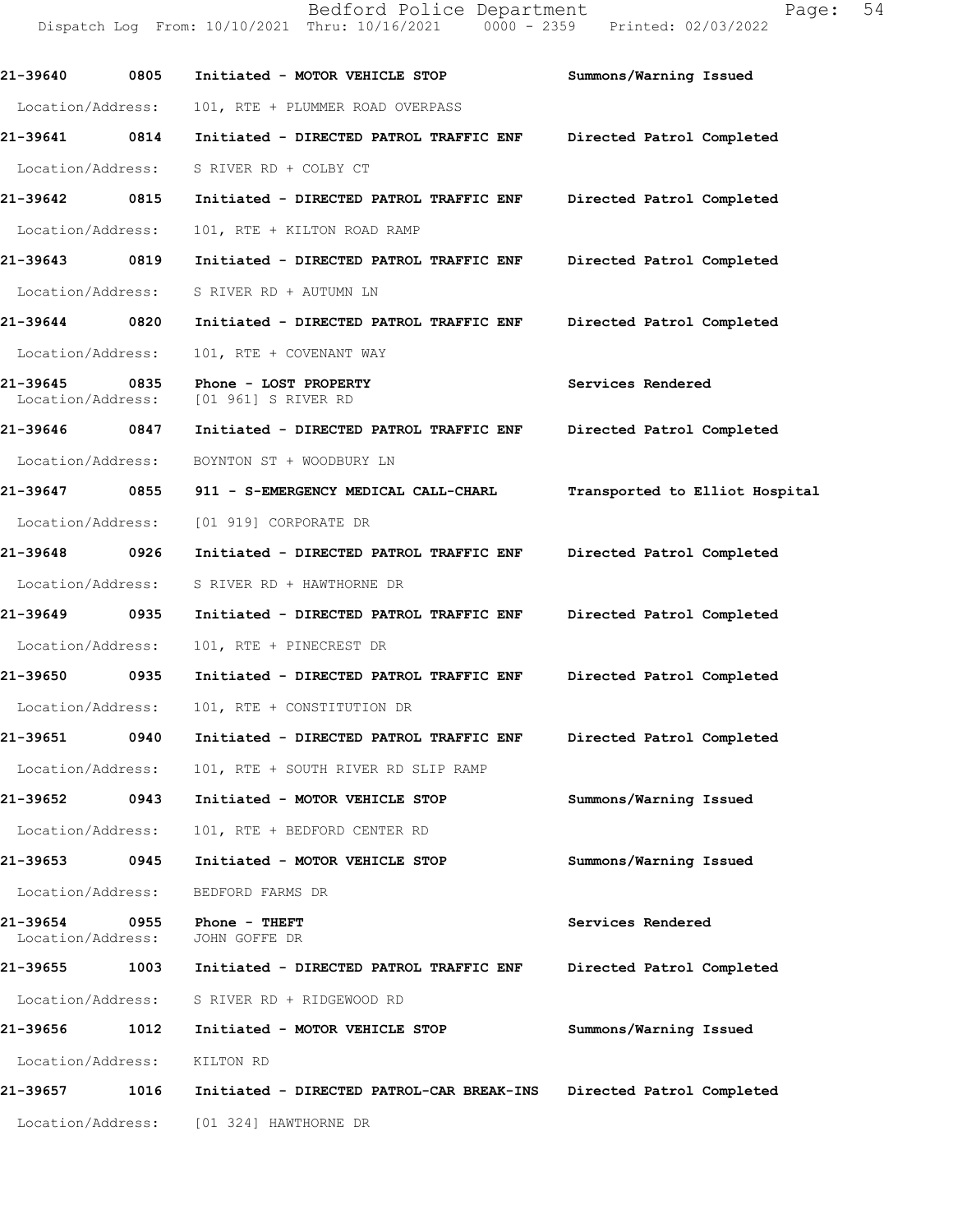**21-39640 0805 Initiated - MOTOR VEHICLE STOP Summons/Warning Issued**  Location/Address: 101, RTE + PLUMMER ROAD OVERPASS **21-39641 0814 Initiated - DIRECTED PATROL TRAFFIC ENF Directed Patrol Completed**  Location/Address: S RIVER RD + COLBY CT **21-39642 0815 Initiated - DIRECTED PATROL TRAFFIC ENF Directed Patrol Completed**  Location/Address: 101, RTE + KILTON ROAD RAMP **21-39643 0819 Initiated - DIRECTED PATROL TRAFFIC ENF Directed Patrol Completed**  Location/Address: S RIVER RD + AUTUMN LN **21-39644 0820 Initiated - DIRECTED PATROL TRAFFIC ENF Directed Patrol Completed**  Location/Address: 101, RTE + COVENANT WAY **21-39645 0835 Phone - LOST PROPERTY Services Rendered**  Location/Address: [01 961] S RIVER RD **21-39646 0847 Initiated - DIRECTED PATROL TRAFFIC ENF Directed Patrol Completed**  Location/Address: BOYNTON ST + WOODBURY LN **21-39647 0855 911 - S-EMERGENCY MEDICAL CALL-CHARL Transported to Elliot Hospital** Location/Address: [01 919] CORPORATE DR **21-39648 0926 Initiated - DIRECTED PATROL TRAFFIC ENF Directed Patrol Completed**  Location/Address: S RIVER RD + HAWTHORNE DR **21-39649 0935 Initiated - DIRECTED PATROL TRAFFIC ENF Directed Patrol Completed**  Location/Address: 101, RTE + PINECREST DR **21-39650 0935 Initiated - DIRECTED PATROL TRAFFIC ENF Directed Patrol Completed**  Location/Address: 101, RTE + CONSTITUTION DR **21-39651 0940 Initiated - DIRECTED PATROL TRAFFIC ENF Directed Patrol Completed**  Location/Address: 101, RTE + SOUTH RIVER RD SLIP RAMP **21-39652 0943 Initiated - MOTOR VEHICLE STOP Summons/Warning Issued**  Location/Address: 101, RTE + BEDFORD CENTER RD **21-39653 0945 Initiated - MOTOR VEHICLE STOP Summons/Warning Issued**  Location/Address: BEDFORD FARMS DR 21-39654 0955 Phone - THEFT **Services Rendered**  Location/Address: JOHN GOFFE DR **21-39655 1003 Initiated - DIRECTED PATROL TRAFFIC ENF Directed Patrol Completed**  Location/Address: S RIVER RD + RIDGEWOOD RD **21-39656 1012 Initiated - MOTOR VEHICLE STOP Summons/Warning Issued**  Location/Address: KILTON RD **21-39657 1016 Initiated - DIRECTED PATROL-CAR BREAK-INS Directed Patrol Completed**  Location/Address: [01 324] HAWTHORNE DR

Dispatch Log From: 10/10/2021 Thru: 10/16/2021 0000 - 2359 Printed: 02/03/2022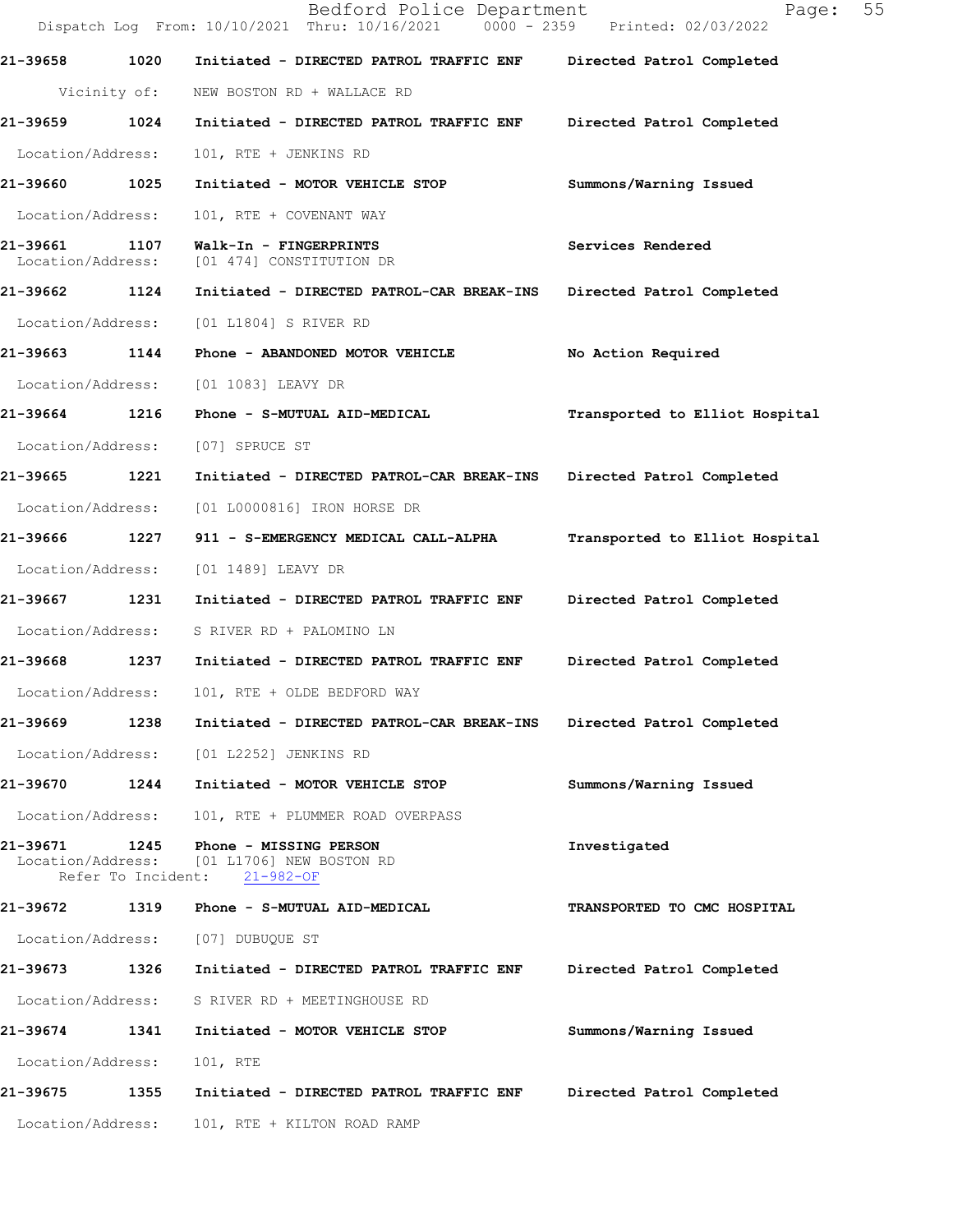|                               |                            | Bedford Police Department<br>Dispatch Log From: 10/10/2021 Thru: 10/16/2021 0000 - 2359 Printed: 02/03/2022 | 55<br>Page:                    |
|-------------------------------|----------------------------|-------------------------------------------------------------------------------------------------------------|--------------------------------|
| 21-39658                      | 1020                       | Initiated - DIRECTED PATROL TRAFFIC ENF                                                                     | Directed Patrol Completed      |
|                               | Vicinity of:               | NEW BOSTON RD + WALLACE RD                                                                                  |                                |
| 21-39659                      | 1024                       | Initiated - DIRECTED PATROL TRAFFIC ENF                                                                     | Directed Patrol Completed      |
| Location/Address:             |                            | 101, RTE + JENKINS RD                                                                                       |                                |
| 21-39660                      | 1025                       | Initiated - MOTOR VEHICLE STOP                                                                              | Summons/Warning Issued         |
| Location/Address:             |                            | 101, RTE + COVENANT WAY                                                                                     |                                |
| 21-39661<br>Location/Address: | 1107                       | Walk-In - FINGERPRINTS<br>[01 474] CONSTITUTION DR                                                          | Services Rendered              |
| 21-39662 1124                 |                            | Initiated - DIRECTED PATROL-CAR BREAK-INS                                                                   | Directed Patrol Completed      |
| Location/Address:             |                            | [01 L1804] S RIVER RD                                                                                       |                                |
| 21-39663                      | 1144                       | Phone - ABANDONED MOTOR VEHICLE                                                                             | No Action Required             |
| Location/Address:             |                            | [01 1083] LEAVY DR                                                                                          |                                |
| 21-39664                      | 1216                       | Phone - S-MUTUAL AID-MEDICAL                                                                                | Transported to Elliot Hospital |
| Location/Address:             |                            | [07] SPRUCE ST                                                                                              |                                |
| 21-39665 1221                 |                            | Initiated - DIRECTED PATROL-CAR BREAK-INS                                                                   | Directed Patrol Completed      |
| Location/Address:             |                            | [01 L0000816] IRON HORSE DR                                                                                 |                                |
| 21-39666                      | 1227                       | 911 - S-EMERGENCY MEDICAL CALL-ALPHA                                                                        | Transported to Elliot Hospital |
| Location/Address:             |                            | [01 1489] LEAVY DR                                                                                          |                                |
| 21-39667                      | 1231                       | Initiated - DIRECTED PATROL TRAFFIC ENF                                                                     | Directed Patrol Completed      |
| Location/Address:             |                            | S RIVER RD + PALOMINO LN                                                                                    |                                |
| 21-39668                      | 1237                       | Initiated - DIRECTED PATROL TRAFFIC ENF                                                                     | Directed Patrol Completed      |
| Location/Address:             |                            | 101, RTE + OLDE BEDFORD WAY                                                                                 |                                |
| 21-39669                      | 1238                       | Initiated - DIRECTED PATROL-CAR BREAK-INS                                                                   | Directed Patrol Completed      |
| Location/Address:             |                            | [01 L2252] JENKINS RD                                                                                       |                                |
| 21-39670                      | 1244                       | Initiated - MOTOR VEHICLE STOP                                                                              | Summons/Warning Issued         |
| Location/Address:             |                            | 101, RTE + PLUMMER ROAD OVERPASS                                                                            |                                |
| 21-39671<br>Location/Address: | 1245<br>Refer To Incident: | Phone - MISSING PERSON<br>[01 L1706] NEW BOSTON RD<br>21-982-OF                                             | Investigated                   |
| 21-39672                      | 1319                       | Phone - S-MUTUAL AID-MEDICAL                                                                                | TRANSPORTED TO CMC HOSPITAL    |
| Location/Address:             |                            | [07] DUBUQUE ST                                                                                             |                                |
| 21-39673 1326                 |                            | Initiated - DIRECTED PATROL TRAFFIC ENF                                                                     | Directed Patrol Completed      |
| Location/Address:             |                            | S RIVER RD + MEETINGHOUSE RD                                                                                |                                |
| 21-39674                      | 1341                       | Initiated - MOTOR VEHICLE STOP                                                                              | Summons/Warning Issued         |
| Location/Address:             |                            | 101, RTE                                                                                                    |                                |
| 21-39675                      | 1355                       | Initiated - DIRECTED PATROL TRAFFIC ENF                                                                     | Directed Patrol Completed      |
| Location/Address:             |                            | 101, RTE + KILTON ROAD RAMP                                                                                 |                                |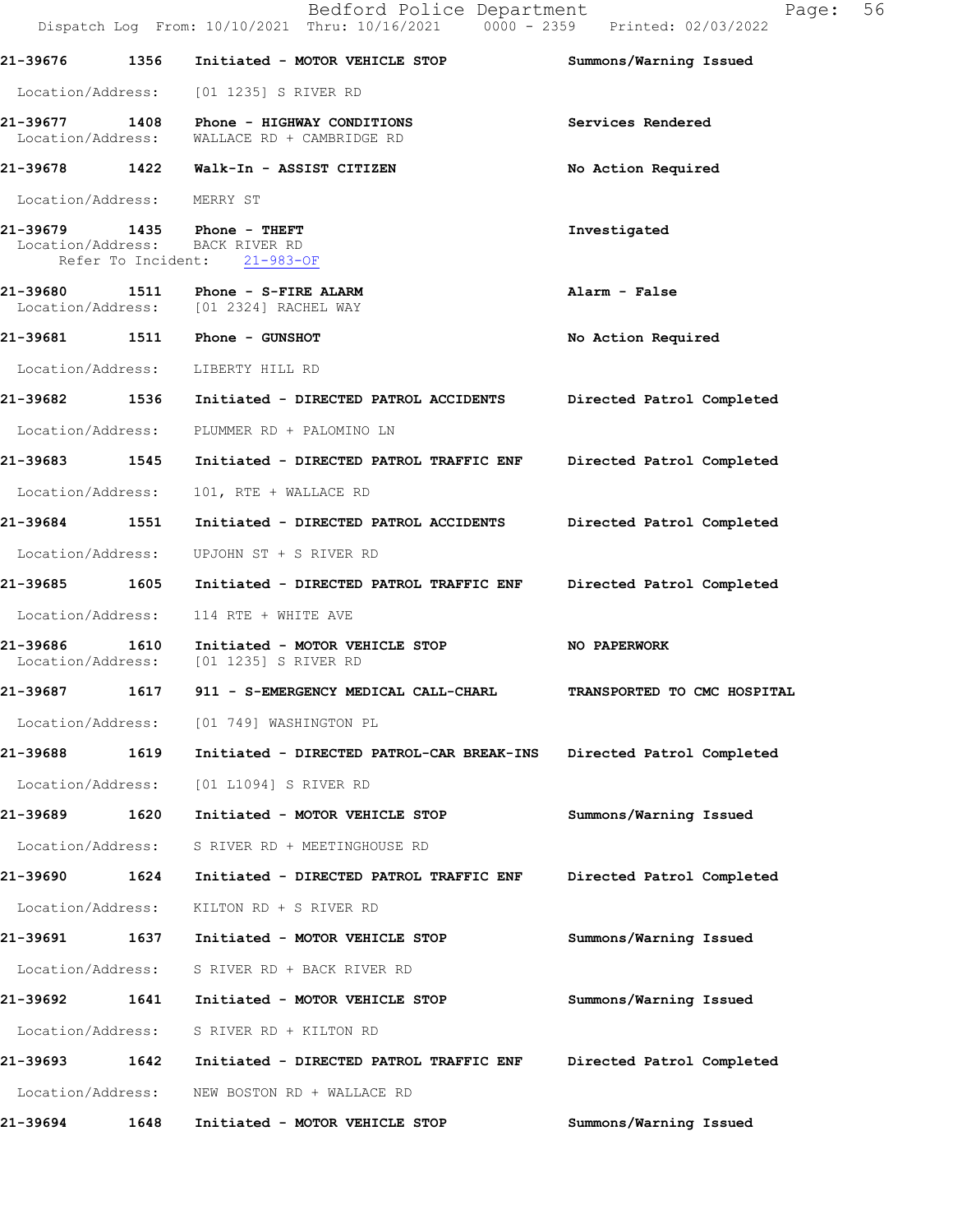|                            |      | Bedford Police Department<br>Dispatch Log From: 10/10/2021 Thru: 10/16/2021 0000 - 2359 Printed: 02/03/2022 | 56<br>Page:                 |
|----------------------------|------|-------------------------------------------------------------------------------------------------------------|-----------------------------|
| 21-39676                   | 1356 | Initiated - MOTOR VEHICLE STOP                                                                              | Summons/Warning Issued      |
|                            |      | Location/Address: [01 1235] S RIVER RD                                                                      |                             |
| 21-39677 1408              |      | Phone - HIGHWAY CONDITIONS<br>Location/Address: WALLACE RD + CAMBRIDGE RD                                   | Services Rendered           |
|                            |      | 21-39678 1422 Walk-In - ASSIST CITIZEN                                                                      | No Action Required          |
| Location/Address: MERRY ST |      |                                                                                                             |                             |
|                            |      | 21-39679 1435 Phone - THEFT<br>Location/Address: BACK RIVER RD<br>Refer To Incident: 21-983-OF              | Investigated                |
| 21-39680                   |      | 21-39680 1511 Phone - S-FIRE ALARM<br>Location/Address: [01 2324] RACHEL WAY                                | Alarm - False               |
|                            |      |                                                                                                             | No Action Required          |
|                            |      | Location/Address: LIBERTY HILL RD                                                                           |                             |
|                            |      | 21-39682 1536 Initiated - DIRECTED PATROL ACCIDENTS Directed Patrol Completed                               |                             |
|                            |      | Location/Address: PLUMMER RD + PALOMINO LN                                                                  |                             |
|                            |      | 21-39683   1545   Initiated - DIRECTED PATROL TRAFFIC ENF                                                   | Directed Patrol Completed   |
| Location/Address:          |      | 101, RTE + WALLACE RD                                                                                       |                             |
|                            |      |                                                                                                             | Directed Patrol Completed   |
| Location/Address:          |      | UPJOHN ST + S RIVER RD                                                                                      |                             |
|                            |      |                                                                                                             | Directed Patrol Completed   |
| Location/Address:          |      | 114 RTE + WHITE AVE                                                                                         |                             |
| 21-39686                   |      | 1610 Initiated - MOTOR VEHICLE STOP<br>Location/Address: [01 1235] S RIVER RD                               | NO PAPERWORK                |
| 21-39687                   | 1617 | 911 - S-EMERGENCY MEDICAL CALL-CHARL                                                                        | TRANSPORTED TO CMC HOSPITAL |
|                            |      | Location/Address: [01 749] WASHINGTON PL                                                                    |                             |
| 21-39688                   | 1619 | Initiated - DIRECTED PATROL-CAR BREAK-INS                                                                   | Directed Patrol Completed   |
| Location/Address:          |      | [01 L1094] S RIVER RD                                                                                       |                             |
| 21-39689                   | 1620 | Initiated - MOTOR VEHICLE STOP                                                                              | Summons/Warning Issued      |
| Location/Address:          |      | S RIVER RD + MEETINGHOUSE RD                                                                                |                             |
| 21-39690                   | 1624 | Initiated - DIRECTED PATROL TRAFFIC ENF                                                                     | Directed Patrol Completed   |
| Location/Address:          |      | KILTON RD + S RIVER RD                                                                                      |                             |
| 21-39691                   | 1637 | Initiated - MOTOR VEHICLE STOP                                                                              | Summons/Warning Issued      |
| Location/Address:          |      | S RIVER RD + BACK RIVER RD                                                                                  |                             |
| 21-39692                   | 1641 | Initiated - MOTOR VEHICLE STOP                                                                              | Summons/Warning Issued      |
| Location/Address:          |      | S RIVER RD + KILTON RD                                                                                      |                             |
| 21-39693                   | 1642 | Initiated - DIRECTED PATROL TRAFFIC ENF                                                                     | Directed Patrol Completed   |
| Location/Address:          |      | NEW BOSTON RD + WALLACE RD                                                                                  |                             |
| 21-39694                   | 1648 | Initiated - MOTOR VEHICLE STOP                                                                              | Summons/Warning Issued      |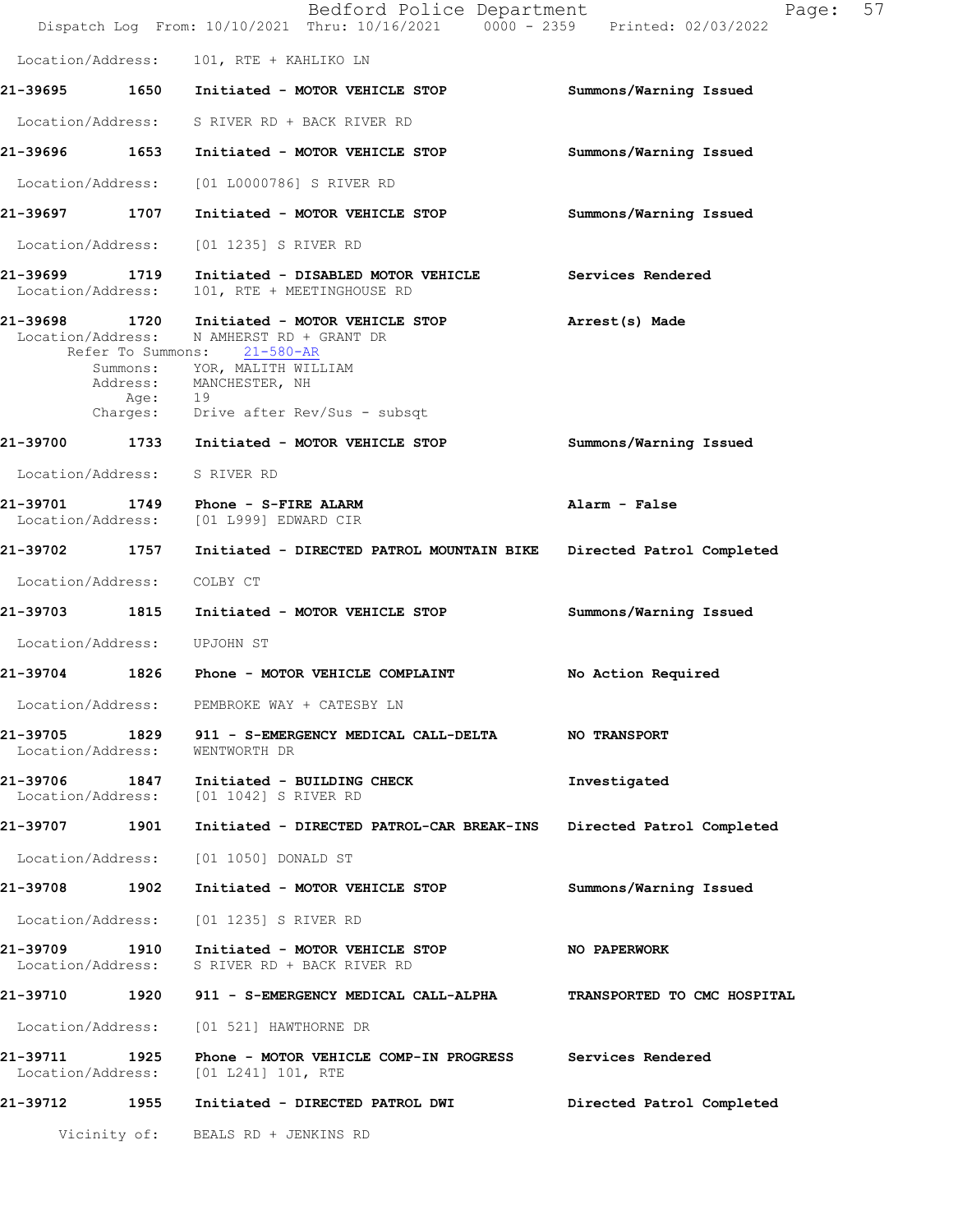|                                    |                     | Bedford Police Department<br>Dispatch Log From: 10/10/2021 Thru: 10/16/2021 0000 - 2359 Printed: 02/03/2022                                                                | 57<br>Page:                 |
|------------------------------------|---------------------|----------------------------------------------------------------------------------------------------------------------------------------------------------------------------|-----------------------------|
|                                    |                     | Location/Address: 101, RTE + KAHLIKO LN                                                                                                                                    |                             |
|                                    |                     | 21-39695 1650 Initiated - MOTOR VEHICLE STOP                                                                                                                               | Summons/Warning Issued      |
|                                    |                     | Location/Address: S RIVER RD + BACK RIVER RD                                                                                                                               |                             |
| 21-39696 1653                      |                     | Initiated - MOTOR VEHICLE STOP                                                                                                                                             | Summons/Warning Issued      |
| Location/Address:                  |                     | [01 L0000786] S RIVER RD                                                                                                                                                   |                             |
| 21-39697 1707                      |                     | Initiated - MOTOR VEHICLE STOP                                                                                                                                             | Summons/Warning Issued      |
| Location/Address:                  |                     | [01 1235] S RIVER RD                                                                                                                                                       |                             |
| 21-39699 1719<br>Location/Address: |                     | Initiated - DISABLED MOTOR VEHICLE<br>101, RTE + MEETINGHOUSE RD                                                                                                           | Services Rendered           |
|                                    | Summons:<br>Age: 19 | 21-39698 1720 Initiated - MOTOR VEHICLE STOP<br>Location/Address: N AMHERST RD + GRANT DR<br>Refer To Summons: 21-580-AR<br>YOR, MALITH WILLIAM<br>Address: MANCHESTER, NH | Arrest(s) Made              |
|                                    |                     | Charges: Drive after Rev/Sus - subsqt                                                                                                                                      |                             |
| 21-39700                           |                     | 1733 Initiated - MOTOR VEHICLE STOP                                                                                                                                        | Summons/Warning Issued      |
|                                    |                     | Location/Address: S RIVER RD                                                                                                                                               |                             |
| Location/Address:                  |                     | 21-39701 1749 Phone - S-FIRE ALARM<br>[01 L999] EDWARD CIR                                                                                                                 | Alarm - False               |
| 21-39702 1757                      |                     | Initiated - DIRECTED PATROL MOUNTAIN BIKE                                                                                                                                  | Directed Patrol Completed   |
| Location/Address:                  |                     | COLBY CT                                                                                                                                                                   |                             |
| 21-39703 1815                      |                     | Initiated - MOTOR VEHICLE STOP                                                                                                                                             | Summons/Warning Issued      |
| Location/Address: UPJOHN ST        |                     |                                                                                                                                                                            |                             |
| 21-39704                           |                     | 1826 Phone - MOTOR VEHICLE COMPLAINT                                                                                                                                       | No Action Required          |
| Location/Address:                  |                     | PEMBROKE WAY + CATESBY LN                                                                                                                                                  |                             |
| 21-39705<br>Location/Address:      |                     | 1829 911 - S-EMERGENCY MEDICAL CALL-DELTA NO TRANSPORT<br>WENTWORTH DR                                                                                                     |                             |
| 21-39706 1847<br>Location/Address: |                     | Initiated - BUILDING CHECK<br>[01 1042] S RIVER RD                                                                                                                         | Investigated                |
| 21-39707 1901                      |                     | Initiated - DIRECTED PATROL-CAR BREAK-INS                                                                                                                                  | Directed Patrol Completed   |
| Location/Address:                  |                     | [01 1050] DONALD ST                                                                                                                                                        |                             |
| 21-39708                           | 1902                | Initiated - MOTOR VEHICLE STOP                                                                                                                                             | Summons/Warning Issued      |
| Location/Address:                  |                     | [01 1235] S RIVER RD                                                                                                                                                       |                             |
| 21-39709 1910<br>Location/Address: |                     | Initiated - MOTOR VEHICLE STOP<br>S RIVER RD + BACK RIVER RD                                                                                                               | NO PAPERWORK                |
| 21-39710                           |                     | 1920 - 911 - S-EMERGENCY MEDICAL CALL-ALPHA                                                                                                                                | TRANSPORTED TO CMC HOSPITAL |
| Location/Address:                  |                     | [01 521] HAWTHORNE DR                                                                                                                                                      |                             |
| 21-39711 1925<br>Location/Address: |                     | Phone - MOTOR VEHICLE COMP-IN PROGRESS<br>[01 L241] 101, RTE                                                                                                               | Services Rendered           |
| 21-39712 1955                      |                     | Initiated - DIRECTED PATROL DWI                                                                                                                                            | Directed Patrol Completed   |
|                                    |                     | Vicinity of: BEALS RD + JENKINS RD                                                                                                                                         |                             |